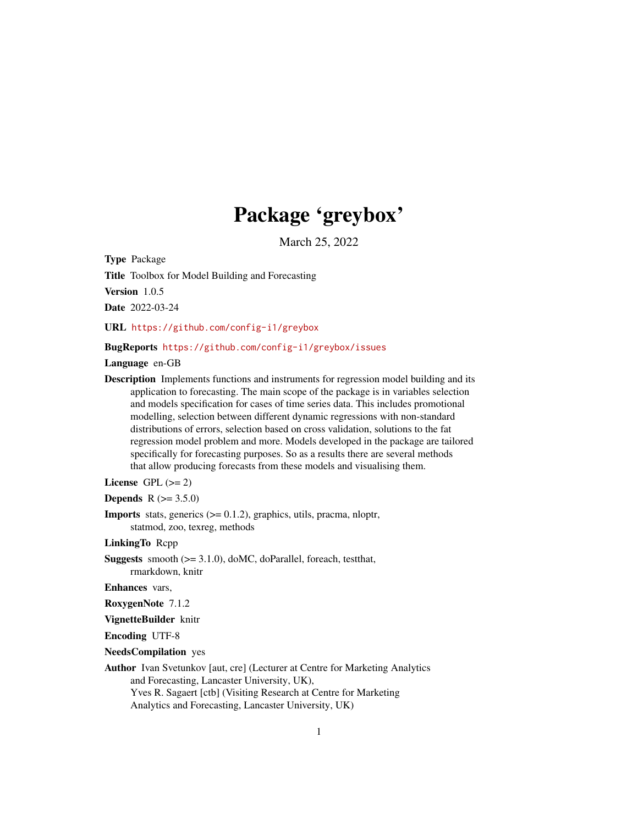# Package 'greybox'

March 25, 2022

<span id="page-0-0"></span>Type Package

Title Toolbox for Model Building and Forecasting

Version 1.0.5

Date 2022-03-24

URL <https://github.com/config-i1/greybox>

# BugReports <https://github.com/config-i1/greybox/issues>

Language en-GB

Description Implements functions and instruments for regression model building and its application to forecasting. The main scope of the package is in variables selection and models specification for cases of time series data. This includes promotional modelling, selection between different dynamic regressions with non-standard distributions of errors, selection based on cross validation, solutions to the fat regression model problem and more. Models developed in the package are tailored specifically for forecasting purposes. So as a results there are several methods that allow producing forecasts from these models and visualising them.

License GPL  $(>= 2)$ 

**Depends**  $R (= 3.5.0)$ 

**Imports** stats, generics  $(>= 0.1.2)$ , graphics, utils, pracma, nloptr, statmod, zoo, texreg, methods

LinkingTo Rcpp

Suggests smooth (>= 3.1.0), doMC, doParallel, foreach, testthat, rmarkdown, knitr

Enhances vars,

RoxygenNote 7.1.2

VignetteBuilder knitr

Encoding UTF-8

NeedsCompilation yes

Author Ivan Svetunkov [aut, cre] (Lecturer at Centre for Marketing Analytics and Forecasting, Lancaster University, UK), Yves R. Sagaert [ctb] (Visiting Research at Centre for Marketing Analytics and Forecasting, Lancaster University, UK)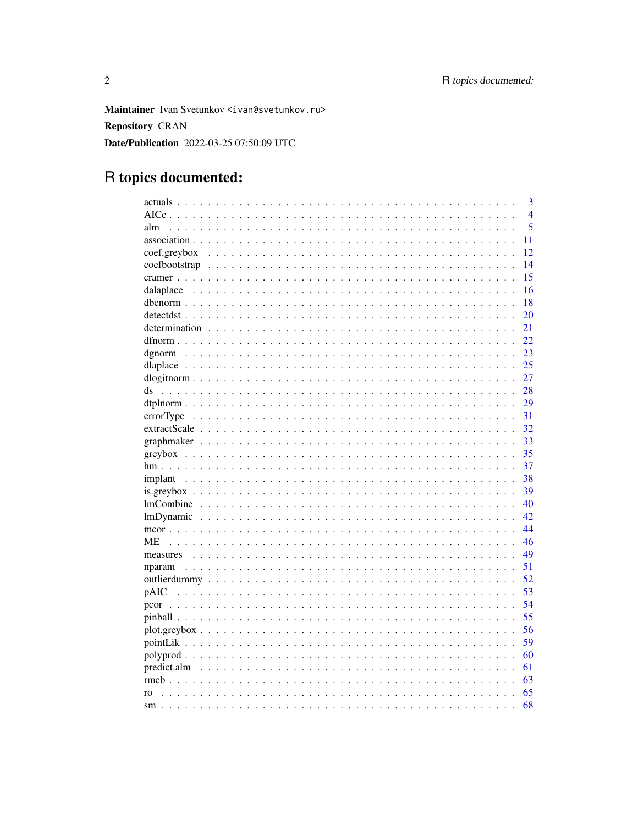Maintainer Ivan Svetunkov <ivan@svetunkov.ru> **Repository CRAN** Date/Publication 2022-03-25 07:50:09 UTC

# R topics documented:

| 3                  |
|--------------------|
| $\overline{4}$     |
| 5<br>alm           |
| 11                 |
| 12<br>coef.greybox |
| 14                 |
| 15                 |
| 16                 |
| 18                 |
| 20                 |
| 21                 |
| 22                 |
| 23                 |
| 25                 |
| 27                 |
| 28<br>ds           |
| 29                 |
| 31                 |
| 32                 |
| 33                 |
| 35                 |
| 37                 |
| 38<br>implant      |
| 39<br>$is.greybox$ |
| 40                 |
| 42                 |
| 44                 |
| 46<br>МE           |
| 49                 |
| 51                 |
| 52                 |
| 53                 |
| 54                 |
| 55                 |
| 56                 |
| 59                 |
| 60                 |
| 61                 |
| 63                 |
| 65<br>ro           |
| 68                 |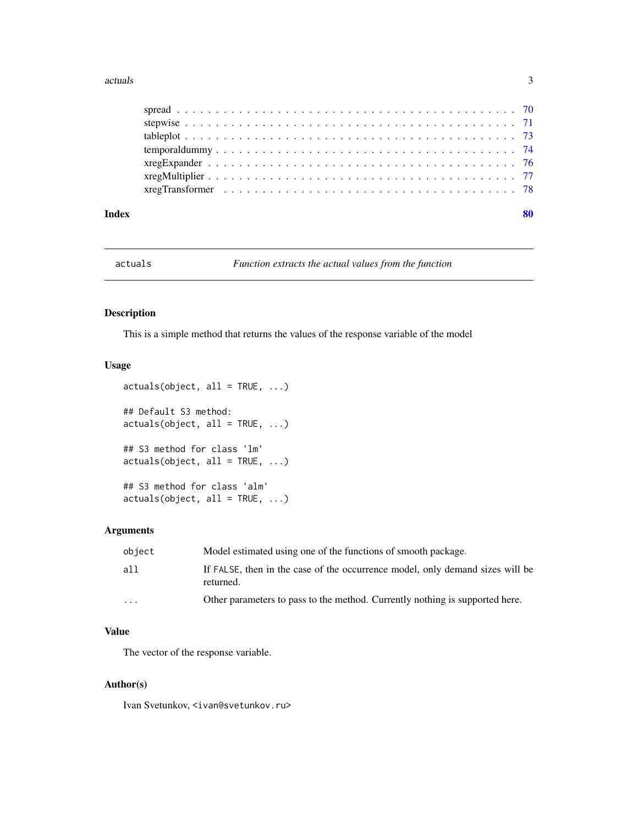#### <span id="page-2-0"></span>actuals 3

| Index | 80 |
|-------|----|
|       |    |
|       |    |
|       |    |
|       |    |
|       |    |
|       |    |
|       |    |

actuals *Function extracts the actual values from the function*

# Description

This is a simple method that returns the values of the response variable of the model

# Usage

```
actuals(object, all = TRUE, ...)## Default S3 method:
actuals(object, all = TRUE, ...)## S3 method for class 'lm'
actuals(object, all = TRUE, ...)
## S3 method for class 'alm'
actuals(object, all = TRUE, ...)
```
#### Arguments

| object                  | Model estimated using one of the functions of smooth package.                              |
|-------------------------|--------------------------------------------------------------------------------------------|
| a11                     | If FALSE, then in the case of the occurrence model, only demand sizes will be<br>returned. |
| $\cdot$ $\cdot$ $\cdot$ | Other parameters to pass to the method. Currently nothing is supported here.               |

# Value

The vector of the response variable.

#### Author(s)

Ivan Svetunkov, <ivan@svetunkov.ru>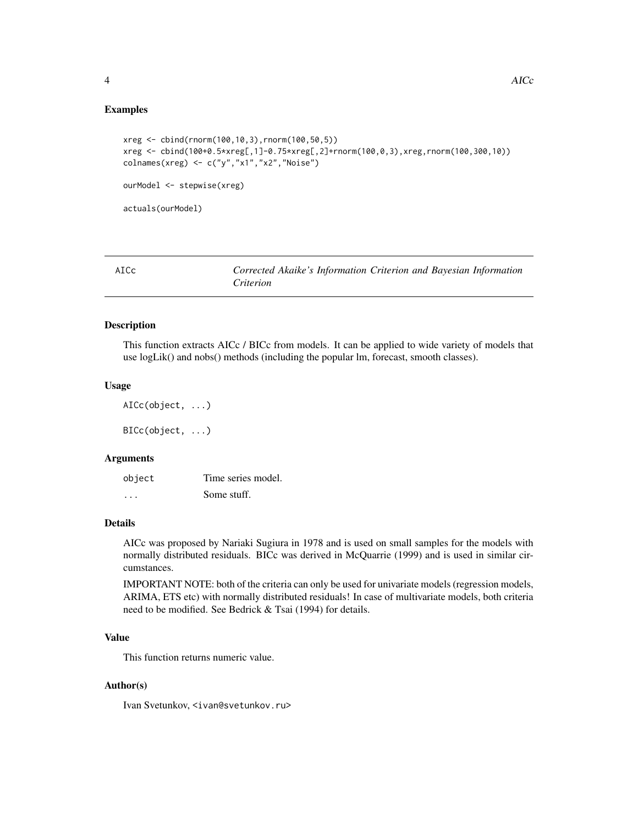# <span id="page-3-0"></span>Examples

```
xreg <- cbind(rnorm(100,10,3),rnorm(100,50,5))
xreg <- cbind(100+0.5*xreg[,1]-0.75*xreg[,2]+rnorm(100,0,3),xreg,rnorm(100,300,10))
colnames(xreg) <- c("y","x1","x2","Noise")
ourModel <- stepwise(xreg)
actuals(ourModel)
```
<span id="page-3-1"></span>

| AICc | Corrected Akaike's Information Criterion and Bayesian Information |  |  |  |
|------|-------------------------------------------------------------------|--|--|--|
|      | Criterion                                                         |  |  |  |

# <span id="page-3-2"></span>Description

This function extracts AICc / BICc from models. It can be applied to wide variety of models that use logLik() and nobs() methods (including the popular lm, forecast, smooth classes).

#### Usage

AICc(object, ...)

BICc(object, ...)

#### Arguments

| object | Time series model. |
|--------|--------------------|
| .      | Some stuff.        |

# Details

AICc was proposed by Nariaki Sugiura in 1978 and is used on small samples for the models with normally distributed residuals. BICc was derived in McQuarrie (1999) and is used in similar circumstances.

IMPORTANT NOTE: both of the criteria can only be used for univariate models (regression models, ARIMA, ETS etc) with normally distributed residuals! In case of multivariate models, both criteria need to be modified. See Bedrick & Tsai (1994) for details.

# Value

This function returns numeric value.

# Author(s)

Ivan Svetunkov, <ivan@svetunkov.ru>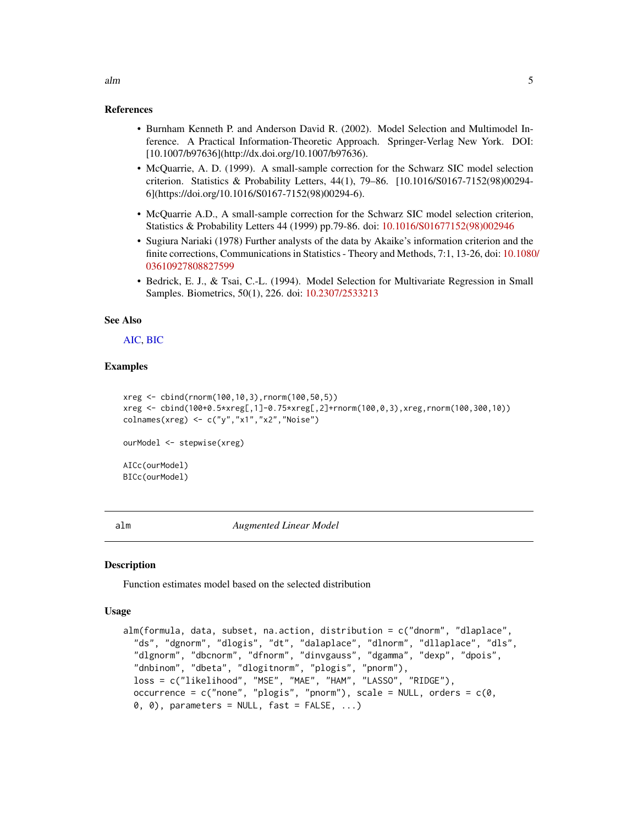#### References

- Burnham Kenneth P. and Anderson David R. (2002). Model Selection and Multimodel Inference. A Practical Information-Theoretic Approach. Springer-Verlag New York. DOI: [10.1007/b97636](http://dx.doi.org/10.1007/b97636).
- McQuarrie, A. D. (1999). A small-sample correction for the Schwarz SIC model selection criterion. Statistics & Probability Letters, 44(1), 79–86. [10.1016/S0167-7152(98)00294- 6](https://doi.org/10.1016/S0167-7152(98)00294-6).
- McQuarrie A.D., A small-sample correction for the Schwarz SIC model selection criterion, Statistics & Probability Letters 44 (1999) pp.79-86. doi: [10.1016/S01677152\(98\)002946](https://doi.org/10.1016/S0167-7152(98)00294-6)
- Sugiura Nariaki (1978) Further analysts of the data by Akaike's information criterion and the finite corrections, Communications in Statistics - Theory and Methods, 7:1, 13-26, doi: [10.1080](https://doi.org/10.1080/03610927808827599)/ [03610927808827599](https://doi.org/10.1080/03610927808827599)
- Bedrick, E. J., & Tsai, C.-L. (1994). Model Selection for Multivariate Regression in Small Samples. Biometrics, 50(1), 226. doi: [10.2307/2533213](https://doi.org/10.2307/2533213)

# See Also

#### [AIC,](#page-0-0) [BIC](#page-0-0)

# Examples

```
xreg <- cbind(rnorm(100,10,3),rnorm(100,50,5))
xreg <- cbind(100+0.5*xreg[,1]-0.75*xreg[,2]+rnorm(100,0,3),xreg,rnorm(100,300,10))
colnames(xreg) <- c("y","x1","x2","Noise")
ourModel <- stepwise(xreg)
AICc(ourModel)
BICc(ourModel)
```
<span id="page-4-1"></span>

alm *Augmented Linear Model*

#### **Description**

Function estimates model based on the selected distribution

#### Usage

```
alm(formula, data, subset, na.action, distribution = c("dnorm", "dlaplace",
  "ds", "dgnorm", "dlogis", "dt", "dalaplace", "dlnorm", "dllaplace", "dls",
  "dlgnorm", "dbcnorm", "dfnorm", "dinvgauss", "dgamma", "dexp", "dpois",
  "dnbinom", "dbeta", "dlogitnorm", "plogis", "pnorm"),
  loss = c("likelihood", "MSE", "MAE", "HAM", "LASSO", "RIDGE"),
  occurrence = c("none", "plogis", "pnorm"), scale = NULL, orders = <math>c(0,</math>0, 0), parameters = NULL, fast = FALSE, ...)
```
<span id="page-4-0"></span> $\lambda$ alm  $\sim$  5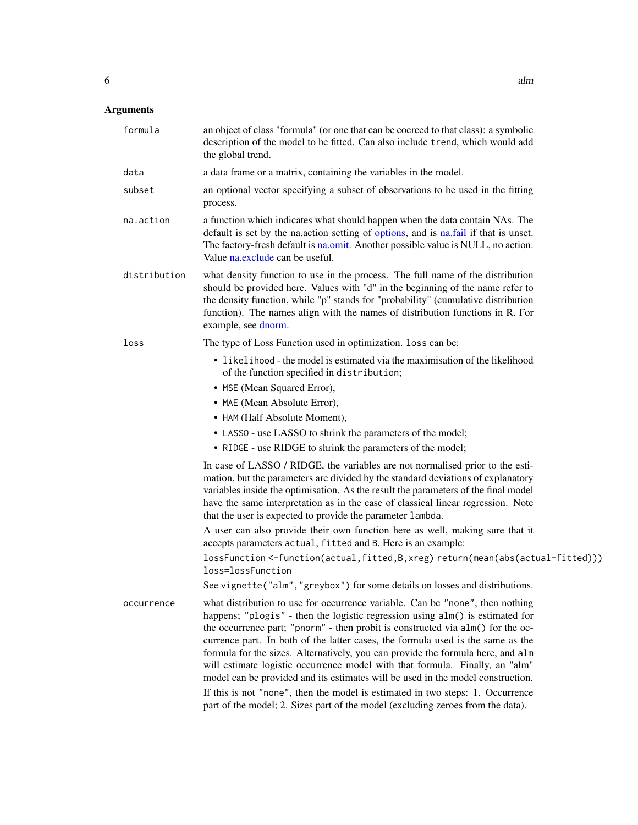# Arguments

| formula      | an object of class "formula" (or one that can be coerced to that class): a symbolic<br>description of the model to be fitted. Can also include trend, which would add<br>the global trend.                                                                                                                                                                                                                                                                                                                                                                                                                                                                                   |
|--------------|------------------------------------------------------------------------------------------------------------------------------------------------------------------------------------------------------------------------------------------------------------------------------------------------------------------------------------------------------------------------------------------------------------------------------------------------------------------------------------------------------------------------------------------------------------------------------------------------------------------------------------------------------------------------------|
| data         | a data frame or a matrix, containing the variables in the model.                                                                                                                                                                                                                                                                                                                                                                                                                                                                                                                                                                                                             |
| subset       | an optional vector specifying a subset of observations to be used in the fitting<br>process.                                                                                                                                                                                                                                                                                                                                                                                                                                                                                                                                                                                 |
| na.action    | a function which indicates what should happen when the data contain NAs. The<br>default is set by the na.action setting of options, and is na.fail if that is unset.<br>The factory-fresh default is na.omit. Another possible value is NULL, no action.<br>Value na.exclude can be useful.                                                                                                                                                                                                                                                                                                                                                                                  |
| distribution | what density function to use in the process. The full name of the distribution<br>should be provided here. Values with "d" in the beginning of the name refer to<br>the density function, while "p" stands for "probability" (cumulative distribution<br>function). The names align with the names of distribution functions in R. For<br>example, see dnorm.                                                                                                                                                                                                                                                                                                                |
| loss         | The type of Loss Function used in optimization. loss can be:                                                                                                                                                                                                                                                                                                                                                                                                                                                                                                                                                                                                                 |
|              | • likelihood - the model is estimated via the maximisation of the likelihood<br>of the function specified in distribution;                                                                                                                                                                                                                                                                                                                                                                                                                                                                                                                                                   |
|              | • MSE (Mean Squared Error),                                                                                                                                                                                                                                                                                                                                                                                                                                                                                                                                                                                                                                                  |
|              | • MAE (Mean Absolute Error),                                                                                                                                                                                                                                                                                                                                                                                                                                                                                                                                                                                                                                                 |
|              | • HAM (Half Absolute Moment),                                                                                                                                                                                                                                                                                                                                                                                                                                                                                                                                                                                                                                                |
|              | • LASSO - use LASSO to shrink the parameters of the model;<br>• RIDGE - use RIDGE to shrink the parameters of the model;                                                                                                                                                                                                                                                                                                                                                                                                                                                                                                                                                     |
|              | In case of LASSO / RIDGE, the variables are not normalised prior to the esti-<br>mation, but the parameters are divided by the standard deviations of explanatory<br>variables inside the optimisation. As the result the parameters of the final model<br>have the same interpretation as in the case of classical linear regression. Note<br>that the user is expected to provide the parameter lambda.                                                                                                                                                                                                                                                                    |
|              | A user can also provide their own function here as well, making sure that it<br>accepts parameters actual, fitted and B. Here is an example:                                                                                                                                                                                                                                                                                                                                                                                                                                                                                                                                 |
|              | lossFunction <-function(actual,fitted,B,xreg)return(mean(abs(actual-fitted)))<br>loss=lossFunction                                                                                                                                                                                                                                                                                                                                                                                                                                                                                                                                                                           |
|              | See vignette("alm", "greybox") for some details on losses and distributions.                                                                                                                                                                                                                                                                                                                                                                                                                                                                                                                                                                                                 |
| occurrence   | what distribution to use for occurrence variable. Can be "none", then nothing<br>happens; "plogis" - then the logistic regression using alm() is estimated for<br>the occurrence part; "pnorm" - then probit is constructed via alm() for the oc-<br>currence part. In both of the latter cases, the formula used is the same as the<br>formula for the sizes. Alternatively, you can provide the formula here, and alm<br>will estimate logistic occurrence model with that formula. Finally, an "alm"<br>model can be provided and its estimates will be used in the model construction.<br>If this is not "none", then the model is estimated in two steps: 1. Occurrence |
|              | part of the model; 2. Sizes part of the model (excluding zeroes from the data).                                                                                                                                                                                                                                                                                                                                                                                                                                                                                                                                                                                              |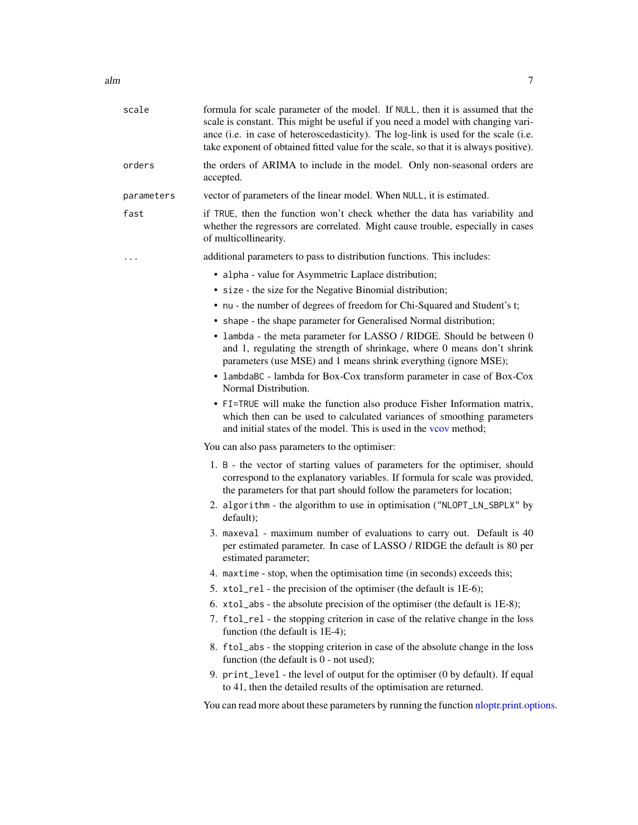| scale      | formula for scale parameter of the model. If NULL, then it is assumed that the<br>scale is constant. This might be useful if you need a model with changing vari-<br>ance (i.e. in case of heteroscedasticity). The log-link is used for the scale (i.e.<br>take exponent of obtained fitted value for the scale, so that it is always positive). |
|------------|---------------------------------------------------------------------------------------------------------------------------------------------------------------------------------------------------------------------------------------------------------------------------------------------------------------------------------------------------|
| orders     | the orders of ARIMA to include in the model. Only non-seasonal orders are<br>accepted.                                                                                                                                                                                                                                                            |
| parameters | vector of parameters of the linear model. When NULL, it is estimated.                                                                                                                                                                                                                                                                             |
| fast       | if TRUE, then the function won't check whether the data has variability and<br>whether the regressors are correlated. Might cause trouble, especially in cases<br>of multicollinearity.                                                                                                                                                           |
| .          | additional parameters to pass to distribution functions. This includes:                                                                                                                                                                                                                                                                           |
|            | • alpha - value for Asymmetric Laplace distribution;                                                                                                                                                                                                                                                                                              |
|            | • size - the size for the Negative Binomial distribution;                                                                                                                                                                                                                                                                                         |
|            | • nu - the number of degrees of freedom for Chi-Squared and Student's t;                                                                                                                                                                                                                                                                          |
|            | • shape - the shape parameter for Generalised Normal distribution;                                                                                                                                                                                                                                                                                |
|            | • lambda - the meta parameter for LASSO / RIDGE. Should be between 0<br>and 1, regulating the strength of shrinkage, where 0 means don't shrink<br>parameters (use MSE) and 1 means shrink everything (ignore MSE);                                                                                                                               |
|            | • lambdaBC - lambda for Box-Cox transform parameter in case of Box-Cox<br>Normal Distribution.                                                                                                                                                                                                                                                    |
|            | • FI=TRUE will make the function also produce Fisher Information matrix,<br>which then can be used to calculated variances of smoothing parameters<br>and initial states of the model. This is used in the voor method;                                                                                                                           |
|            | You can also pass parameters to the optimiser:                                                                                                                                                                                                                                                                                                    |
|            | 1. B - the vector of starting values of parameters for the optimiser, should<br>correspond to the explanatory variables. If formula for scale was provided,<br>the parameters for that part should follow the parameters for location;                                                                                                            |
|            | 2. algorithm - the algorithm to use in optimisation ("NLOPT_LN_SBPLX" by<br>default);                                                                                                                                                                                                                                                             |
|            | 3. maxeval - maximum number of evaluations to carry out. Default is 40<br>per estimated parameter. In case of LASSO / RIDGE the default is 80 per<br>estimated parameter;                                                                                                                                                                         |
|            | 4. maxtime - stop, when the optimisation time (in seconds) exceeds this;                                                                                                                                                                                                                                                                          |
|            | 5. xtol_rel - the precision of the optimiser (the default is 1E-6);                                                                                                                                                                                                                                                                               |
|            | 6. xtol_abs - the absolute precision of the optimiser (the default is 1E-8);                                                                                                                                                                                                                                                                      |
|            | 7. ftol_rel - the stopping criterion in case of the relative change in the loss<br>function (the default is 1E-4);                                                                                                                                                                                                                                |
|            | 8. ftol_abs - the stopping criterion in case of the absolute change in the loss<br>function (the default is 0 - not used);                                                                                                                                                                                                                        |
|            | 9. print_level - the level of output for the optimiser (0 by default). If equal<br>to 41, then the detailed results of the optimisation are returned.                                                                                                                                                                                             |
|            | You can read more about these parameters by running the function nloptr.print.options.                                                                                                                                                                                                                                                            |
|            |                                                                                                                                                                                                                                                                                                                                                   |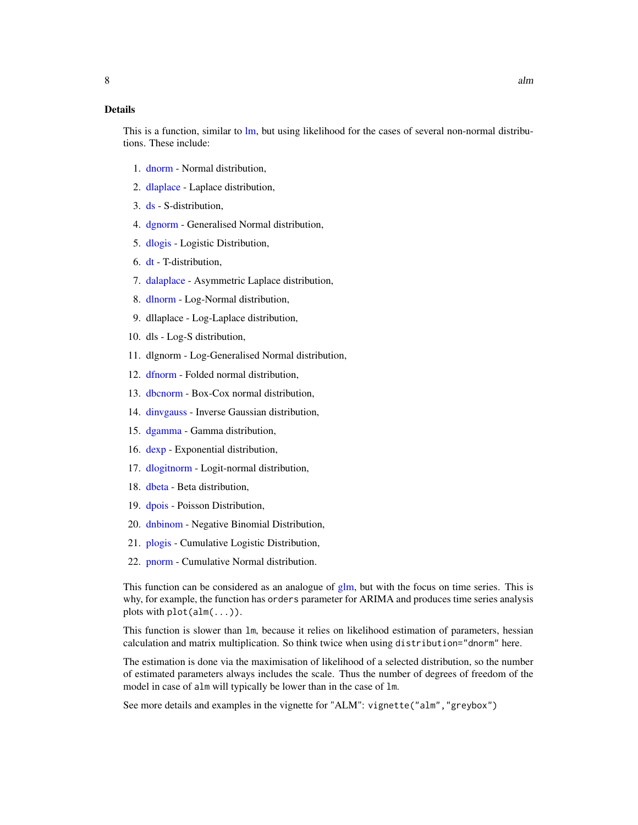This is a function, similar to [lm,](#page-0-0) but using likelihood for the cases of several non-normal distributions. These include:

- 1. [dnorm](#page-0-0) Normal distribution,
- 2. [dlaplace](#page-24-1) Laplace distribution,
- 3. [ds](#page-27-1) S-distribution,
- 4. [dgnorm](#page-22-1) Generalised Normal distribution,
- 5. [dlogis](#page-0-0) Logistic Distribution,
- 6. [dt](#page-0-0) T-distribution,
- 7. [dalaplace](#page-15-1) Asymmetric Laplace distribution,
- 8. [dlnorm](#page-0-0) Log-Normal distribution,
- 9. dllaplace Log-Laplace distribution,
- 10. dls Log-S distribution,
- 11. dlgnorm Log-Generalised Normal distribution,
- 12. [dfnorm](#page-21-1) Folded normal distribution,
- 13. [dbcnorm](#page-17-1) Box-Cox normal distribution,
- 14. [dinvgauss](#page-0-0) Inverse Gaussian distribution,
- 15. [dgamma](#page-0-0) Gamma distribution,
- 16. [dexp](#page-0-0) Exponential distribution,
- 17. [dlogitnorm](#page-26-1) Logit-normal distribution,
- 18. [dbeta](#page-0-0) Beta distribution,
- 19. [dpois](#page-0-0) Poisson Distribution,
- 20. [dnbinom](#page-0-0) Negative Binomial Distribution,
- 21. [plogis](#page-0-0) Cumulative Logistic Distribution,
- 22. [pnorm](#page-0-0) Cumulative Normal distribution.

This function can be considered as an analogue of [glm,](#page-0-0) but with the focus on time series. This is why, for example, the function has orders parameter for ARIMA and produces time series analysis plots with  $plot(alm(...))$ .

This function is slower than lm, because it relies on likelihood estimation of parameters, hessian calculation and matrix multiplication. So think twice when using distribution="dnorm" here.

The estimation is done via the maximisation of likelihood of a selected distribution, so the number of estimated parameters always includes the scale. Thus the number of degrees of freedom of the model in case of alm will typically be lower than in the case of lm.

See more details and examples in the vignette for "ALM": vignette("alm","greybox")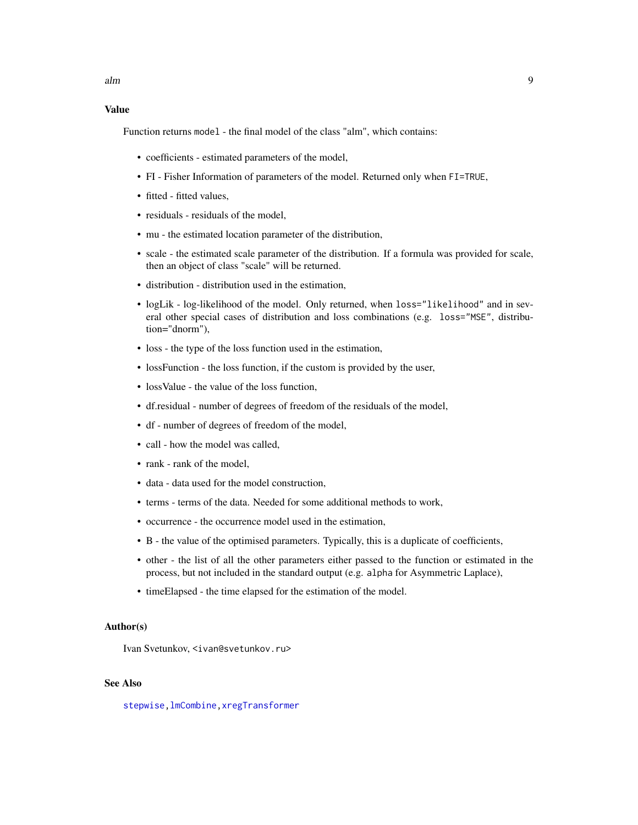#### Value

Function returns model - the final model of the class "alm", which contains:

- coefficients estimated parameters of the model,
- FI Fisher Information of parameters of the model. Returned only when FI=TRUE,
- fitted fitted values,
- residuals residuals of the model,
- mu the estimated location parameter of the distribution,
- scale the estimated scale parameter of the distribution. If a formula was provided for scale, then an object of class "scale" will be returned.
- distribution distribution used in the estimation,
- logLik log-likelihood of the model. Only returned, when loss="likelihood" and in several other special cases of distribution and loss combinations (e.g. loss="MSE", distribution="dnorm"),
- loss the type of the loss function used in the estimation,
- lossFunction the loss function, if the custom is provided by the user,
- loss Value the value of the loss function,
- df.residual number of degrees of freedom of the residuals of the model,
- df number of degrees of freedom of the model,
- call how the model was called,
- rank rank of the model,
- data data used for the model construction,
- terms terms of the data. Needed for some additional methods to work,
- occurrence the occurrence model used in the estimation,
- B the value of the optimised parameters. Typically, this is a duplicate of coefficients,
- other the list of all the other parameters either passed to the function or estimated in the process, but not included in the standard output (e.g. alpha for Asymmetric Laplace),
- timeElapsed the time elapsed for the estimation of the model.

#### Author(s)

Ivan Svetunkov, <ivan@svetunkov.ru>

# See Also

[stepwise](#page-70-1)[,lmCombine](#page-39-1)[,xregTransformer](#page-77-1)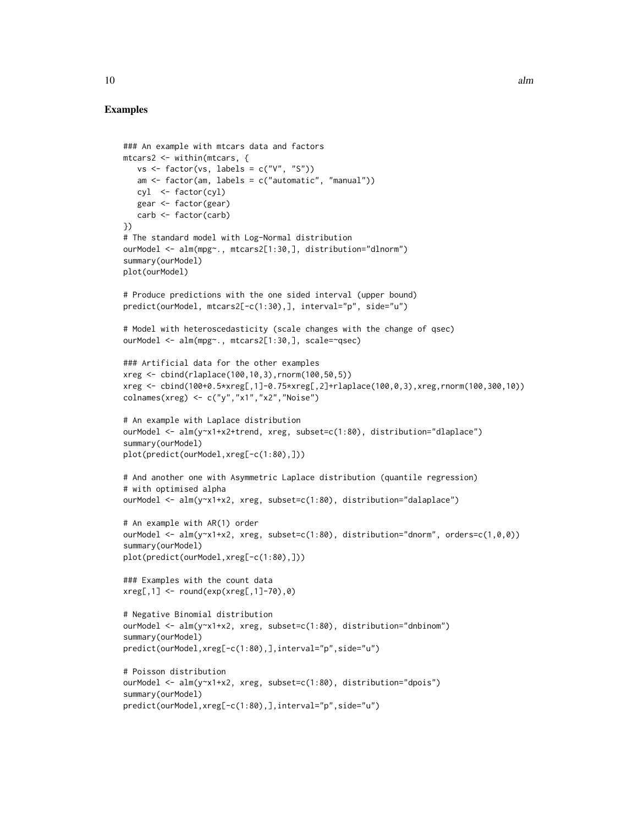# Examples

```
### An example with mtcars data and factors
mtcars2 <- within(mtcars, {
  vs \leftarrow factor(vs, labels = c("V", "S")am <- factor(am, labels = c("automatic", "manual"))
   cyl <- factor(cyl)
   gear <- factor(gear)
   carb <- factor(carb)
})
# The standard model with Log-Normal distribution
ourModel <- alm(mpg~., mtcars2[1:30,], distribution="dlnorm")
summary(ourModel)
plot(ourModel)
# Produce predictions with the one sided interval (upper bound)
predict(ourModel, mtcars2[-c(1:30),], interval="p", side="u")
# Model with heteroscedasticity (scale changes with the change of qsec)
ourModel <- alm(mpg~., mtcars2[1:30,], scale=~qsec)
### Artificial data for the other examples
xreg <- cbind(rlaplace(100,10,3),rnorm(100,50,5))
xreg <- cbind(100+0.5*xreg[,1]-0.75*xreg[,2]+rlaplace(100,0,3),xreg,rnorm(100,300,10))
colnames(xreg) <- c("y","x1","x2","Noise")
# An example with Laplace distribution
ourModel <- alm(y~x1+x2+trend, xreg, subset=c(1:80), distribution="dlaplace")
summary(ourModel)
plot(predict(ourModel,xreg[-c(1:80),]))
# And another one with Asymmetric Laplace distribution (quantile regression)
# with optimised alpha
ourModel <- alm(y~x1+x2, xreg, subset=c(1:80), distribution="dalaplace")
# An example with AR(1) order
ourModel <- alm(y~x1+x2, xreg, subset=c(1:80), distribution="dnorm", orders=c(1,0,0))
summary(ourModel)
plot(predict(ourModel,xreg[-c(1:80),]))
### Examples with the count data
xreg[,1] <- round(exp(xreg[,1]-70),0)
# Negative Binomial distribution
ourModel <- alm(y~x1+x2, xreg, subset=c(1:80), distribution="dnbinom")
summary(ourModel)
predict(ourModel,xreg[-c(1:80),],interval="p",side="u")
# Poisson distribution
ourModel <- alm(y~x1+x2, xreg, subset=c(1:80), distribution="dpois")
summary(ourModel)
predict(ourModel,xreg[-c(1:80),],interval="p",side="u")
```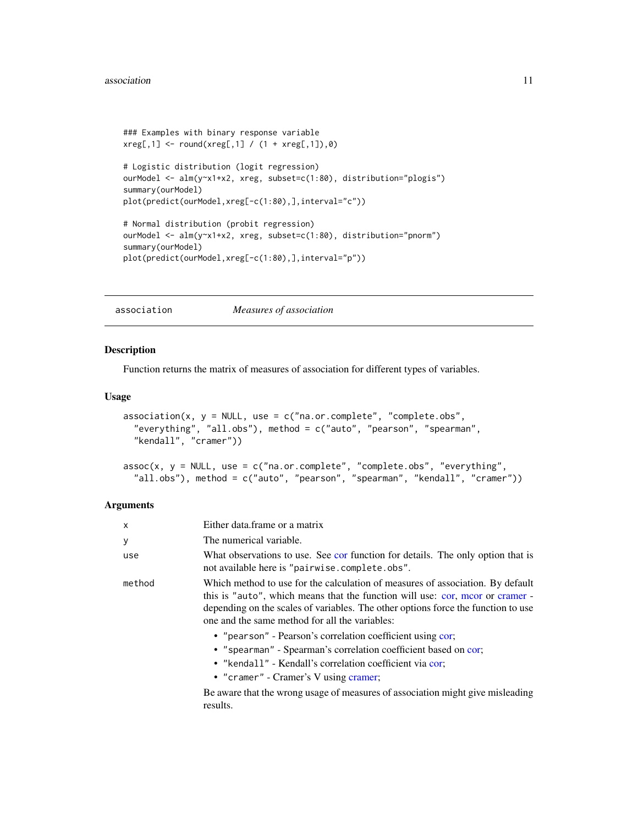```
### Examples with binary response variable
xreg[, 1] <- round(xreg[, 1] / (1 + xreg[, 1]), 0)
# Logistic distribution (logit regression)
ourModel <- alm(y~x1+x2, xreg, subset=c(1:80), distribution="plogis")
summary(ourModel)
plot(predict(ourModel,xreg[-c(1:80),],interval="c"))
# Normal distribution (probit regression)
ourModel <- alm(y~x1+x2, xreg, subset=c(1:80), distribution="pnorm")
summary(ourModel)
plot(predict(ourModel,xreg[-c(1:80),],interval="p"))
```
<span id="page-10-1"></span>association *Measures of association*

# <span id="page-10-2"></span>Description

Function returns the matrix of measures of association for different types of variables.

# Usage

```
association(x, y = NULL, use = c("na.or.complete", "complete.obs","everything", "all.obs"), method = c("auto", "pearson", "spearman",
  "kendall", "cramer"))
```

```
assoc(x, y = NULL, use = c("na.or.complete", "complete.obs", "everything",
  "all.obs"), method = c("auto", "pearson", "spearman", "kendall", "cramer"))
```
# Arguments

| X      | Either data frame or a matrix                                                                                                                                                                                                                                                                          |
|--------|--------------------------------------------------------------------------------------------------------------------------------------------------------------------------------------------------------------------------------------------------------------------------------------------------------|
| у      | The numerical variable.                                                                                                                                                                                                                                                                                |
| use    | What observations to use. See cor function for details. The only option that is<br>not available here is "pairwise.complete.obs".                                                                                                                                                                      |
| method | Which method to use for the calculation of measures of association. By default<br>this is "auto", which means that the function will use: cor, moor or cramer -<br>depending on the scales of variables. The other options force the function to use<br>one and the same method for all the variables: |
|        | • "pearson" - Pearson's correlation coefficient using cor;<br>• "spearman" - Spearman's correlation coefficient based on cor;<br>• "kendall" - Kendall's correlation coefficient via cor;<br>• "cramer" - Cramer's V using cramer;                                                                     |
|        | Be aware that the wrong usage of measures of association might give misleading<br>results.                                                                                                                                                                                                             |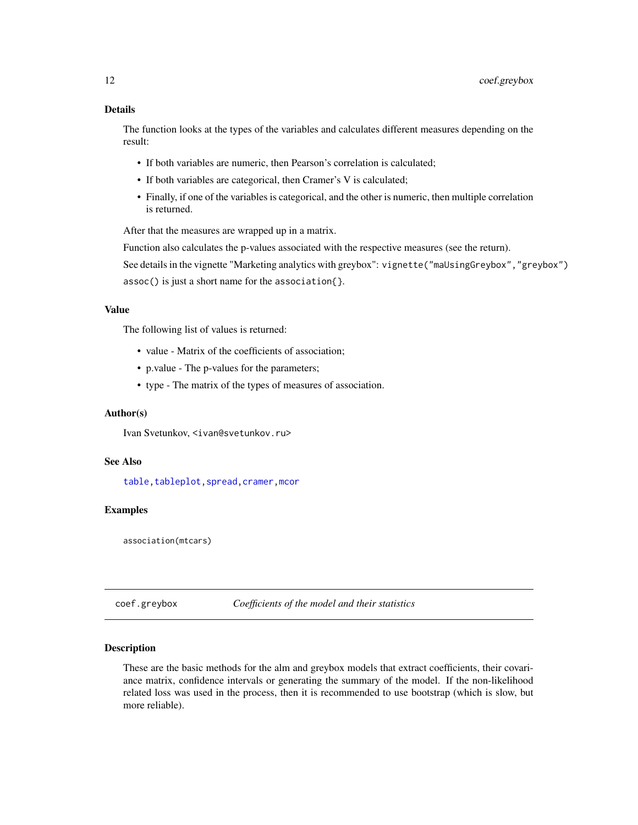# <span id="page-11-0"></span>Details

The function looks at the types of the variables and calculates different measures depending on the result:

- If both variables are numeric, then Pearson's correlation is calculated;
- If both variables are categorical, then Cramer's V is calculated;
- Finally, if one of the variables is categorical, and the other is numeric, then multiple correlation is returned.

After that the measures are wrapped up in a matrix.

Function also calculates the p-values associated with the respective measures (see the return). See details in the vignette "Marketing analytics with greybox": vignette("maUsingGreybox","greybox") assoc() is just a short name for the association{}.

# Value

The following list of values is returned:

- value Matrix of the coefficients of association;
- p.value The p-values for the parameters;
- type The matrix of the types of measures of association.

#### Author(s)

Ivan Svetunkov, <ivan@svetunkov.ru>

# See Also

[table](#page-0-0)[,tableplot](#page-72-1)[,spread,](#page-69-1)[cramer,](#page-14-1)[mcor](#page-43-1)

# Examples

association(mtcars)

coef.greybox *Coefficients of the model and their statistics*

#### Description

These are the basic methods for the alm and greybox models that extract coefficients, their covariance matrix, confidence intervals or generating the summary of the model. If the non-likelihood related loss was used in the process, then it is recommended to use bootstrap (which is slow, but more reliable).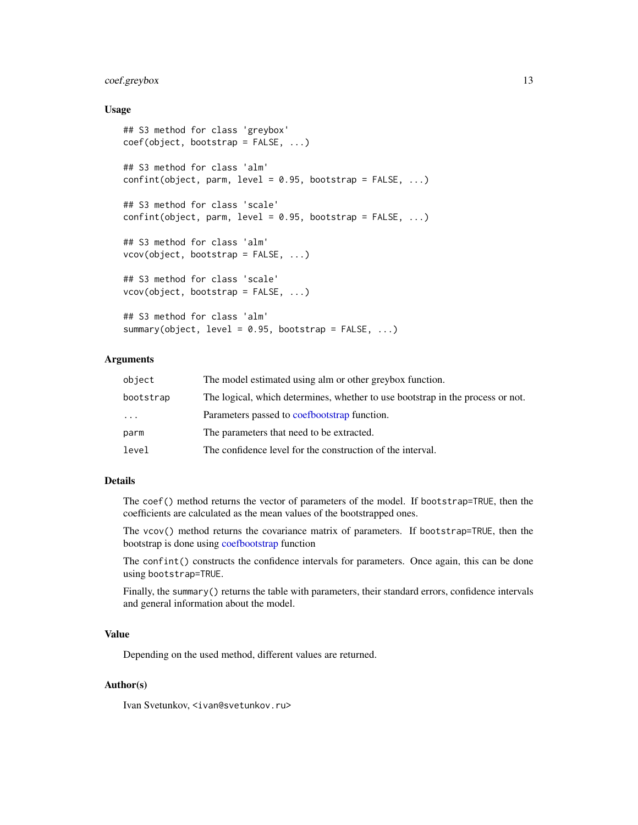# coef.greybox 13

#### Usage

```
## S3 method for class 'greybox'
coef(object, bootstrap = FALSE, ...)
## S3 method for class 'alm'
confint(object, parm, level = 0.95, bootstrap = FALSE, ...)## S3 method for class 'scale'
confint(object, parm, level = 0.95, bootstrap = FALSE, ...)## S3 method for class 'alm'
vcov(object, bootstrap = FALSE, ...)
## S3 method for class 'scale'
vcov(object, bootstrap = FALSE, ...)
## S3 method for class 'alm'
summary(object, level = 0.95, bootstrap = FALSE, ...)
```
# Arguments

| object    | The model estimated using alm or other greybox function.                       |
|-----------|--------------------------------------------------------------------------------|
| bootstrap | The logical, which determines, whether to use bootstrap in the process or not. |
| $\cdots$  | Parameters passed to coefbootstrap function.                                   |
| parm      | The parameters that need to be extracted.                                      |
| level     | The confidence level for the construction of the interval.                     |

# Details

The coef() method returns the vector of parameters of the model. If bootstrap=TRUE, then the coefficients are calculated as the mean values of the bootstrapped ones.

The vcov() method returns the covariance matrix of parameters. If bootstrap=TRUE, then the bootstrap is done using [coefbootstrap](#page-13-1) function

The confint() constructs the confidence intervals for parameters. Once again, this can be done using bootstrap=TRUE.

Finally, the summary() returns the table with parameters, their standard errors, confidence intervals and general information about the model.

#### Value

Depending on the used method, different values are returned.

#### Author(s)

Ivan Svetunkov, <ivan@svetunkov.ru>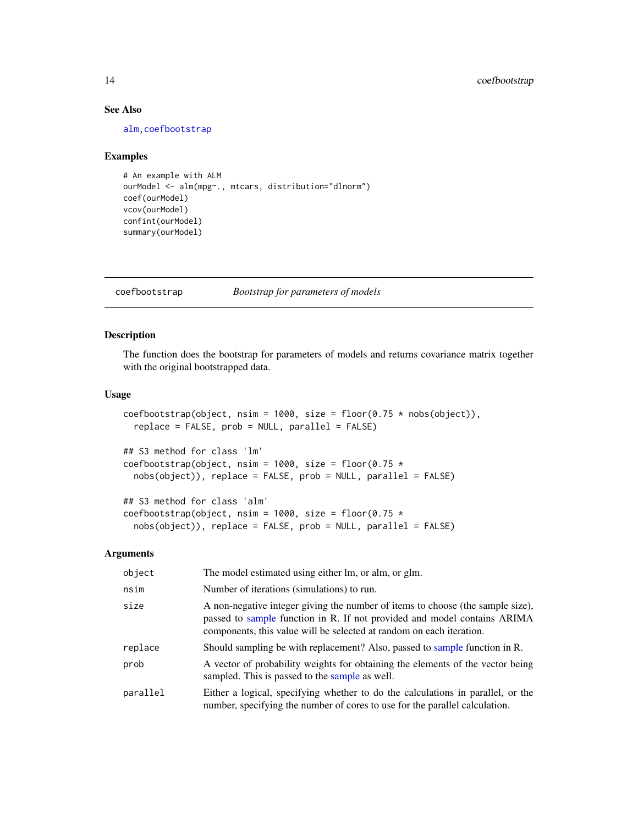# See Also

[alm](#page-4-1)[,coefbootstrap](#page-13-1)

#### Examples

```
# An example with ALM
ourModel <- alm(mpg~., mtcars, distribution="dlnorm")
coef(ourModel)
vcov(ourModel)
confint(ourModel)
summary(ourModel)
```
<span id="page-13-1"></span>coefbootstrap *Bootstrap for parameters of models*

#### Description

The function does the bootstrap for parameters of models and returns covariance matrix together with the original bootstrapped data.

# Usage

coefbootstrap(object, nsim = 1000, size = floor(0.75  $*$  nobs(object)), replace = FALSE, prob = NULL, parallel = FALSE)

```
## S3 method for class 'lm'
coefbootstrap(object, nsim = 1000, size = floor(0.75 *nobs(object)), replace = FALSE, prob = NULL, parallel = FALSE)
```

```
## S3 method for class 'alm'
coefbootstrap(object, nsim = 1000, size = floor(0.75 *nobs(object)), replace = FALSE, prob = NULL, parallel = FALSE)
```
# Arguments

| object   | The model estimated using either lm, or alm, or glm.                                                                                                                                                                               |
|----------|------------------------------------------------------------------------------------------------------------------------------------------------------------------------------------------------------------------------------------|
| nsim     | Number of iterations (simulations) to run.                                                                                                                                                                                         |
| size     | A non-negative integer giving the number of items to choose (the sample size),<br>passed to sample function in R. If not provided and model contains ARIMA<br>components, this value will be selected at random on each iteration. |
| replace  | Should sampling be with replacement? Also, passed to sample function in R.                                                                                                                                                         |
| prob     | A vector of probability weights for obtaining the elements of the vector being<br>sampled. This is passed to the sample as well.                                                                                                   |
| parallel | Either a logical, specifying whether to do the calculations in parallel, or the<br>number, specifying the number of cores to use for the parallel calculation.                                                                     |

<span id="page-13-0"></span>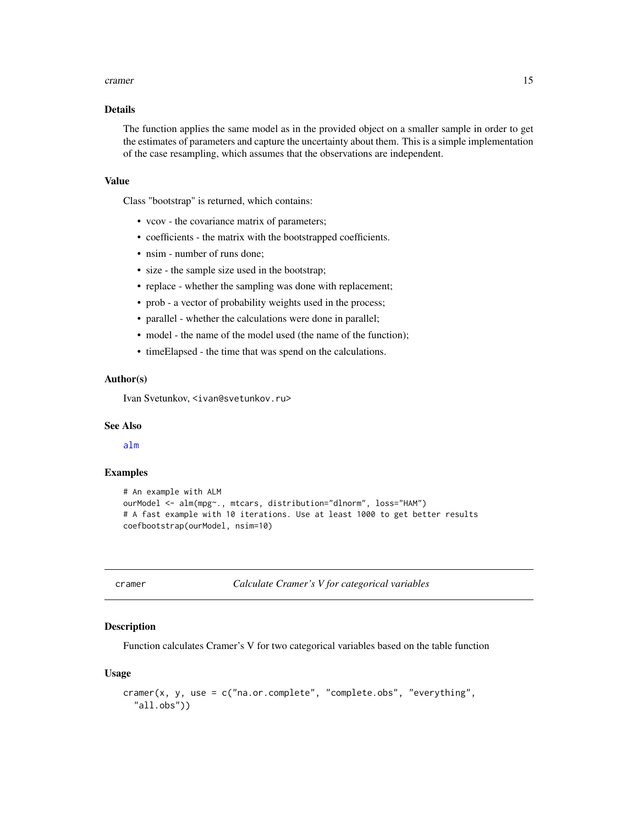#### <span id="page-14-0"></span>cramer and the contract of the contract of the contract of the contract of the contract of the contract of the contract of the contract of the contract of the contract of the contract of the contract of the contract of the

# Details

The function applies the same model as in the provided object on a smaller sample in order to get the estimates of parameters and capture the uncertainty about them. This is a simple implementation of the case resampling, which assumes that the observations are independent.

#### Value

Class "bootstrap" is returned, which contains:

- vcov the covariance matrix of parameters;
- coefficients the matrix with the bootstrapped coefficients.
- nsim number of runs done;
- size the sample size used in the bootstrap;
- replace whether the sampling was done with replacement;
- prob a vector of probability weights used in the process;
- parallel whether the calculations were done in parallel;
- model the name of the model used (the name of the function);
- timeElapsed the time that was spend on the calculations.

#### Author(s)

Ivan Svetunkov, <ivan@svetunkov.ru>

# See Also

[alm](#page-4-1)

# Examples

```
# An example with ALM
ourModel <- alm(mpg~., mtcars, distribution="dlnorm", loss="HAM")
# A fast example with 10 iterations. Use at least 1000 to get better results
coefbootstrap(ourModel, nsim=10)
```
<span id="page-14-1"></span>cramer *Calculate Cramer's V for categorical variables*

#### **Description**

Function calculates Cramer's V for two categorical variables based on the table function

#### Usage

```
cramer(x, y, use = c("na.or.complete", "complete.obs", "everything",
  "all.obs"))
```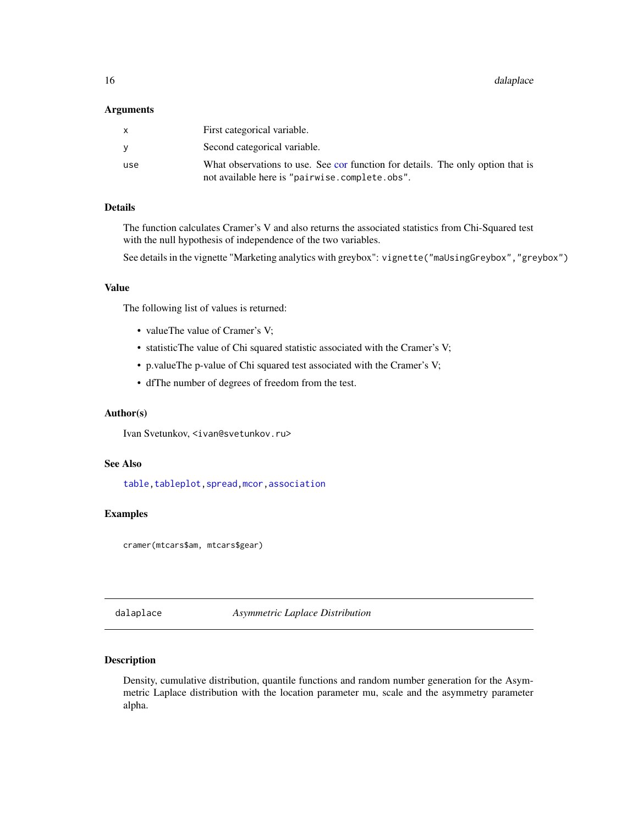<span id="page-15-0"></span>16 dalaplace data below the control of the control of the control of the control of the control of the control of the control of the control of the control of the control of the control of the control of the control of the

#### **Arguments**

| X        | First categorical variable.                                                                                                       |
|----------|-----------------------------------------------------------------------------------------------------------------------------------|
| <b>Y</b> | Second categorical variable.                                                                                                      |
| use      | What observations to use. See cor function for details. The only option that is<br>not available here is "pairwise.complete.obs". |

# Details

The function calculates Cramer's V and also returns the associated statistics from Chi-Squared test with the null hypothesis of independence of the two variables.

See details in the vignette "Marketing analytics with greybox": vignette("maUsingGreybox","greybox")

#### Value

The following list of values is returned:

- valueThe value of Cramer's V;
- statisticThe value of Chi squared statistic associated with the Cramer's V;
- p.valueThe p-value of Chi squared test associated with the Cramer's V;
- dfThe number of degrees of freedom from the test.

# Author(s)

Ivan Svetunkov, <ivan@svetunkov.ru>

# See Also

[table](#page-0-0)[,tableplot](#page-72-1)[,spread,](#page-69-1)[mcor,](#page-43-1)[association](#page-10-1)

# Examples

cramer(mtcars\$am, mtcars\$gear)

<span id="page-15-1"></span>dalaplace *Asymmetric Laplace Distribution*

# <span id="page-15-2"></span>Description

Density, cumulative distribution, quantile functions and random number generation for the Asymmetric Laplace distribution with the location parameter mu, scale and the asymmetry parameter alpha.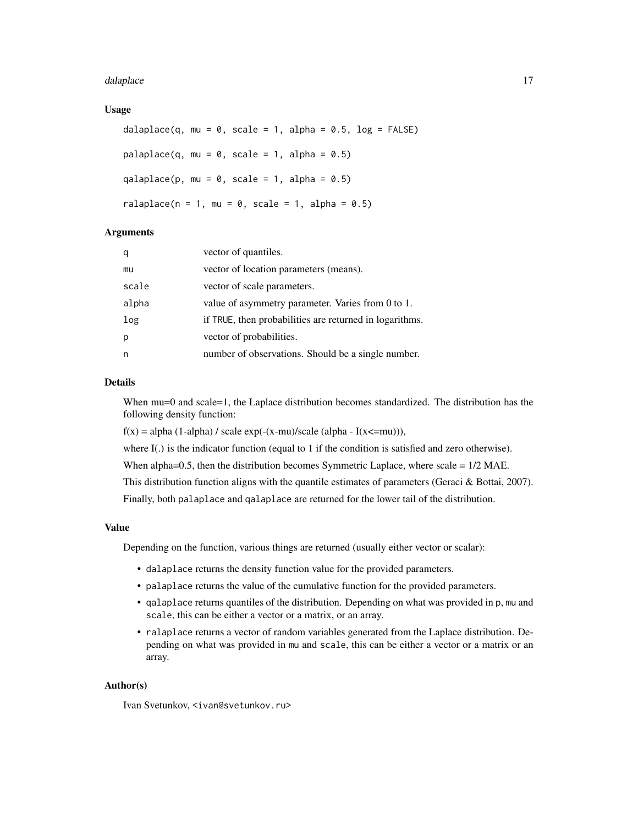#### dalaplace and the contract of the contract of the contract of the contract of the contract of the contract of the contract of the contract of the contract of the contract of the contract of the contract of the contract of

#### Usage

```
dalaplace(q, mu = 0, scale = 1, alpha = 0.5, log = FALSE)
palaplace(q, mu = 0, scale = 1, alpha = 0.5)
qalaplace(p, mu = 0, scale = 1, alpha = 0.5)
ralaplace(n = 1, mu = 0, scale = 1, alpha = 0.5)
```
#### Arguments

| q     | vector of quantiles.                                    |
|-------|---------------------------------------------------------|
| mu    | vector of location parameters (means).                  |
| scale | vector of scale parameters.                             |
| alpha | value of asymmetry parameter. Varies from 0 to 1.       |
| log   | if TRUE, then probabilities are returned in logarithms. |
| p     | vector of probabilities.                                |
| n     | number of observations. Should be a single number.      |

# Details

When mu=0 and scale=1, the Laplace distribution becomes standardized. The distribution has the following density function:

 $f(x) = alpha (1-alpha) / scale exp(-(x-mu)/scale (alpha - I(x=mu))),$ 

where I(.) is the indicator function (equal to 1 if the condition is satisfied and zero otherwise).

When alpha=0.5, then the distribution becomes Symmetric Laplace, where scale =  $1/2$  MAE.

This distribution function aligns with the quantile estimates of parameters (Geraci & Bottai, 2007).

Finally, both palaplace and qalaplace are returned for the lower tail of the distribution.

#### Value

Depending on the function, various things are returned (usually either vector or scalar):

- dalaplace returns the density function value for the provided parameters.
- palaplace returns the value of the cumulative function for the provided parameters.
- qalaplace returns quantiles of the distribution. Depending on what was provided in p, mu and scale, this can be either a vector or a matrix, or an array.
- ralaplace returns a vector of random variables generated from the Laplace distribution. Depending on what was provided in mu and scale, this can be either a vector or a matrix or an array.

# Author(s)

Ivan Svetunkov, <ivan@svetunkov.ru>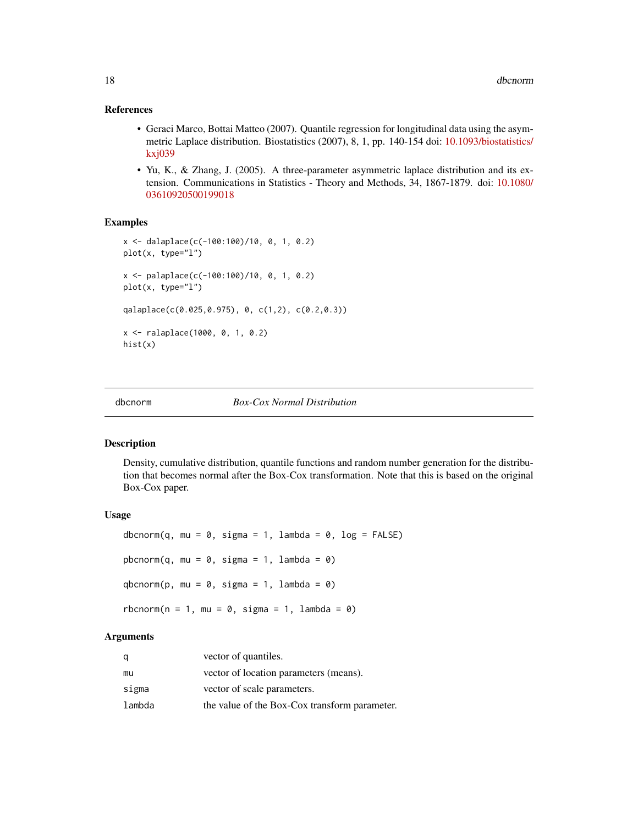#### <span id="page-17-0"></span>References

- Geraci Marco, Bottai Matteo (2007). Quantile regression for longitudinal data using the asymmetric Laplace distribution. Biostatistics (2007), 8, 1, pp. 140-154 doi: [10.1093/biostatistics/](https://doi.org/10.1093/biostatistics/kxj039) [kxj039](https://doi.org/10.1093/biostatistics/kxj039)
- Yu, K., & Zhang, J. (2005). A three-parameter asymmetric laplace distribution and its extension. Communications in Statistics - Theory and Methods, 34, 1867-1879. doi: [10.1080/](https://doi.org/10.1080/03610920500199018) [03610920500199018](https://doi.org/10.1080/03610920500199018)

#### Examples

```
x <- dalaplace(c(-100:100)/10, 0, 1, 0.2)
plot(x, type="l")
x <- palaplace(c(-100:100)/10, 0, 1, 0.2)
plot(x, type="l")
qalaplace(c(0.025,0.975), 0, c(1,2), c(0.2,0.3))
x <- ralaplace(1000, 0, 1, 0.2)
hist(x)
```
<span id="page-17-1"></span>

#### dbcnorm *Box-Cox Normal Distribution*

#### <span id="page-17-2"></span>Description

Density, cumulative distribution, quantile functions and random number generation for the distribution that becomes normal after the Box-Cox transformation. Note that this is based on the original Box-Cox paper.

# Usage

```
dbcnorm(q, mu = 0, sigma = 1, lambda = 0, log = FALSE)
pbcnorm(q, mu = 0, sigma = 1, lambda = 0)
qbcnorm(p, mu = 0, sigma = 1, lambda = 0)
rbcnorm(n = 1, mu = 0, sigma = 1, lambda = 0)
```
#### **Arguments**

| q      | vector of quantiles.                          |
|--------|-----------------------------------------------|
| mu     | vector of location parameters (means).        |
| sigma  | vector of scale parameters.                   |
| lambda | the value of the Box-Cox transform parameter. |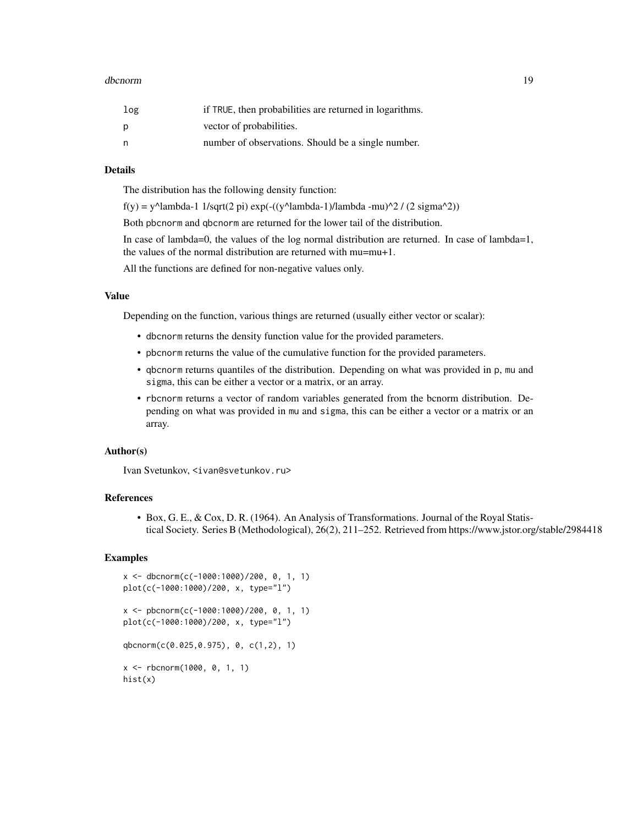#### dbcnorm and the control of the control of the control of the control of the control of the control of the control of the control of the control of the control of the control of the control of the control of the control of

| log | if TRUE, then probabilities are returned in logarithms. |
|-----|---------------------------------------------------------|
| p   | vector of probabilities.                                |
| n,  | number of observations. Should be a single number.      |

#### Details

The distribution has the following density function:

 $f(y) = y^{\text{Alambda-1 1/sqrt}(2 \text{pi}) \exp(-(y^{\text{Alambda-1})/lambda -mu)^{\text{2}} / (2 \text{sigma}^{\text{2}}))$ 

Both pbcnorm and qbcnorm are returned for the lower tail of the distribution.

In case of lambda=0, the values of the log normal distribution are returned. In case of lambda=1, the values of the normal distribution are returned with mu=mu+1.

All the functions are defined for non-negative values only.

# Value

Depending on the function, various things are returned (usually either vector or scalar):

- dbcnorm returns the density function value for the provided parameters.
- pbcnorm returns the value of the cumulative function for the provided parameters.
- qbcnorm returns quantiles of the distribution. Depending on what was provided in p, mu and sigma, this can be either a vector or a matrix, or an array.
- rbcnorm returns a vector of random variables generated from the bcnorm distribution. Depending on what was provided in mu and sigma, this can be either a vector or a matrix or an array.

# Author(s)

Ivan Svetunkov, <ivan@svetunkov.ru>

# References

• Box, G. E., & Cox, D. R. (1964). An Analysis of Transformations. Journal of the Royal Statistical Society. Series B (Methodological), 26(2), 211–252. Retrieved from https://www.jstor.org/stable/2984418

#### Examples

```
x <- dbcnorm(c(-1000:1000)/200, 0, 1, 1)
plot(c(-1000:1000)/200, x, type="l")
x <- pbcnorm(c(-1000:1000)/200, 0, 1, 1)
plot(c(-1000:1000)/200, x, type="l")
qbcnorm(c(0.025,0.975), 0, c(1,2), 1)
x <- rbcnorm(1000, 0, 1, 1)
hist(x)
```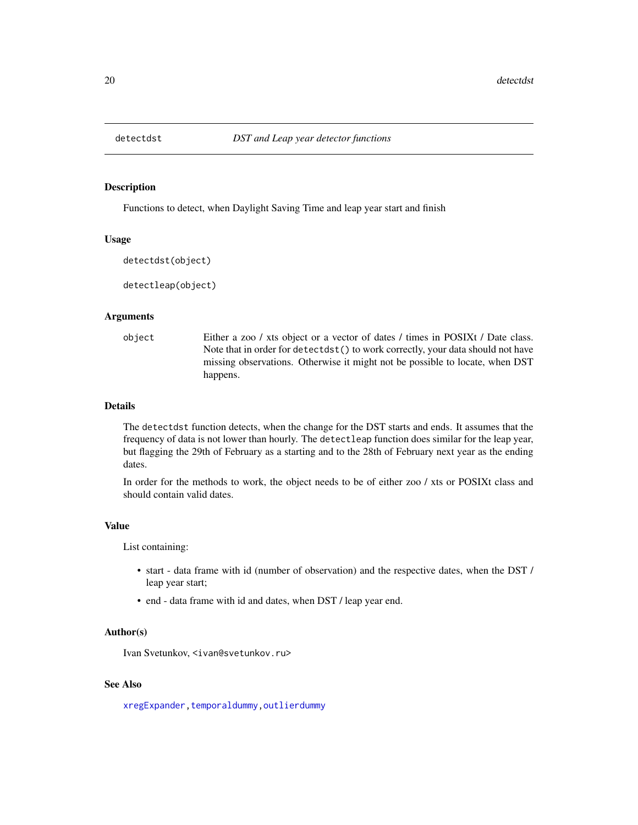<span id="page-19-0"></span>

#### Description

Functions to detect, when Daylight Saving Time and leap year start and finish

# Usage

```
detectdst(object)
```
detectleap(object)

#### Arguments

object Either a zoo / xts object or a vector of dates / times in POSIXt / Date class. Note that in order for detectdst() to work correctly, your data should not have missing observations. Otherwise it might not be possible to locate, when DST happens.

# Details

The detectdst function detects, when the change for the DST starts and ends. It assumes that the frequency of data is not lower than hourly. The detectleap function does similar for the leap year, but flagging the 29th of February as a starting and to the 28th of February next year as the ending dates.

In order for the methods to work, the object needs to be of either zoo / xts or POSIXt class and should contain valid dates.

#### Value

List containing:

- start data frame with id (number of observation) and the respective dates, when the DST / leap year start;
- end data frame with id and dates, when DST / leap year end.

#### Author(s)

Ivan Svetunkov, <ivan@svetunkov.ru>

# See Also

[xregExpander](#page-75-1)[,temporaldummy,](#page-73-1)[outlierdummy](#page-51-1)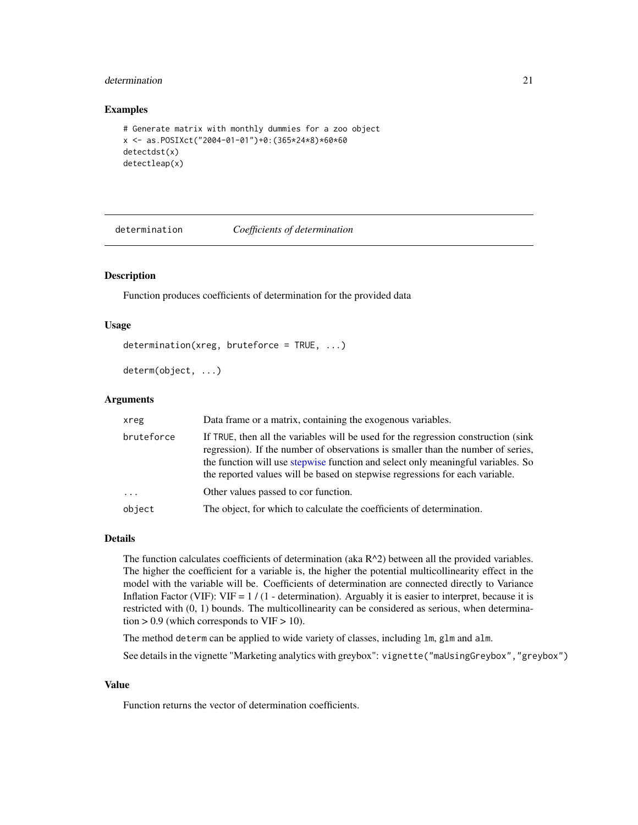# <span id="page-20-0"></span>determination 21

#### Examples

```
# Generate matrix with monthly dummies for a zoo object
x <- as.POSIXct("2004-01-01")+0:(365*24*8)*60*60
detectdst(x)
detectleap(x)
```
<span id="page-20-1"></span>determination *Coefficients of determination*

# Description

Function produces coefficients of determination for the provided data

#### Usage

```
determination(xreg, bruteforce = TRUE, ...)
```
determ(object, ...)

# Arguments

| xreg       | Data frame or a matrix, containing the exogenous variables.                                                                                                                                                                                                                                                                                |
|------------|--------------------------------------------------------------------------------------------------------------------------------------------------------------------------------------------------------------------------------------------------------------------------------------------------------------------------------------------|
| bruteforce | If TRUE, then all the variables will be used for the regression construction (sink<br>regression). If the number of observations is smaller than the number of series,<br>the function will use stepwise function and select only meaningful variables. So<br>the reported values will be based on stepwise regressions for each variable. |
| $\cdots$   | Other values passed to cor function.                                                                                                                                                                                                                                                                                                       |
| object     | The object, for which to calculate the coefficients of determination.                                                                                                                                                                                                                                                                      |

# Details

The function calculates coefficients of determination (aka  $R^2$ ) between all the provided variables. The higher the coefficient for a variable is, the higher the potential multicollinearity effect in the model with the variable will be. Coefficients of determination are connected directly to Variance Inflation Factor (VIF): VIF =  $1/(1 -$  determination). Arguably it is easier to interpret, because it is restricted with (0, 1) bounds. The multicollinearity can be considered as serious, when determination  $> 0.9$  (which corresponds to VIF  $> 10$ ).

The method determ can be applied to wide variety of classes, including lm, glm and alm.

See details in the vignette "Marketing analytics with greybox": vignette("maUsingGreybox","greybox")

#### Value

Function returns the vector of determination coefficients.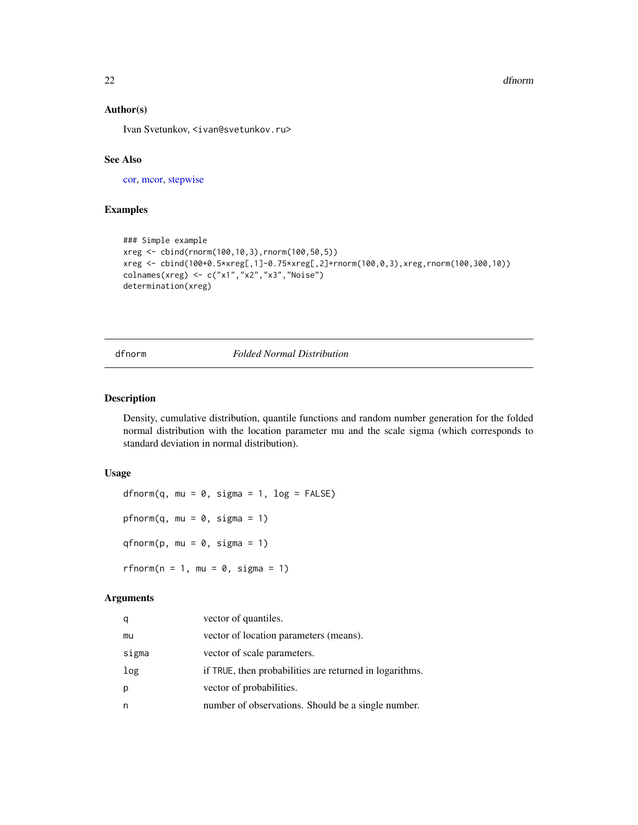#### 22 dfnorm and the contract of the contract of the contract of the contract of the contract of the contract of the contract of the contract of the contract of the contract of the contract of the contract of the contract of

# Author(s)

Ivan Svetunkov, <ivan@svetunkov.ru>

# See Also

[cor,](#page-0-0) [mcor,](#page-43-1) [stepwise](#page-70-1)

# Examples

```
### Simple example
xreg <- cbind(rnorm(100,10,3),rnorm(100,50,5))
xreg <- cbind(100+0.5*xreg[,1]-0.75*xreg[,2]+rnorm(100,0,3),xreg,rnorm(100,300,10))
colnames(xreg) <- c("x1","x2","x3","Noise")
determination(xreg)
```
# dfnorm *Folded Normal Distribution*

#### <span id="page-21-2"></span>Description

Density, cumulative distribution, quantile functions and random number generation for the folded normal distribution with the location parameter mu and the scale sigma (which corresponds to standard deviation in normal distribution).

#### Usage

dfnorm(q, mu =  $0$ , sigma = 1, log = FALSE) pfnorm $(q, mu = 0, sigma = 1)$  $q\nfnorm(p, mu = 0, sigma = 1)$ rfnorm $(n = 1, mu = 0, sigma = 1)$ 

# Arguments

| q     | vector of quantiles.                                    |
|-------|---------------------------------------------------------|
| mu    | vector of location parameters (means).                  |
| sigma | vector of scale parameters.                             |
| log   | if TRUE, then probabilities are returned in logarithms. |
| p     | vector of probabilities.                                |
| n     | number of observations. Should be a single number.      |

<span id="page-21-0"></span>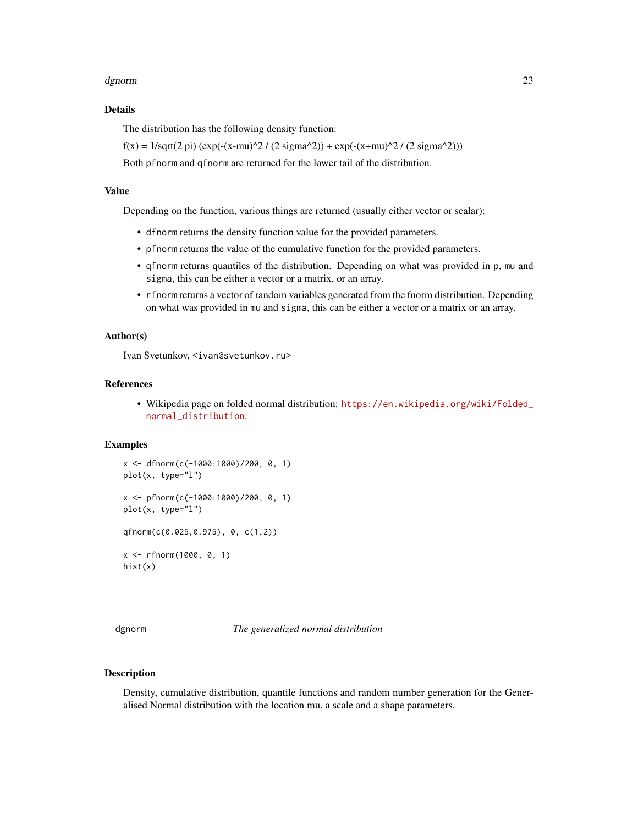#### <span id="page-22-0"></span>dgnorm 23

# Details

The distribution has the following density function:

 $f(x) = 1/\sqrt{(2pi)(2pi)(\exp(-(x-mu)^2/2)(2sigma^2/2)) + \exp(-(x+mu)^2/2 (2sigma^2/2))}$ 

Both pfnorm and qfnorm are returned for the lower tail of the distribution.

#### Value

Depending on the function, various things are returned (usually either vector or scalar):

- dfnorm returns the density function value for the provided parameters.
- pfnorm returns the value of the cumulative function for the provided parameters.
- qfnorm returns quantiles of the distribution. Depending on what was provided in p, mu and sigma, this can be either a vector or a matrix, or an array.
- rfnorm returns a vector of random variables generated from the fnorm distribution. Depending on what was provided in mu and sigma, this can be either a vector or a matrix or an array.

#### Author(s)

Ivan Svetunkov, <ivan@svetunkov.ru>

# References

• Wikipedia page on folded normal distribution: [https://en.wikipedia.org/wiki/Folded\\_](https://en.wikipedia.org/wiki/Folded_normal_distribution) [normal\\_distribution](https://en.wikipedia.org/wiki/Folded_normal_distribution).

#### Examples

```
x <- dfnorm(c(-1000:1000)/200, 0, 1)
plot(x, type="l")
x <- pfnorm(c(-1000:1000)/200, 0, 1)
plot(x, type="l")
qfnorm(c(0.025,0.975), 0, c(1,2))
x <- rfnorm(1000, 0, 1)
hist(x)
```
<span id="page-22-1"></span>dgnorm *The generalized normal distribution*

#### **Description**

Density, cumulative distribution, quantile functions and random number generation for the Generalised Normal distribution with the location mu, a scale and a shape parameters.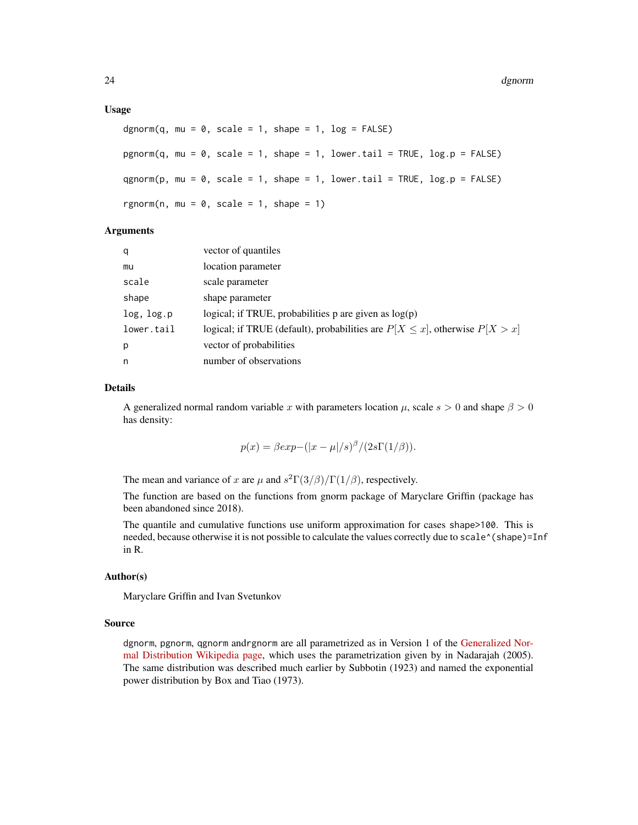#### Usage

```
dgnorm(q, mu = 0, scale = 1, shape = 1, log = FALSE)
pgnorm(q, mu = 0, scale = 1, shape = 1, lower.tail = TRUE, log.p = FALSE)
qgnorm(p, mu = 0, scale = 1, shape = 1, lowertail = TRUE, log.p = FALSE)
rgnorm(n, mu = 0, scale = 1, shape = 1)
```
#### Arguments

| q          | vector of quantiles                                                               |
|------------|-----------------------------------------------------------------------------------|
| mu         | location parameter                                                                |
| scale      | scale parameter                                                                   |
| shape      | shape parameter                                                                   |
| log, log.p | logical; if TRUE, probabilities p are given as $log(p)$                           |
| lower.tail | logical; if TRUE (default), probabilities are $P[X \le x]$ , otherwise $P[X > x]$ |
| p          | vector of probabilities                                                           |
| n          | number of observations                                                            |

#### Details

A generalized normal random variable x with parameters location  $\mu$ , scale  $s > 0$  and shape  $\beta > 0$ has density:

$$
p(x) = \beta \exp(-(|x - \mu|/s)^{\beta}/(2s\Gamma(1/\beta))).
$$

The mean and variance of x are  $\mu$  and  $s^2 \Gamma(3/\beta)/\Gamma(1/\beta)$ , respectively.

The function are based on the functions from gnorm package of Maryclare Griffin (package has been abandoned since 2018).

The quantile and cumulative functions use uniform approximation for cases shape>100. This is needed, because otherwise it is not possible to calculate the values correctly due to scale^(shape)=Inf in R.

# Author(s)

Maryclare Griffin and Ivan Svetunkov

#### Source

dgnorm, pgnorm, qgnorm andrgnorm are all parametrized as in Version 1 of the [Generalized Nor](https://en.wikipedia.org/wiki/Generalized_normal_distribution)[mal Distribution Wikipedia page,](https://en.wikipedia.org/wiki/Generalized_normal_distribution) which uses the parametrization given by in Nadarajah (2005). The same distribution was described much earlier by Subbotin (1923) and named the exponential power distribution by Box and Tiao (1973).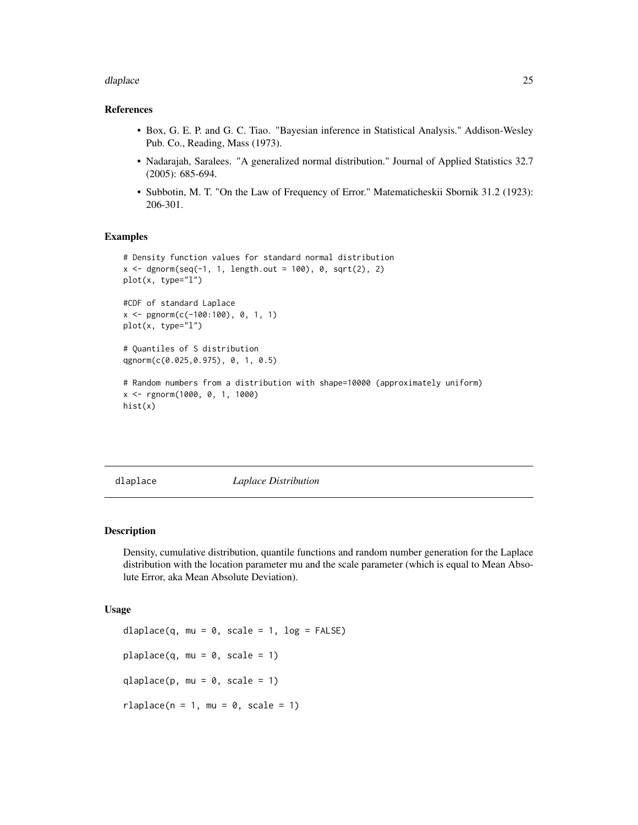#### <span id="page-24-0"></span>dlaplace 25

# References

- Box, G. E. P. and G. C. Tiao. "Bayesian inference in Statistical Analysis." Addison-Wesley Pub. Co., Reading, Mass (1973).
- Nadarajah, Saralees. "A generalized normal distribution." Journal of Applied Statistics 32.7 (2005): 685-694.
- Subbotin, M. T. "On the Law of Frequency of Error." Matematicheskii Sbornik 31.2 (1923): 206-301.

#### Examples

```
# Density function values for standard normal distribution
x < - dgnorm(seq(-1, 1, length.out = 100), 0, sqrt(2), 2)
plot(x, type="l")
#CDF of standard Laplace
x \leq -pgnorm(c(-100:100), 0, 1, 1)
plot(x, type="l")
# Quantiles of S distribution
qgnorm(c(0.025,0.975), 0, 1, 0.5)
# Random numbers from a distribution with shape=10000 (approximately uniform)
x <- rgnorm(1000, 0, 1, 1000)
hist(x)
```
<span id="page-24-1"></span>dlaplace *Laplace Distribution*

#### <span id="page-24-2"></span>Description

Density, cumulative distribution, quantile functions and random number generation for the Laplace distribution with the location parameter mu and the scale parameter (which is equal to Mean Absolute Error, aka Mean Absolute Deviation).

#### Usage

```
dlaplace(q, mu = 0, scale = 1, log = FALSE)
plaplace(q, mu = 0, scale = 1)
qlaplace(p, mu = 0, scale = 1)
rlaplace(n = 1, mu = 0, scale = 1)
```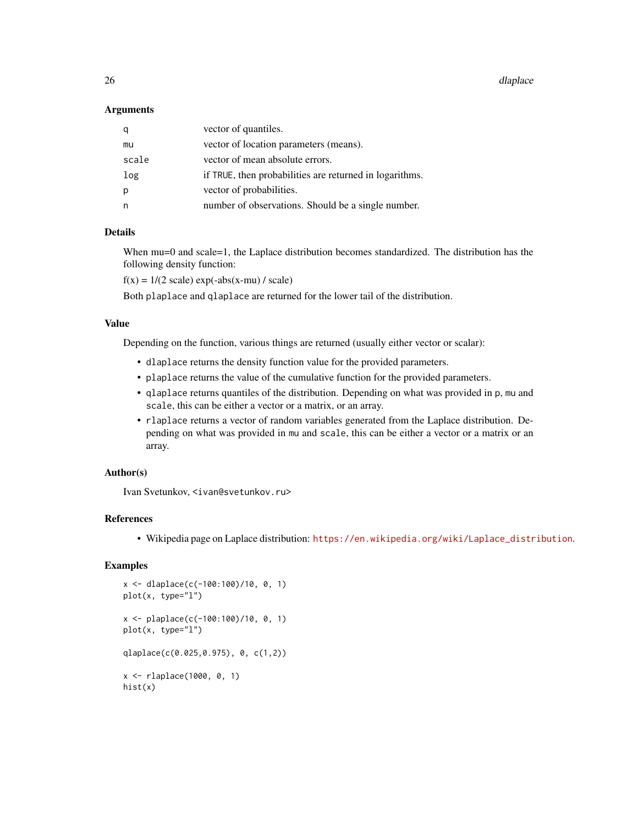26 dlaplace and the control of the control of the control of the control of the control of the control of the control of the control of the control of the control of the control of the control of the control of the control

#### **Arguments**

| q     | vector of quantiles.                                    |
|-------|---------------------------------------------------------|
| mu    | vector of location parameters (means).                  |
| scale | vector of mean absolute errors.                         |
| log   | if TRUE, then probabilities are returned in logarithms. |
| p     | vector of probabilities.                                |
| n     | number of observations. Should be a single number.      |

# Details

When mu=0 and scale=1, the Laplace distribution becomes standardized. The distribution has the following density function:

 $f(x) = 1/(2 \text{ scale}) \exp(-\text{abs}(x-mu) / \text{ scale})$ 

Both plaplace and qlaplace are returned for the lower tail of the distribution.

#### Value

Depending on the function, various things are returned (usually either vector or scalar):

- dlaplace returns the density function value for the provided parameters.
- plaplace returns the value of the cumulative function for the provided parameters.
- qlaplace returns quantiles of the distribution. Depending on what was provided in p, mu and scale, this can be either a vector or a matrix, or an array.
- rlaplace returns a vector of random variables generated from the Laplace distribution. Depending on what was provided in mu and scale, this can be either a vector or a matrix or an array.

### Author(s)

Ivan Svetunkov, <ivan@svetunkov.ru>

#### References

• Wikipedia page on Laplace distribution: [https://en.wikipedia.org/wiki/Laplace\\_distribution](https://en.wikipedia.org/wiki/Laplace_distribution).

# Examples

```
x <- dlaplace(c(-100:100)/10, 0, 1)
plot(x, type="l")
x <- plaplace(c(-100:100)/10, 0, 1)
plot(x, type="l")
qlaplace(c(0.025,0.975), 0, c(1,2))
x <- rlaplace(1000, 0, 1)
hist(x)
```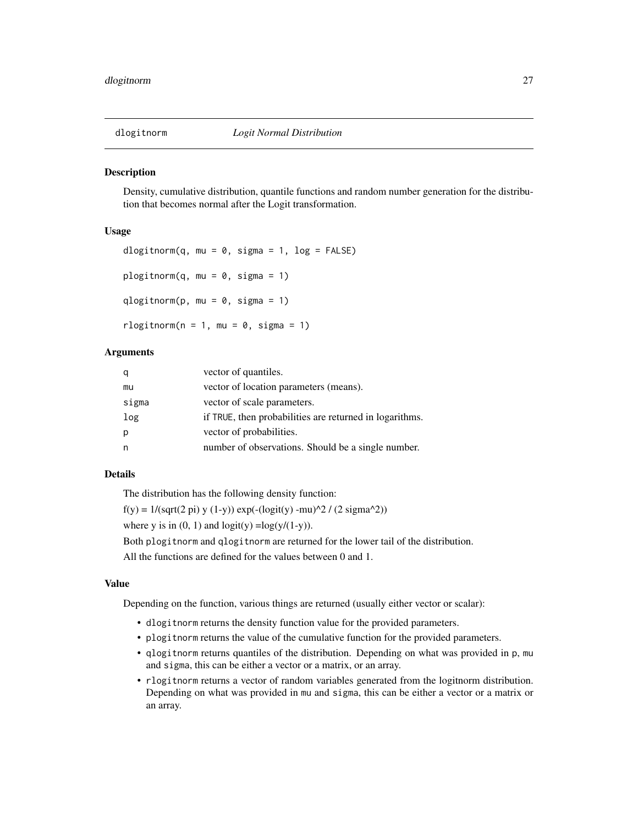<span id="page-26-1"></span><span id="page-26-0"></span>

#### Description

Density, cumulative distribution, quantile functions and random number generation for the distribution that becomes normal after the Logit transformation.

#### Usage

```
dlogitnorm(q, mu = 0, sigma = 1, log = FALSE)
plogitnorm(q, mu = 0, sigma = 1)
qlogitnorm(p, mu = 0, sigma = 1)
rlogitnorm(n = 1, mu = 0, sigma = 1)
```
#### **Arguments**

|       | vector of quantiles.                                    |
|-------|---------------------------------------------------------|
| mu    | vector of location parameters (means).                  |
| sigma | vector of scale parameters.                             |
| log   | if TRUE, then probabilities are returned in logarithms. |
| р     | vector of probabilities.                                |
|       | number of observations. Should be a single number.      |

#### Details

The distribution has the following density function:

```
f(y) = 1/(sqrt(2 \pi y) y (1-y)) exp(-(logit(y) -mu)^2 / (2 signa^2))
```
where y is in  $(0, 1)$  and  $logit(y) = log(y/(1-y))$ .

Both plogitnorm and qlogitnorm are returned for the lower tail of the distribution.

All the functions are defined for the values between 0 and 1.

# Value

Depending on the function, various things are returned (usually either vector or scalar):

- dlogitnorm returns the density function value for the provided parameters.
- plogitnorm returns the value of the cumulative function for the provided parameters.
- qlogitnorm returns quantiles of the distribution. Depending on what was provided in p, mu and sigma, this can be either a vector or a matrix, or an array.
- rlogitnorm returns a vector of random variables generated from the logitnorm distribution. Depending on what was provided in mu and sigma, this can be either a vector or a matrix or an array.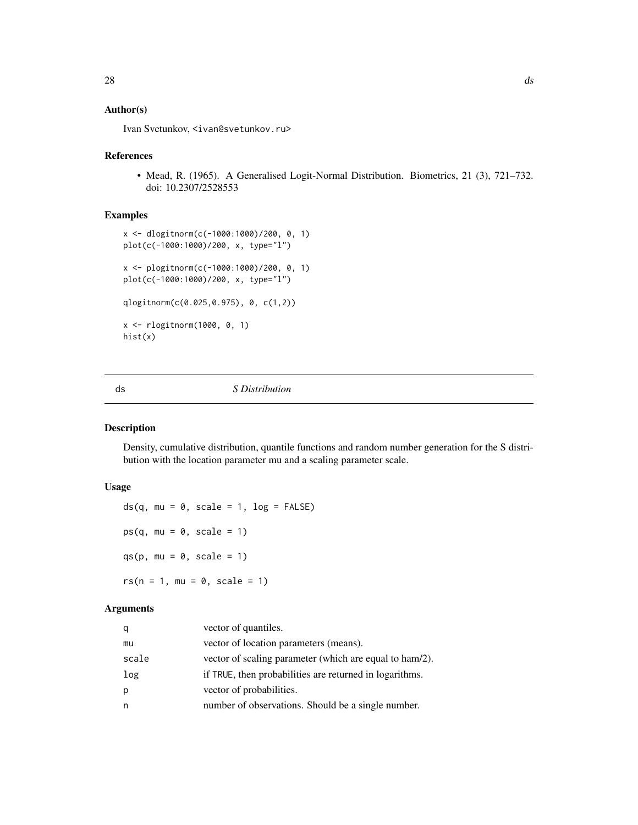# <span id="page-27-0"></span>Author(s)

Ivan Svetunkov, <ivan@svetunkov.ru>

# References

• Mead, R. (1965). A Generalised Logit-Normal Distribution. Biometrics, 21 (3), 721–732. doi: 10.2307/2528553

# Examples

```
x <- dlogitnorm(c(-1000:1000)/200, 0, 1)
plot(c(-1000:1000)/200, x, type="l")
x <- plogitnorm(c(-1000:1000)/200, 0, 1)
plot(c(-1000:1000)/200, x, type="l")
qlogitnorm(c(0.025,0.975), 0, c(1,2))
x <- rlogitnorm(1000, 0, 1)
hist(x)
```
<span id="page-27-1"></span>

ds *S Distribution*

# <span id="page-27-2"></span>Description

Density, cumulative distribution, quantile functions and random number generation for the S distribution with the location parameter mu and a scaling parameter scale.

# Usage

 $ds(q, mu = 0, scale = 1, log = FALSE)$  $ps(q, mu = 0, scale = 1)$ qs(p, mu =  $0$ , scale = 1)  $rs(n = 1, mu = 0, scale = 1)$ 

# Arguments

| q     | vector of quantiles.                                    |
|-------|---------------------------------------------------------|
| mu    | vector of location parameters (means).                  |
| scale | vector of scaling parameter (which are equal to ham/2). |
| log   | if TRUE, then probabilities are returned in logarithms. |
| p     | vector of probabilities.                                |
| n     | number of observations. Should be a single number.      |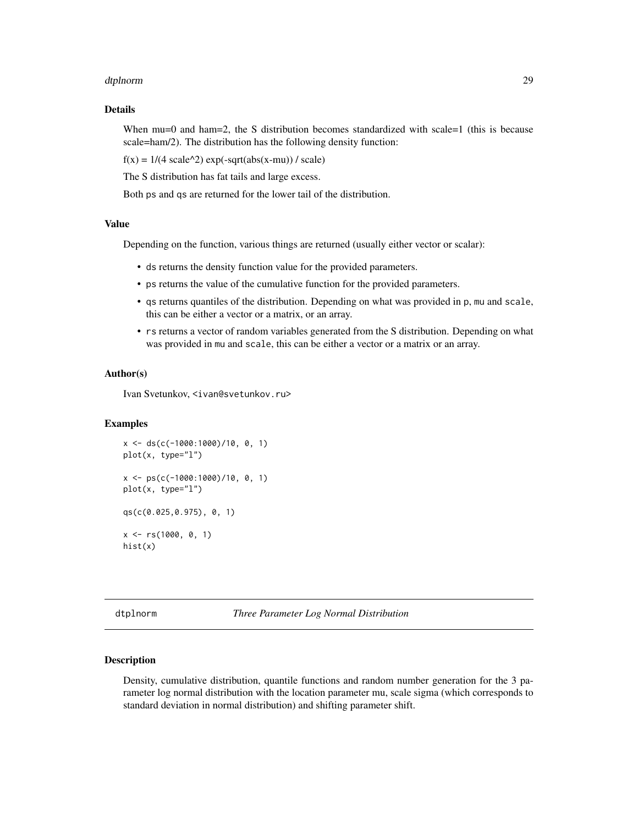#### <span id="page-28-0"></span>dtplnorm 29

# Details

When mu=0 and ham=2, the S distribution becomes standardized with scale=1 (this is because scale=ham/2). The distribution has the following density function:

 $f(x) = 1/(4 \text{ scale}^{\lambda}2) \text{ exp}(-\text{sqrt}(abs(x-mu)) / \text{ scale})$ 

The S distribution has fat tails and large excess.

Both ps and qs are returned for the lower tail of the distribution.

# Value

Depending on the function, various things are returned (usually either vector or scalar):

- ds returns the density function value for the provided parameters.
- ps returns the value of the cumulative function for the provided parameters.
- qs returns quantiles of the distribution. Depending on what was provided in p, mu and scale, this can be either a vector or a matrix, or an array.
- rs returns a vector of random variables generated from the S distribution. Depending on what was provided in mu and scale, this can be either a vector or a matrix or an array.

#### Author(s)

Ivan Svetunkov, <ivan@svetunkov.ru>

# Examples

```
x <- ds(c(-1000:1000)/10, 0, 1)
plot(x, type="l")
x <- ps(c(-1000:1000)/10, 0, 1)
plot(x, type="l")
qs(c(0.025,0.975), 0, 1)
x \leq -rs(1000, 0, 1)hist(x)
```
<span id="page-28-2"></span>dtplnorm *Three Parameter Log Normal Distribution*

#### <span id="page-28-1"></span>**Description**

Density, cumulative distribution, quantile functions and random number generation for the 3 parameter log normal distribution with the location parameter mu, scale sigma (which corresponds to standard deviation in normal distribution) and shifting parameter shift.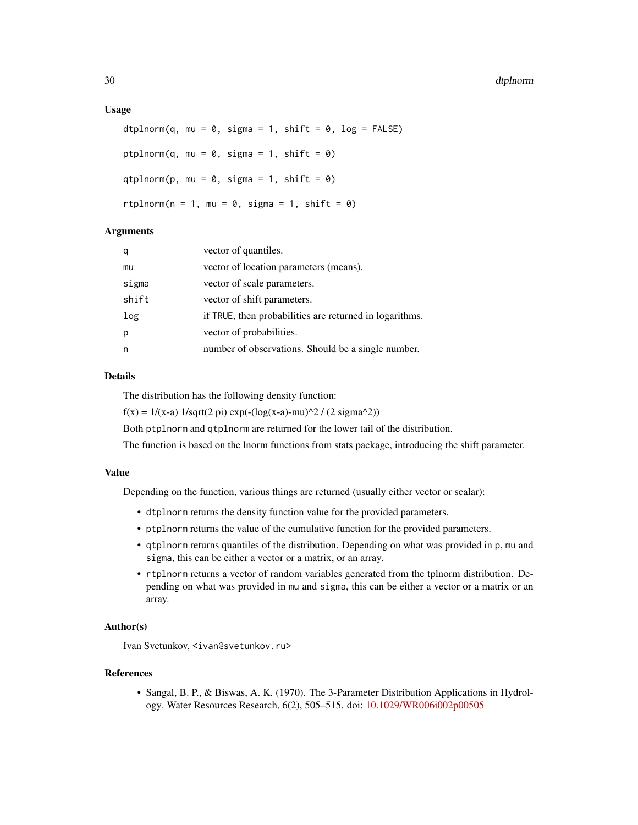#### Usage

```
dtplnorm(q, mu = 0, sigma = 1, shift = 0, log = FALSE)
ptplnorm(q, mu = 0, sigma = 1, shift = 0)
qtplnorm(p, mu = 0, sigma = 1, shift = 0)
rtplnorm(n = 1, mu = 0, sigma = 1, shift = 0)
```
#### Arguments

| q     | vector of quantiles.                                    |
|-------|---------------------------------------------------------|
| mu    | vector of location parameters (means).                  |
| sigma | vector of scale parameters.                             |
| shift | vector of shift parameters.                             |
| log   | if TRUE, then probabilities are returned in logarithms. |
| p     | vector of probabilities.                                |
| n     | number of observations. Should be a single number.      |

# Details

The distribution has the following density function:

 $f(x) = 1/(x-a) 1/sqrt(2 pi) exp(-(log(x-a)-mu)^2) / (2 sigma^2)$ 

Both ptplnorm and qtplnorm are returned for the lower tail of the distribution.

The function is based on the lnorm functions from stats package, introducing the shift parameter.

#### Value

Depending on the function, various things are returned (usually either vector or scalar):

- dtplnorm returns the density function value for the provided parameters.
- ptplnorm returns the value of the cumulative function for the provided parameters.
- qtplnorm returns quantiles of the distribution. Depending on what was provided in p, mu and sigma, this can be either a vector or a matrix, or an array.
- rtplnorm returns a vector of random variables generated from the tplnorm distribution. Depending on what was provided in mu and sigma, this can be either a vector or a matrix or an array.

#### Author(s)

Ivan Svetunkov, <ivan@svetunkov.ru>

#### References

• Sangal, B. P., & Biswas, A. K. (1970). The 3-Parameter Distribution Applications in Hydrology. Water Resources Research, 6(2), 505–515. doi: [10.1029/WR006i002p00505](https://doi.org/10.1029/WR006i002p00505)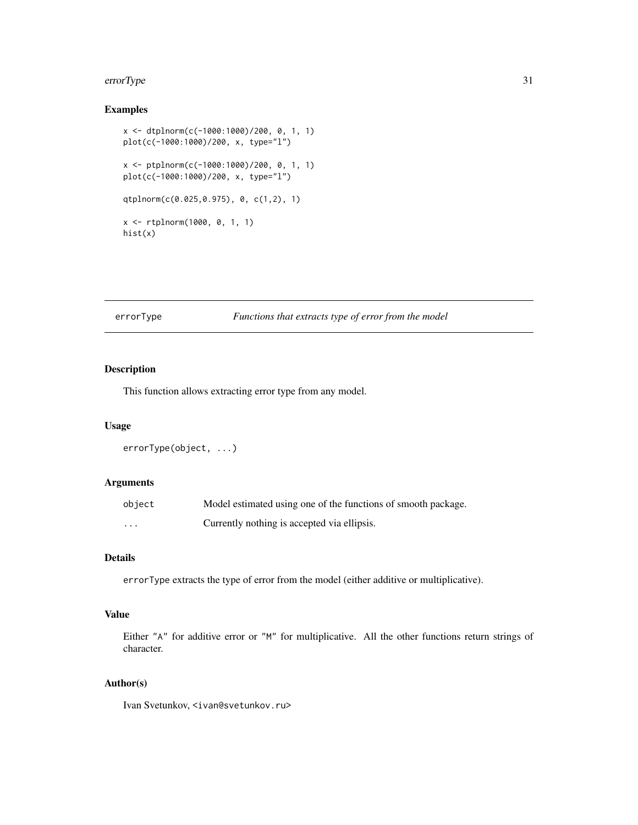#### <span id="page-30-0"></span>errorType 31

# Examples

```
x <- dtplnorm(c(-1000:1000)/200, 0, 1, 1)
plot(c(-1000:1000)/200, x, type="l")
x <- ptplnorm(c(-1000:1000)/200, 0, 1, 1)
plot(c(-1000:1000)/200, x, type="l")
qtplnorm(c(0.025,0.975), 0, c(1,2), 1)
x <- rtplnorm(1000, 0, 1, 1)
hist(x)
```
# errorType *Functions that extracts type of error from the model*

# Description

This function allows extracting error type from any model.

# Usage

```
errorType(object, ...)
```
# Arguments

| object   | Model estimated using one of the functions of smooth package. |
|----------|---------------------------------------------------------------|
| $\cdots$ | Currently nothing is accepted via ellipsis.                   |

# Details

errorType extracts the type of error from the model (either additive or multiplicative).

# Value

Either "A" for additive error or "M" for multiplicative. All the other functions return strings of character.

# Author(s)

Ivan Svetunkov, <ivan@svetunkov.ru>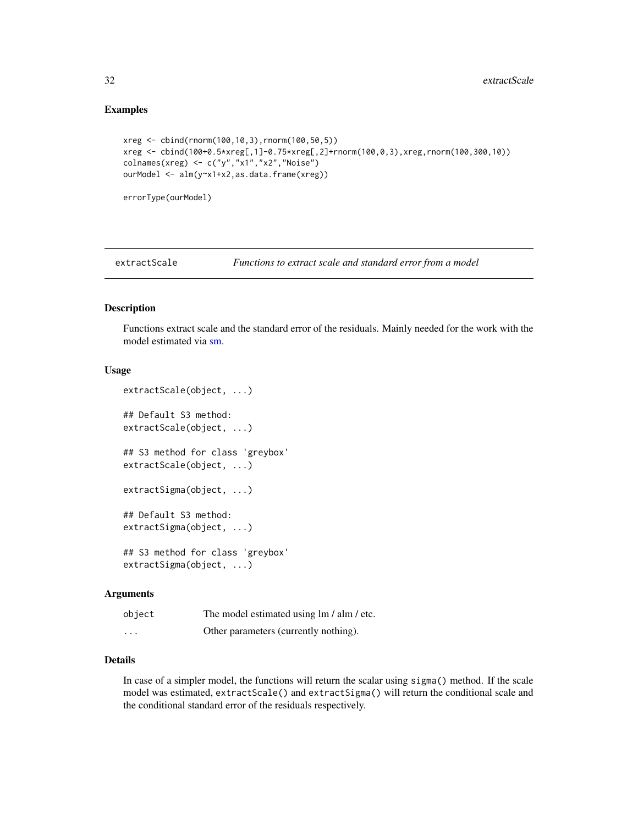# Examples

```
xreg <- cbind(rnorm(100,10,3),rnorm(100,50,5))
xreg <- cbind(100+0.5*xreg[,1]-0.75*xreg[,2]+rnorm(100,0,3),xreg,rnorm(100,300,10))
colnames(xreg) <- c("y","x1","x2","Noise")
ourModel <- alm(y~x1+x2,as.data.frame(xreg))
```
errorType(ourModel)

extractScale *Functions to extract scale and standard error from a model*

# Description

Functions extract scale and the standard error of the residuals. Mainly needed for the work with the model estimated via [sm.](#page-67-1)

#### Usage

```
extractScale(object, ...)
## Default S3 method:
extractScale(object, ...)
## S3 method for class 'greybox'
extractScale(object, ...)
extractSigma(object, ...)
## Default S3 method:
extractSigma(object, ...)
## S3 method for class 'greybox'
extractSigma(object, ...)
```
#### **Arguments**

| object   | The model estimated using lm / alm / etc. |
|----------|-------------------------------------------|
| $\cdots$ | Other parameters (currently nothing).     |

# Details

In case of a simpler model, the functions will return the scalar using sigma() method. If the scale model was estimated, extractScale() and extractSigma() will return the conditional scale and the conditional standard error of the residuals respectively.

<span id="page-31-0"></span>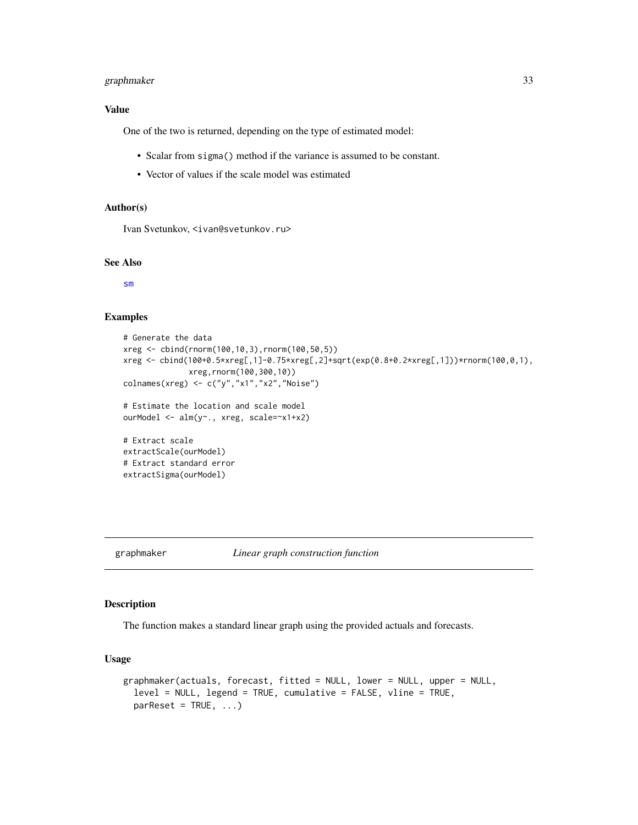# <span id="page-32-0"></span>graphmaker 33

### Value

One of the two is returned, depending on the type of estimated model:

- Scalar from sigma() method if the variance is assumed to be constant.
- Vector of values if the scale model was estimated

# Author(s)

Ivan Svetunkov, <ivan@svetunkov.ru>

# See Also

[sm](#page-67-1)

# Examples

```
# Generate the data
xreg <- cbind(rnorm(100,10,3),rnorm(100,50,5))
xreg <- cbind(100+0.5*xreg[,1]-0.75*xreg[,2]+sqrt(exp(0.8+0.2*xreg[,1]))*rnorm(100,0,1),
              xreg,rnorm(100,300,10))
colnames(xreg) <- c("y","x1","x2","Noise")
# Estimate the location and scale model
```

```
ourModel <- alm(y~., xreg, scale=~x1+x2)
```

```
# Extract scale
extractScale(ourModel)
# Extract standard error
extractSigma(ourModel)
```
# graphmaker *Linear graph construction function*

#### Description

The function makes a standard linear graph using the provided actuals and forecasts.

#### Usage

```
graphmaker(actuals, forecast, fitted = NULL, lower = NULL, upper = NULL,
  level = NULL, legend = TRUE, cumulative = FALSE, vline = TRUE,
 parRest = TRUE, ...
```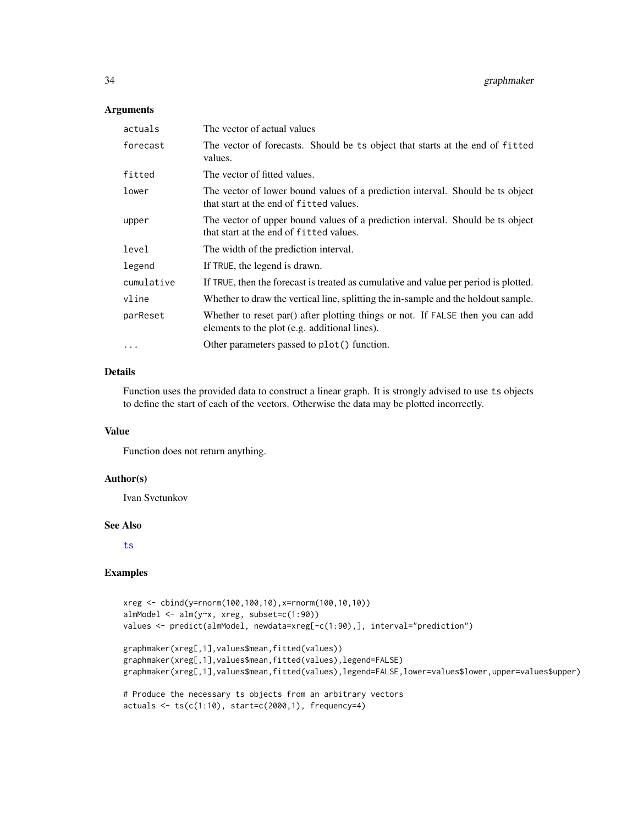#### Arguments

| actuals    | The vector of actual values                                                                                                     |
|------------|---------------------------------------------------------------------------------------------------------------------------------|
| forecast   | The vector of forecasts. Should be ts object that starts at the end of fitted<br>values.                                        |
| fitted     | The vector of fitted values.                                                                                                    |
| lower      | The vector of lower bound values of a prediction interval. Should be ts object<br>that start at the end of fitted values.       |
| upper      | The vector of upper bound values of a prediction interval. Should be ts object<br>that start at the end of fitted values.       |
| level      | The width of the prediction interval.                                                                                           |
| legend     | If TRUE, the legend is drawn.                                                                                                   |
| cumulative | If TRUE, then the forecast is treated as cumulative and value per period is plotted.                                            |
| vline      | Whether to draw the vertical line, splitting the in-sample and the holdout sample.                                              |
| parReset   | Whether to reset par() after plotting things or not. If FALSE then you can add<br>elements to the plot (e.g. additional lines). |
| $\cdots$   | Other parameters passed to plot() function.                                                                                     |

# Details

Function uses the provided data to construct a linear graph. It is strongly advised to use ts objects to define the start of each of the vectors. Otherwise the data may be plotted incorrectly.

#### Value

Function does not return anything.

#### Author(s)

Ivan Svetunkov

#### See Also

[ts](#page-0-0)

# Examples

```
xreg <- cbind(y=rnorm(100,100,10),x=rnorm(100,10,10))
almModel <- alm(y~x, xreg, subset=c(1:90))
values <- predict(almModel, newdata=xreg[-c(1:90),], interval="prediction")
graphmaker(xreg[,1],values$mean,fitted(values))
graphmaker(xreg[,1],values$mean,fitted(values),legend=FALSE)
graphmaker(xreg[,1],values$mean,fitted(values),legend=FALSE,lower=values$lower,upper=values$upper)
# Produce the necessary ts objects from an arbitrary vectors
actuals < -ts(c(1:10), start=c(2000,1), frequency=4)
```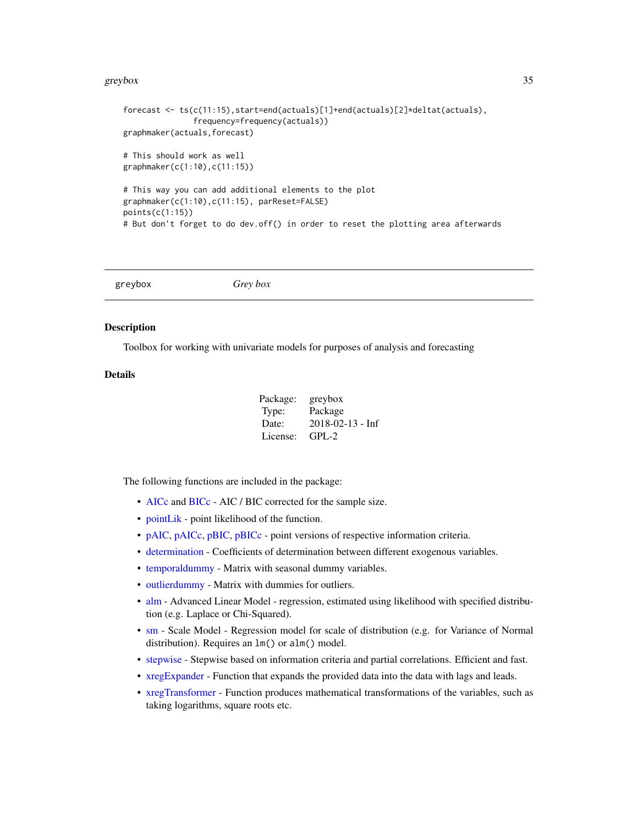#### <span id="page-34-0"></span>greybox 35

```
forecast <- ts(c(11:15),start=end(actuals)[1]+end(actuals)[2]*deltat(actuals),
               frequency=frequency(actuals))
graphmaker(actuals,forecast)
# This should work as well
graphmaker(c(1:10),c(11:15))
# This way you can add additional elements to the plot
graphmaker(c(1:10),c(11:15), parReset=FALSE)
points(c(1:15))
# But don't forget to do dev.off() in order to reset the plotting area afterwards
```
greybox *Grey box*

#### Description

Toolbox for working with univariate models for purposes of analysis and forecasting

# Details

| Package: | greybox                       |
|----------|-------------------------------|
| Type:    | Package                       |
| Date:    | $2018 - 02 - 13 - \text{Inf}$ |
| License: | $GPL-2$                       |

The following functions are included in the package:

- [AICc](#page-3-1) and [BICc](#page-3-2) AIC / BIC corrected for the sample size.
- [pointLik](#page-58-1) point likelihood of the function.
- [pAIC,](#page-52-1) [pAICc,](#page-52-2) [pBIC,](#page-52-2) [pBICc](#page-52-2) point versions of respective information criteria.
- [determination](#page-20-1) Coefficients of determination between different exogenous variables.
- [temporaldummy](#page-73-1) Matrix with seasonal dummy variables.
- [outlierdummy](#page-51-1) Matrix with dummies for outliers.
- [alm](#page-4-1) Advanced Linear Model regression, estimated using likelihood with specified distribution (e.g. Laplace or Chi-Squared).
- [sm](#page-67-1) Scale Model Regression model for scale of distribution (e.g. for Variance of Normal distribution). Requires an  $lm()$  or alm() model.
- [stepwise](#page-70-1) Stepwise based on information criteria and partial correlations. Efficient and fast.
- [xregExpander](#page-75-1) Function that expands the provided data into the data with lags and leads.
- [xregTransformer](#page-77-1) Function produces mathematical transformations of the variables, such as taking logarithms, square roots etc.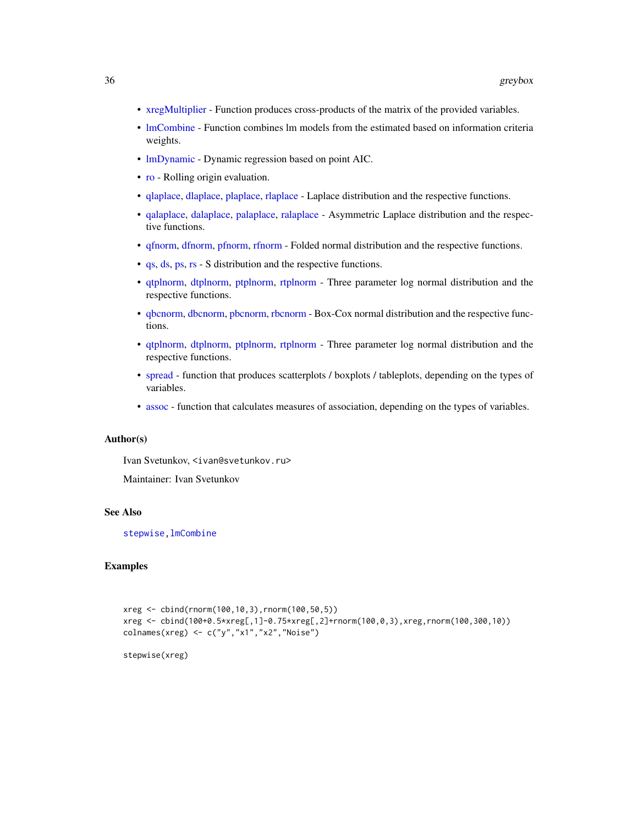- [xregMultiplier](#page-76-1) Function produces cross-products of the matrix of the provided variables.
- [lmCombine](#page-39-1) Function combines lm models from the estimated based on information criteria weights.
- [lmDynamic](#page-41-1) Dynamic regression based on point AIC.
- [ro](#page-64-1) Rolling origin evaluation.
- [qlaplace,](#page-24-2) [dlaplace,](#page-24-1) [plaplace,](#page-24-2) [rlaplace](#page-24-2) Laplace distribution and the respective functions.
- [qalaplace,](#page-15-2) [dalaplace,](#page-15-1) [palaplace,](#page-15-2) [ralaplace](#page-15-2) Asymmetric Laplace distribution and the respective functions.
- [qfnorm,](#page-21-2) [dfnorm,](#page-21-1) [pfnorm,](#page-21-2) [rfnorm](#page-21-2) Folded normal distribution and the respective functions.
- [qs,](#page-27-2) [ds,](#page-27-1) [ps,](#page-27-2) [rs](#page-27-2) S distribution and the respective functions.
- [qtplnorm,](#page-28-1) [dtplnorm,](#page-28-2) [ptplnorm,](#page-28-1) [rtplnorm](#page-28-1) Three parameter log normal distribution and the respective functions.
- [qbcnorm,](#page-17-2) [dbcnorm,](#page-17-1) [pbcnorm,](#page-17-2) [rbcnorm](#page-17-2) Box-Cox normal distribution and the respective functions.
- [qtplnorm,](#page-28-1) [dtplnorm,](#page-28-2) [ptplnorm,](#page-28-1) [rtplnorm](#page-28-1) Three parameter log normal distribution and the respective functions.
- [spread](#page-69-1) function that produces scatterplots / boxplots / tableplots, depending on the types of variables.
- [assoc](#page-10-2) function that calculates measures of association, depending on the types of variables.

# Author(s)

Ivan Svetunkov, <ivan@svetunkov.ru>

Maintainer: Ivan Svetunkov

# See Also

[stepwise](#page-70-1)[,lmCombine](#page-39-1)

# **Examples**

```
xreg <- cbind(rnorm(100,10,3),rnorm(100,50,5))
xreg <- cbind(100+0.5*xreg[,1]-0.75*xreg[,2]+rnorm(100,0,3),xreg,rnorm(100,300,10))
colnames(xreg) <- c("y", "x1", "x2", "Noise")
```
stepwise(xreg)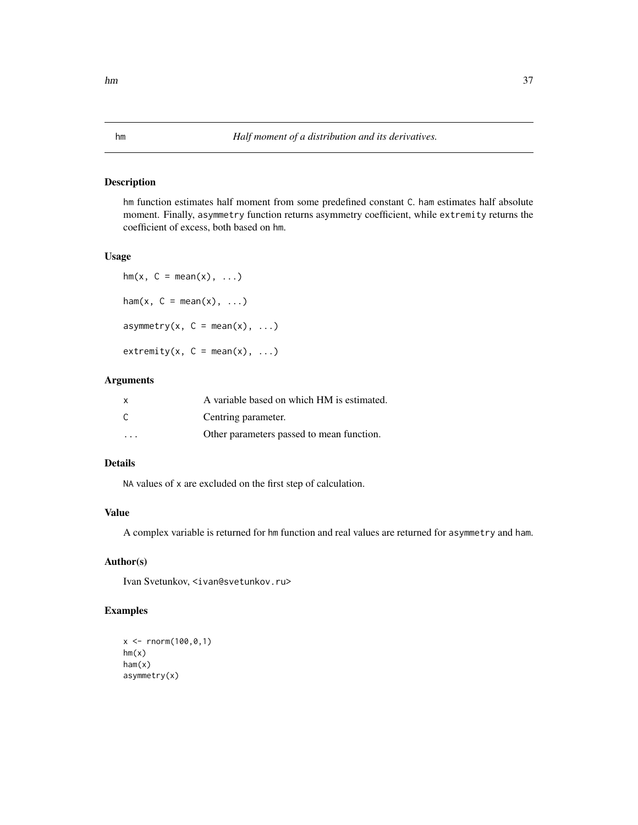# <span id="page-36-0"></span>Description

hm function estimates half moment from some predefined constant C. ham estimates half absolute moment. Finally, asymmetry function returns asymmetry coefficient, while extremity returns the coefficient of excess, both based on hm.

### Usage

```
hm(x, C = mean(x), \ldots)ham(x, C = \text{mean}(x), \ldots)
asymmetry(x, C = \text{mean}(x), \ldots)
extremity(x, C = mean(x), ...)
```
# Arguments

| $\mathsf{x}$ | A variable based on which HM is estimated. |
|--------------|--------------------------------------------|
| $\mathsf{C}$ | Centring parameter.                        |
| .            | Other parameters passed to mean function.  |

# Details

NA values of x are excluded on the first step of calculation.

# Value

A complex variable is returned for hm function and real values are returned for asymmetry and ham.

# Author(s)

Ivan Svetunkov, <ivan@svetunkov.ru>

# Examples

```
x <- rnorm(100,0,1)
hm(x)ham(x)
asymmetry(x)
```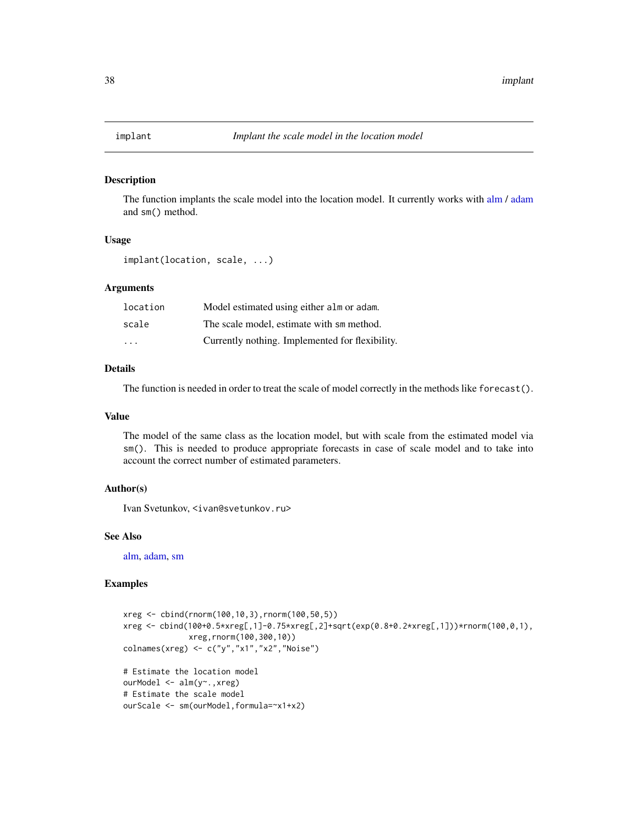### Description

The function implants the scale model into the location model. It currently works with [alm](#page-4-0) / [adam](#page-0-0) and sm() method.

# Usage

implant(location, scale, ...)

# **Arguments**

| location                | Model estimated using either alm or adam.       |
|-------------------------|-------------------------------------------------|
| scale                   | The scale model, estimate with sm method.       |
| $\cdot$ $\cdot$ $\cdot$ | Currently nothing. Implemented for flexibility. |

### Details

The function is needed in order to treat the scale of model correctly in the methods like forecast().

# Value

The model of the same class as the location model, but with scale from the estimated model via sm(). This is needed to produce appropriate forecasts in case of scale model and to take into account the correct number of estimated parameters.

### Author(s)

Ivan Svetunkov, <ivan@svetunkov.ru>

### See Also

[alm,](#page-4-0) [adam,](#page-0-0) [sm](#page-67-0)

### Examples

```
xreg <- cbind(rnorm(100,10,3),rnorm(100,50,5))
xreg <- cbind(100+0.5*xreg[,1]-0.75*xreg[,2]+sqrt(exp(0.8+0.2*xreg[,1]))*rnorm(100,0,1),
              xreg,rnorm(100,300,10))
colnames(xreg) <- c("y","x1","x2","Noise")
# Estimate the location model
ourModel <- alm(y~.,xreg)
# Estimate the scale model
ourScale <- sm(ourModel,formula=~x1+x2)
```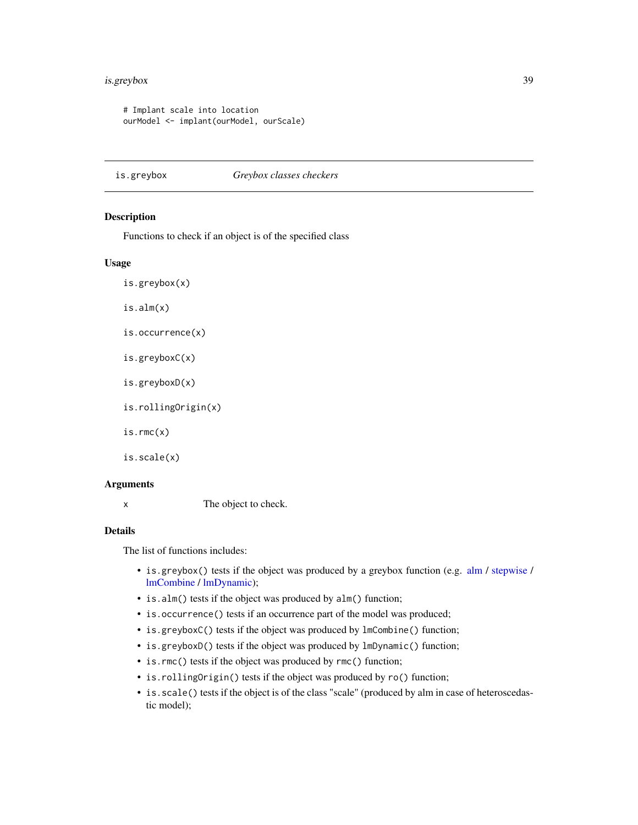# is.greybox 39

```
# Implant scale into location
ourModel <- implant(ourModel, ourScale)
```
is.greybox *Greybox classes checkers*

# Description

Functions to check if an object is of the specified class

# Usage

```
is.greybox(x)
```
is.alm(x)

```
is.occurrence(x)
```
is.greyboxC(x)

is.greyboxD(x)

is.rollingOrigin(x)

is.rmc(x)

is.scale(x)

### **Arguments**

x The object to check.

### Details

The list of functions includes:

- is.greybox() tests if the object was produced by a greybox function (e.g. [alm](#page-4-0) / [stepwise](#page-70-0) / [lmCombine](#page-39-0) / [lmDynamic\)](#page-41-0);
- is.alm() tests if the object was produced by alm() function;
- is.occurrence() tests if an occurrence part of the model was produced;
- is.greyboxC() tests if the object was produced by lmCombine() function;
- is.greyboxD() tests if the object was produced by lmDynamic() function;
- is.rmc() tests if the object was produced by rmc() function;
- is.rollingOrigin() tests if the object was produced by ro() function;
- is.scale() tests if the object is of the class "scale" (produced by alm in case of heteroscedastic model);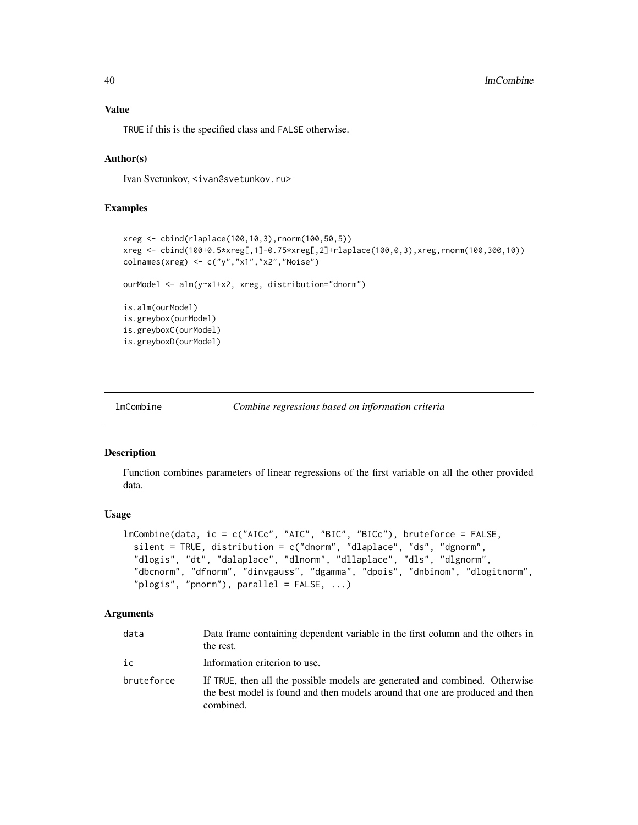TRUE if this is the specified class and FALSE otherwise.

### Author(s)

Ivan Svetunkov, <ivan@svetunkov.ru>

### Examples

```
xreg <- cbind(rlaplace(100,10,3),rnorm(100,50,5))
xreg <- cbind(100+0.5*xreg[,1]-0.75*xreg[,2]+rlaplace(100,0,3),xreg,rnorm(100,300,10))
colnames(xreg) <- c("y","x1","x2","Noise")
ourModel <- alm(y~x1+x2, xreg, distribution="dnorm")
is.alm(ourModel)
is.greybox(ourModel)
is.greyboxC(ourModel)
is.greyboxD(ourModel)
```

```
lmCombine Combine regressions based on information criteria
```
#### Description

Function combines parameters of linear regressions of the first variable on all the other provided data.

# Usage

```
lmCombine(data, ic = c("AICc", "AIC", "BIC", "BICc"), bruteforce = FALSE,
  silent = TRUE, distribution = c("dnorm", "dlaplace", "ds", "dgnorm",
  "dlogis", "dt", "dalaplace", "dlnorm", "dllaplace", "dls", "dlgnorm",
  "dbcnorm", "dfnorm", "dinvgauss", "dgamma", "dpois", "dnbinom", "dlogitnorm",
  "plogis", "pnorm"), parallel = FALSE, ...)
```
# Arguments

| data       | Data frame containing dependent variable in the first column and the others in<br>the rest.                                                                               |
|------------|---------------------------------------------------------------------------------------------------------------------------------------------------------------------------|
| ic         | Information criterion to use.                                                                                                                                             |
| bruteforce | If TRUE, then all the possible models are generated and combined. Otherwise<br>the best model is found and then models around that one are produced and then<br>combined. |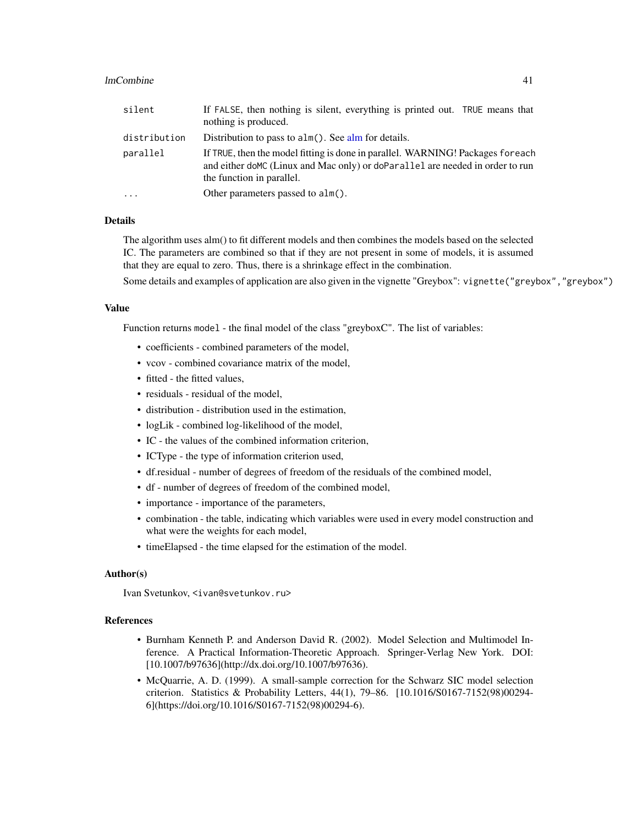# lmCombine 41

| silent                  | If FALSE, then nothing is silent, everything is printed out. TRUE means that<br>nothing is produced.                                                                                          |  |
|-------------------------|-----------------------------------------------------------------------------------------------------------------------------------------------------------------------------------------------|--|
| distribution            | Distribution to pass to $\alpha \ln(\theta)$ . See alm for details.                                                                                                                           |  |
| parallel                | If TRUE, then the model fitting is done in parallel. WARNING! Packages for each<br>and either doMC (Linux and Mac only) or doParallel are needed in order to run<br>the function in parallel. |  |
| $\cdot$ $\cdot$ $\cdot$ | Other parameters passed to alm().                                                                                                                                                             |  |

### Details

The algorithm uses alm() to fit different models and then combines the models based on the selected IC. The parameters are combined so that if they are not present in some of models, it is assumed that they are equal to zero. Thus, there is a shrinkage effect in the combination.

Some details and examples of application are also given in the vignette "Greybox": vignette("greybox","greybox")

# Value

Function returns model - the final model of the class "greyboxC". The list of variables:

- coefficients combined parameters of the model,
- vcov combined covariance matrix of the model,
- fitted the fitted values,
- residuals residual of the model.
- distribution distribution used in the estimation,
- logLik combined log-likelihood of the model,
- IC the values of the combined information criterion,
- ICType the type of information criterion used,
- df.residual number of degrees of freedom of the residuals of the combined model,
- df number of degrees of freedom of the combined model,
- importance importance of the parameters,
- combination the table, indicating which variables were used in every model construction and what were the weights for each model,
- timeElapsed the time elapsed for the estimation of the model.

# Author(s)

Ivan Svetunkov, <ivan@svetunkov.ru>

### References

- Burnham Kenneth P. and Anderson David R. (2002). Model Selection and Multimodel Inference. A Practical Information-Theoretic Approach. Springer-Verlag New York. DOI: [10.1007/b97636](http://dx.doi.org/10.1007/b97636).
- McQuarrie, A. D. (1999). A small-sample correction for the Schwarz SIC model selection criterion. Statistics & Probability Letters, 44(1), 79–86. [10.1016/S0167-7152(98)00294- 6](https://doi.org/10.1016/S0167-7152(98)00294-6).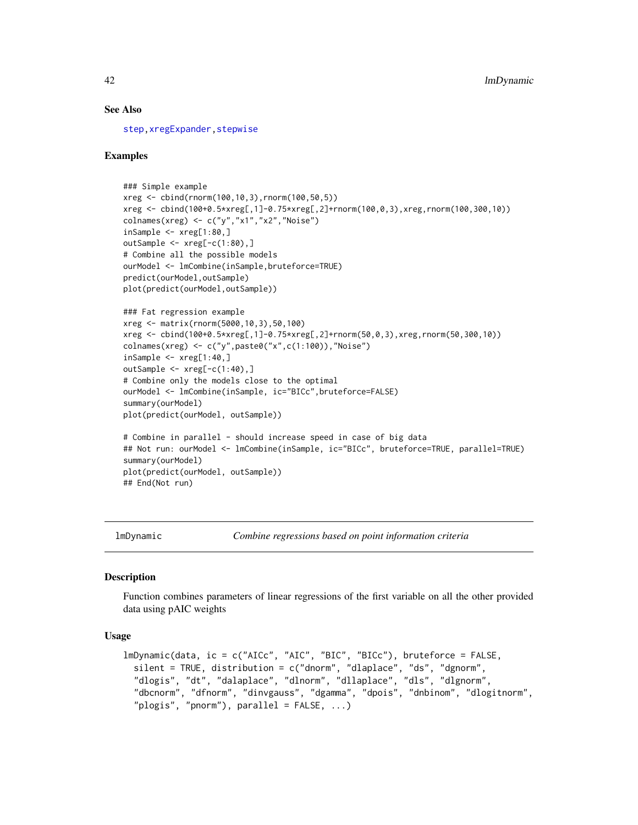### See Also

[step](#page-0-0)[,xregExpander](#page-75-0)[,stepwise](#page-70-0)

#### Examples

```
### Simple example
xreg <- cbind(rnorm(100,10,3),rnorm(100,50,5))
xreg <- cbind(100+0.5*xreg[,1]-0.75*xreg[,2]+rnorm(100,0,3),xreg,rnorm(100,300,10))
colnames(xreg) <- c("y","x1","x2","Noise")
inSample <- xreg[1:80,]
outSample <- xreg[-c(1:80),]
# Combine all the possible models
ourModel <- lmCombine(inSample,bruteforce=TRUE)
predict(ourModel,outSample)
plot(predict(ourModel,outSample))
### Fat regression example
xreg <- matrix(rnorm(5000,10,3),50,100)
xreg <- cbind(100+0.5*xreg[,1]-0.75*xreg[,2]+rnorm(50,0,3),xreg,rnorm(50,300,10))
colnames(xreg) <- c("y",paste0("x",c(1:100)),"Noise")
insample < -xreg[1:40,]outSample <- xreg[-c(1:40),]
# Combine only the models close to the optimal
ourModel <- lmCombine(inSample, ic="BICc",bruteforce=FALSE)
summary(ourModel)
plot(predict(ourModel, outSample))
# Combine in parallel - should increase speed in case of big data
## Not run: ourModel <- lmCombine(inSample, ic="BICc", bruteforce=TRUE, parallel=TRUE)
summary(ourModel)
plot(predict(ourModel, outSample))
## End(Not run)
```
lmDynamic *Combine regressions based on point information criteria*

### **Description**

Function combines parameters of linear regressions of the first variable on all the other provided data using pAIC weights

```
lmDynamic(data, ic = c("AICc", "AIC", "BIC", "BICc"), bruteforce = FALSE,
 silent = TRUE, distribution = c("dnorm", "dlaplace", "ds", "dgnorm",
  "dlogis", "dt", "dalaplace", "dlnorm", "dllaplace", "dls", "dlgnorm",
  "dbcnorm", "dfnorm", "dinvgauss", "dgamma", "dpois", "dnbinom", "dlogitnorm",
  "plogis", "pnorm"), parallel = FALSE, ...)
```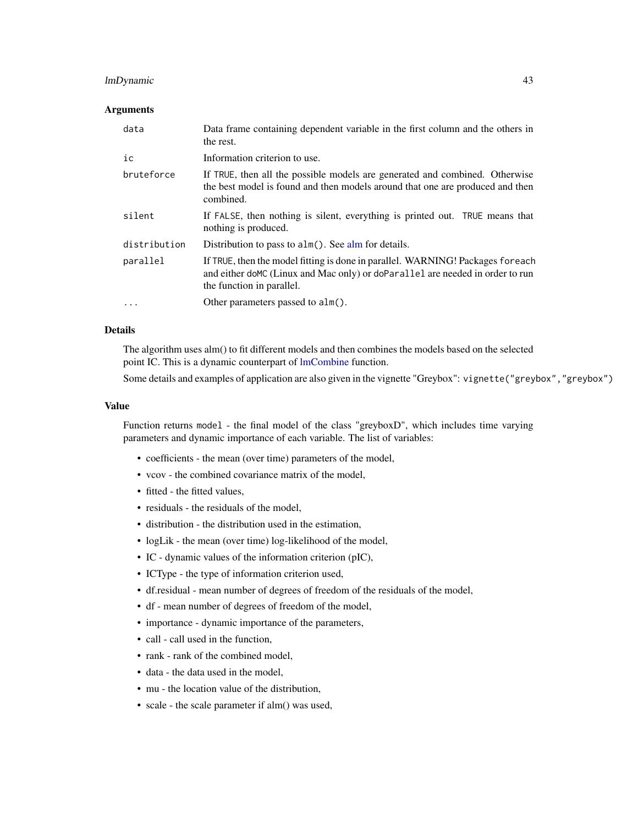# lmDynamic 43

### Arguments

| data         | Data frame containing dependent variable in the first column and the others in<br>the rest.                                                                                                     |
|--------------|-------------------------------------------------------------------------------------------------------------------------------------------------------------------------------------------------|
| ic           | Information criterion to use.                                                                                                                                                                   |
| bruteforce   | If TRUE, then all the possible models are generated and combined. Otherwise<br>the best model is found and then models around that one are produced and then<br>combined.                       |
| silent       | If FALSE, then nothing is silent, everything is printed out. TRUE means that<br>nothing is produced.                                                                                            |
| distribution | Distribution to pass to alm(). See alm for details.                                                                                                                                             |
| parallel     | If TRUE, then the model fitting is done in parallel. WARNING! Packages for each<br>and either do MC (Linux and Mac only) or do Parallel are needed in order to run<br>the function in parallel. |
| $\cdots$     | Other parameters passed to alm().                                                                                                                                                               |

### Details

The algorithm uses alm() to fit different models and then combines the models based on the selected point IC. This is a dynamic counterpart of [lmCombine](#page-39-0) function.

Some details and examples of application are also given in the vignette "Greybox": vignette("greybox","greybox")

### Value

Function returns model - the final model of the class "greyboxD", which includes time varying parameters and dynamic importance of each variable. The list of variables:

- coefficients the mean (over time) parameters of the model,
- vcov the combined covariance matrix of the model,
- fitted the fitted values,
- residuals the residuals of the model,
- distribution the distribution used in the estimation,
- logLik the mean (over time) log-likelihood of the model,
- IC dynamic values of the information criterion (pIC),
- ICType the type of information criterion used,
- df.residual mean number of degrees of freedom of the residuals of the model,
- df mean number of degrees of freedom of the model,
- importance dynamic importance of the parameters,
- call call used in the function,
- rank rank of the combined model,
- data the data used in the model,
- mu the location value of the distribution,
- scale the scale parameter if alm() was used,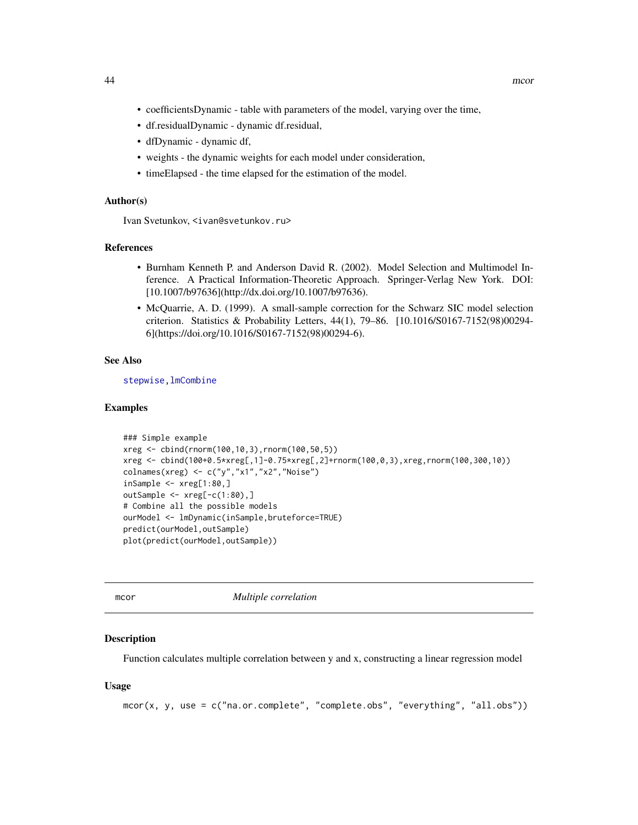- coefficientsDynamic table with parameters of the model, varying over the time,
- df.residualDynamic dynamic df.residual,
- dfDynamic dynamic df,
- weights the dynamic weights for each model under consideration,
- timeElapsed the time elapsed for the estimation of the model.

### Author(s)

Ivan Svetunkov, <ivan@svetunkov.ru>

## References

- Burnham Kenneth P. and Anderson David R. (2002). Model Selection and Multimodel Inference. A Practical Information-Theoretic Approach. Springer-Verlag New York. DOI: [10.1007/b97636](http://dx.doi.org/10.1007/b97636).
- McQuarrie, A. D. (1999). A small-sample correction for the Schwarz SIC model selection criterion. Statistics & Probability Letters, 44(1), 79–86. [10.1016/S0167-7152(98)00294- 6](https://doi.org/10.1016/S0167-7152(98)00294-6).

# See Also

[stepwise](#page-70-0)[,lmCombine](#page-39-0)

### Examples

```
### Simple example
xreg <- cbind(rnorm(100,10,3),rnorm(100,50,5))
xreg <- cbind(100+0.5*xreg[,1]-0.75*xreg[,2]+rnorm(100,0,3),xreg,rnorm(100,300,10))
colnames(xreg) <- c("y","x1","x2","Noise")
insample < -xreg[1:80, ]outSample <- xreg[-c(1:80),]
# Combine all the possible models
ourModel <- lmDynamic(inSample,bruteforce=TRUE)
predict(ourModel,outSample)
plot(predict(ourModel,outSample))
```
<span id="page-43-0"></span>

mcor *Multiple correlation*

### **Description**

Function calculates multiple correlation between y and x, constructing a linear regression model

#### Usage

mcor(x, y, use = c("na.or.complete", "complete.obs", "everything", "all.obs"))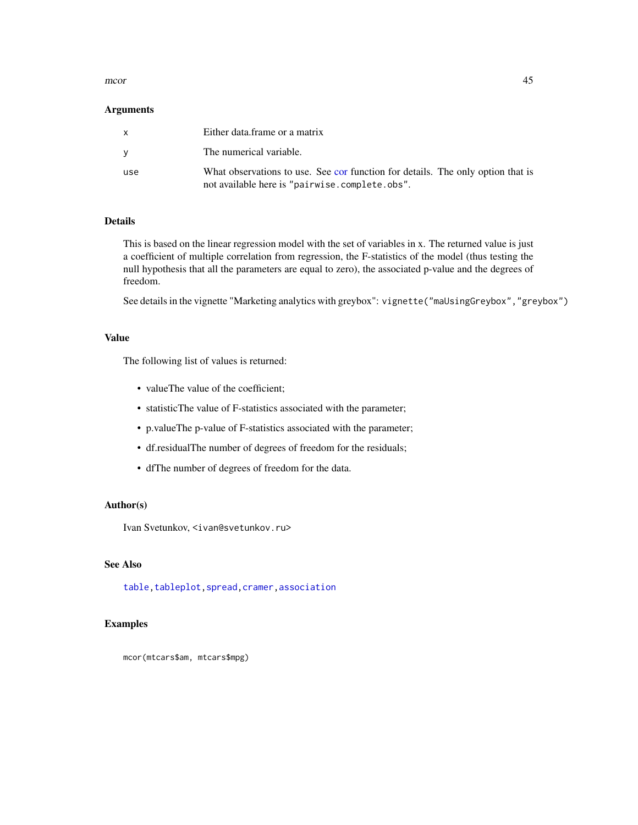#### $\sim$  45

## **Arguments**

| $\mathsf{x}$ | Either data frame or a matrix                                                                                                     |
|--------------|-----------------------------------------------------------------------------------------------------------------------------------|
| <b>V</b>     | The numerical variable.                                                                                                           |
| use          | What observations to use. See cor function for details. The only option that is<br>not available here is "pairwise.complete.obs". |

# Details

This is based on the linear regression model with the set of variables in x. The returned value is just a coefficient of multiple correlation from regression, the F-statistics of the model (thus testing the null hypothesis that all the parameters are equal to zero), the associated p-value and the degrees of freedom.

See details in the vignette "Marketing analytics with greybox": vignette("maUsingGreybox","greybox")

# Value

The following list of values is returned:

- valueThe value of the coefficient;
- statisticThe value of F-statistics associated with the parameter;
- p.valueThe p-value of F-statistics associated with the parameter;
- df.residualThe number of degrees of freedom for the residuals;
- dfThe number of degrees of freedom for the data.

### Author(s)

Ivan Svetunkov, <ivan@svetunkov.ru>

# See Also

[table](#page-0-0)[,tableplot](#page-72-0)[,spread,](#page-69-0)[cramer,](#page-14-0)[association](#page-10-0)

# Examples

mcor(mtcars\$am, mtcars\$mpg)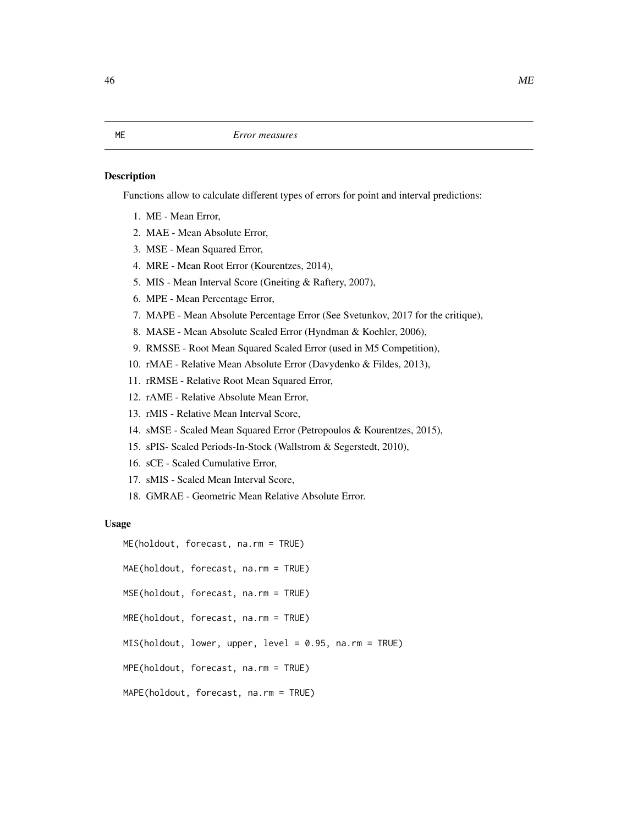### <span id="page-45-0"></span>Description

Functions allow to calculate different types of errors for point and interval predictions:

- 1. ME Mean Error,
- 2. MAE Mean Absolute Error,
- 3. MSE Mean Squared Error,
- 4. MRE Mean Root Error (Kourentzes, 2014),
- 5. MIS Mean Interval Score (Gneiting & Raftery, 2007),
- 6. MPE Mean Percentage Error,
- 7. MAPE Mean Absolute Percentage Error (See Svetunkov, 2017 for the critique),
- 8. MASE Mean Absolute Scaled Error (Hyndman & Koehler, 2006),
- 9. RMSSE Root Mean Squared Scaled Error (used in M5 Competition),
- 10. rMAE Relative Mean Absolute Error (Davydenko & Fildes, 2013),
- 11. rRMSE Relative Root Mean Squared Error,
- 12. rAME Relative Absolute Mean Error,
- 13. rMIS Relative Mean Interval Score,
- 14. sMSE Scaled Mean Squared Error (Petropoulos & Kourentzes, 2015),
- 15. sPIS- Scaled Periods-In-Stock (Wallstrom & Segerstedt, 2010),
- 16. sCE Scaled Cumulative Error,
- 17. sMIS Scaled Mean Interval Score,
- 18. GMRAE Geometric Mean Relative Absolute Error.

#### Usage

ME(holdout, forecast, na.rm = TRUE) MAE(holdout, forecast, na.rm = TRUE) MSE(holdout, forecast, na.rm = TRUE) MRE(holdout, forecast, na.rm = TRUE) MIS(holdout, lower, upper, level = 0.95, na.rm = TRUE) MPE(holdout, forecast, na.rm = TRUE) MAPE(holdout, forecast, na.rm = TRUE)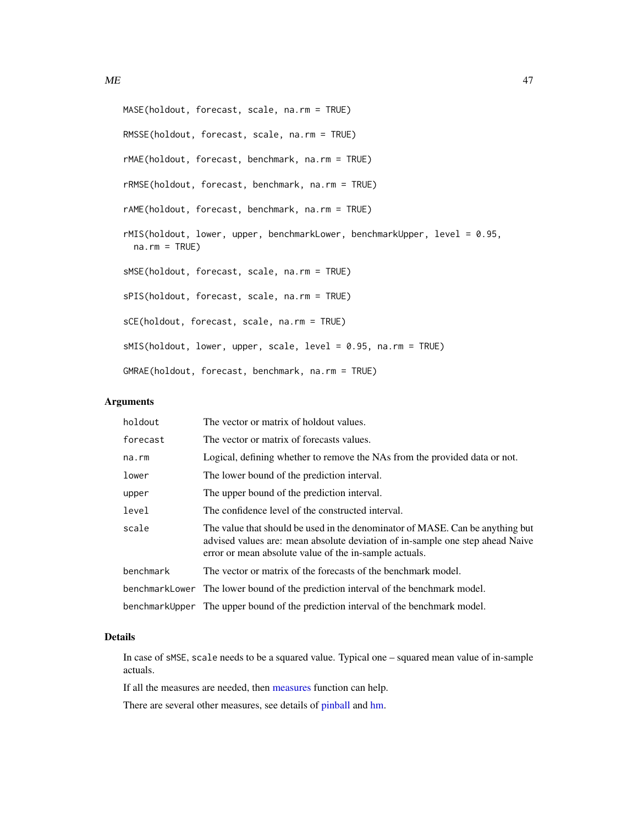```
MASE(holdout, forecast, scale, na.rm = TRUE)
RMSSE(holdout, forecast, scale, na.rm = TRUE)
rMAE(holdout, forecast, benchmark, na.rm = TRUE)
rRMSE(holdout, forecast, benchmark, na.rm = TRUE)
rAME(holdout, forecast, benchmark, na.rm = TRUE)
```
rMIS(holdout, lower, upper, benchmarkLower, benchmarkUpper, level = 0.95,  $na.rm = TRUE$ )

sMSE(holdout, forecast, scale, na.rm = TRUE)

sPIS(holdout, forecast, scale, na.rm = TRUE)

sCE(holdout, forecast, scale, na.rm = TRUE)

sMIS(holdout, lower, upper, scale, level = 0.95, na.rm = TRUE)

GMRAE(holdout, forecast, benchmark, na.rm = TRUE)

# Arguments

| holdout   | The vector or matrix of holdout values.                                                                                                                                                                                  |
|-----------|--------------------------------------------------------------------------------------------------------------------------------------------------------------------------------------------------------------------------|
| forecast  | The vector or matrix of forecasts values.                                                                                                                                                                                |
| na.rm     | Logical, defining whether to remove the NAs from the provided data or not.                                                                                                                                               |
| lower     | The lower bound of the prediction interval.                                                                                                                                                                              |
| upper     | The upper bound of the prediction interval.                                                                                                                                                                              |
| level     | The confidence level of the constructed interval.                                                                                                                                                                        |
| scale     | The value that should be used in the denominator of MASE. Can be anything but<br>advised values are: mean absolute deviation of in-sample one step ahead Naive<br>error or mean absolute value of the in-sample actuals. |
| benchmark | The vector or matrix of the forecasts of the benchmark model.                                                                                                                                                            |
|           | benchmarkLower The lower bound of the prediction interval of the benchmark model.                                                                                                                                        |
|           | benchmarkUpper The upper bound of the prediction interval of the benchmark model.                                                                                                                                        |

# Details

In case of sMSE, scale needs to be a squared value. Typical one – squared mean value of in-sample actuals.

If all the measures are needed, then [measures](#page-48-0) function can help.

There are several other measures, see details of [pinball](#page-54-0) and [hm.](#page-36-0)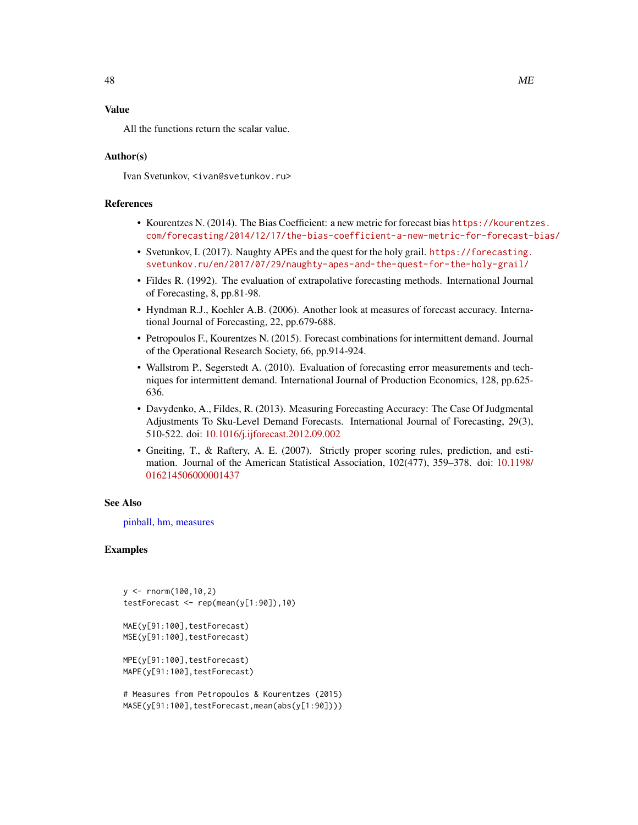# Value

All the functions return the scalar value.

# Author(s)

Ivan Svetunkov, <ivan@svetunkov.ru>

# References

- Kourentzes N. (2014). The Bias Coefficient: a new metric for forecast bias [https://kourentz](https://kourentzes.com/forecasting/2014/12/17/the-bias-coefficient-a-new-metric-for-forecast-bias/)es. [com/forecasting/2014/12/17/the-bias-coefficient-a-new-metric-for-forecast-bias/](https://kourentzes.com/forecasting/2014/12/17/the-bias-coefficient-a-new-metric-for-forecast-bias/)
- Svetunkov, I. (2017). Naughty APEs and the quest for the holy grail. [https://forecasting.](https://forecasting.svetunkov.ru/en/2017/07/29/naughty-apes-and-the-quest-for-the-holy-grail/) [svetunkov.ru/en/2017/07/29/naughty-apes-and-the-quest-for-the-holy-grail/](https://forecasting.svetunkov.ru/en/2017/07/29/naughty-apes-and-the-quest-for-the-holy-grail/)
- Fildes R. (1992). The evaluation of extrapolative forecasting methods. International Journal of Forecasting, 8, pp.81-98.
- Hyndman R.J., Koehler A.B. (2006). Another look at measures of forecast accuracy. International Journal of Forecasting, 22, pp.679-688.
- Petropoulos F., Kourentzes N. (2015). Forecast combinations for intermittent demand. Journal of the Operational Research Society, 66, pp.914-924.
- Wallstrom P., Segerstedt A. (2010). Evaluation of forecasting error measurements and techniques for intermittent demand. International Journal of Production Economics, 128, pp.625- 636.
- Davydenko, A., Fildes, R. (2013). Measuring Forecasting Accuracy: The Case Of Judgmental Adjustments To Sku-Level Demand Forecasts. International Journal of Forecasting, 29(3), 510-522. doi: [10.1016/j.ijforecast.2012.09.002](https://doi.org/10.1016/j.ijforecast.2012.09.002)
- Gneiting, T., & Raftery, A. E. (2007). Strictly proper scoring rules, prediction, and estimation. Journal of the American Statistical Association, 102(477), 359–378. doi: [10.1198/](https://doi.org/10.1198/016214506000001437) [016214506000001437](https://doi.org/10.1198/016214506000001437)

### See Also

[pinball,](#page-54-0) [hm,](#page-36-0) [measures](#page-48-0)

# Examples

```
y \le - rnorm(100, 10, 2)testForecast <- rep(mean(y[1:90]),10)
MAE(y[91:100],testForecast)
MSE(y[91:100],testForecast)
MPE(y[91:100],testForecast)
MAPE(y[91:100],testForecast)
```
<sup>#</sup> Measures from Petropoulos & Kourentzes (2015) MASE(y[91:100],testForecast,mean(abs(y[1:90])))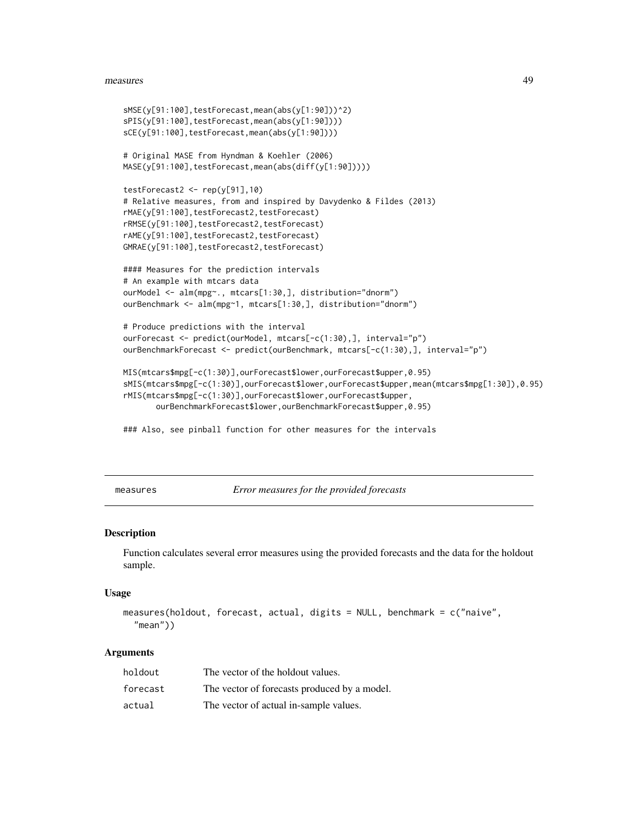#### measures and the contract of the contract of the contract of the contract of the contract of the contract of the contract of the contract of the contract of the contract of the contract of the contract of the contract of t

```
sMSE(y[91:100],testForecast,mean(abs(y[1:90]))^2)
sPIS(y[91:100],testForecast,mean(abs(y[1:90])))
sCE(y[91:100],testForecast,mean(abs(y[1:90])))
# Original MASE from Hyndman & Koehler (2006)
MASE(y[91:100],testForecast,mean(abs(diff(y[1:90]))))
testForecast2 < -rep(y[91], 10)# Relative measures, from and inspired by Davydenko & Fildes (2013)
rMAE(y[91:100],testForecast2,testForecast)
rRMSE(y[91:100],testForecast2,testForecast)
rAME(y[91:100],testForecast2,testForecast)
GMRAE(y[91:100],testForecast2,testForecast)
#### Measures for the prediction intervals
# An example with mtcars data
ourModel <- alm(mpg~., mtcars[1:30,], distribution="dnorm")
ourBenchmark <- alm(mpg~1, mtcars[1:30,], distribution="dnorm")
# Produce predictions with the interval
ourForecast <- predict(ourModel, mtcars[-c(1:30),], interval="p")
ourBenchmarkForecast <- predict(ourBenchmark, mtcars[-c(1:30),], interval="p")
MIS(mtcars$mpg[-c(1:30)],ourForecast$lower,ourForecast$upper,0.95)
sMIS(mtcars$mpg[-c(1:30)],ourForecast$lower,ourForecast$upper,mean(mtcars$mpg[1:30]),0.95)
rMIS(mtcars$mpg[-c(1:30)],ourForecast$lower,ourForecast$upper,
      ourBenchmarkForecast$lower,ourBenchmarkForecast$upper,0.95)
```
### Also, see pinball function for other measures for the intervals

<span id="page-48-0"></span>measures *Error measures for the provided forecasts*

### Description

Function calculates several error measures using the provided forecasts and the data for the holdout sample.

#### Usage

```
measures(holdout, forecast, actual, digits = NULL, benchmark = c("naive",
  "mean"))
```
### Arguments

| holdout  | The vector of the holdout values.            |
|----------|----------------------------------------------|
| forecast | The vector of forecasts produced by a model. |
| actual   | The vector of actual in-sample values.       |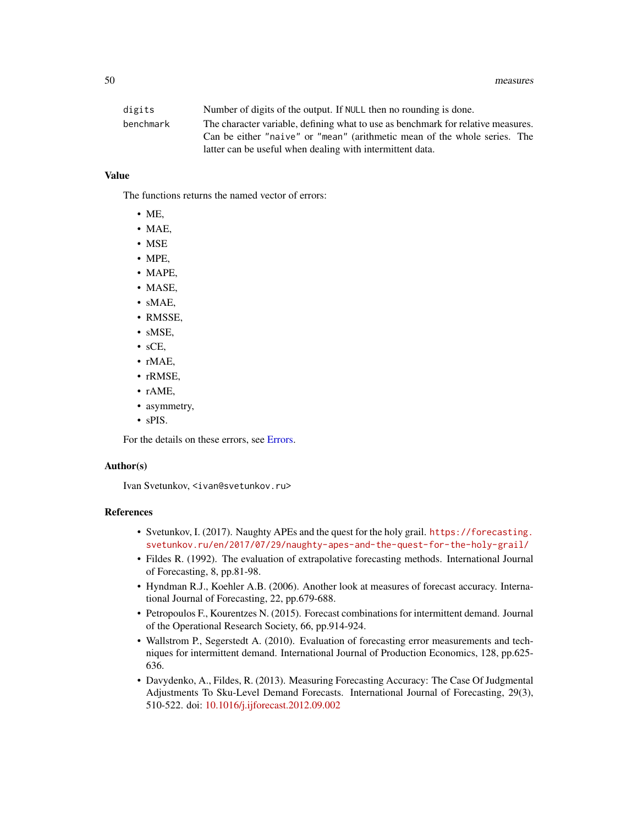| digits    | Number of digits of the output. If NULL then no rounding is done.                |  |  |
|-----------|----------------------------------------------------------------------------------|--|--|
| benchmark | The character variable, defining what to use as benchmark for relative measures. |  |  |
|           | Can be either "naive" or "mean" (arithmetic mean of the whole series. The        |  |  |
|           | latter can be useful when dealing with intermittent data.                        |  |  |

# Value

The functions returns the named vector of errors:

- ME,
- MAE,
- MSE
- MPE,
- MAPE,
- MASE,
- sMAE,
- RMSSE,
- sMSE,
- sCE,
- rMAE,
- rRMSE,
- rAME,
- asymmetry,
- sPIS.

For the details on these errors, see [Errors.](#page-45-0)

# Author(s)

Ivan Svetunkov, <ivan@svetunkov.ru>

# References

- Svetunkov, I. (2017). Naughty APEs and the quest for the holy grail. [https://forecasting.](https://forecasting.svetunkov.ru/en/2017/07/29/naughty-apes-and-the-quest-for-the-holy-grail/) [svetunkov.ru/en/2017/07/29/naughty-apes-and-the-quest-for-the-holy-grail/](https://forecasting.svetunkov.ru/en/2017/07/29/naughty-apes-and-the-quest-for-the-holy-grail/)
- Fildes R. (1992). The evaluation of extrapolative forecasting methods. International Journal of Forecasting, 8, pp.81-98.
- Hyndman R.J., Koehler A.B. (2006). Another look at measures of forecast accuracy. International Journal of Forecasting, 22, pp.679-688.
- Petropoulos F., Kourentzes N. (2015). Forecast combinations for intermittent demand. Journal of the Operational Research Society, 66, pp.914-924.
- Wallstrom P., Segerstedt A. (2010). Evaluation of forecasting error measurements and techniques for intermittent demand. International Journal of Production Economics, 128, pp.625- 636.
- Davydenko, A., Fildes, R. (2013). Measuring Forecasting Accuracy: The Case Of Judgmental Adjustments To Sku-Level Demand Forecasts. International Journal of Forecasting, 29(3), 510-522. doi: [10.1016/j.ijforecast.2012.09.002](https://doi.org/10.1016/j.ijforecast.2012.09.002)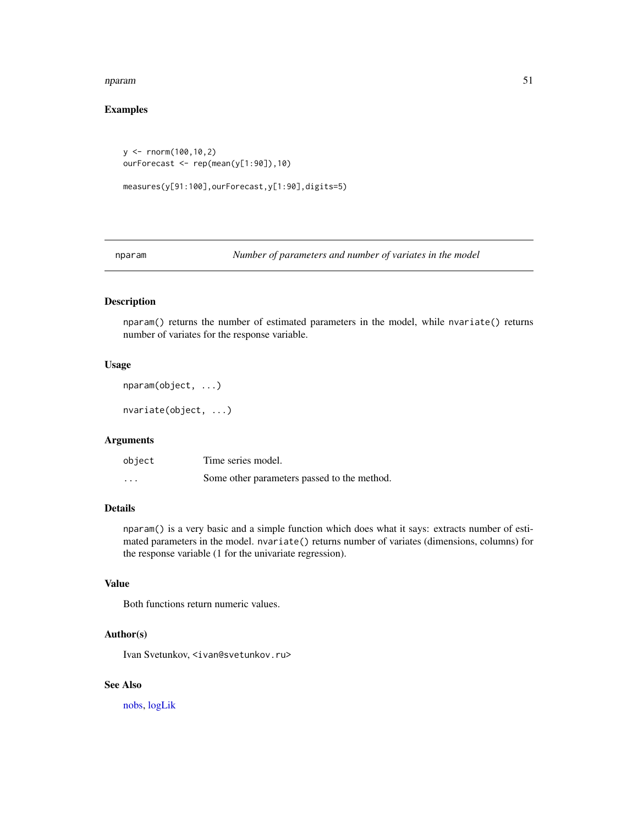#### nparam 51

# Examples

```
y \le - rnorm(100,10,2)
ourForecast <- rep(mean(y[1:90]),10)
```

```
measures(y[91:100],ourForecast,y[1:90],digits=5)
```
nparam *Number of parameters and number of variates in the model*

# Description

nparam() returns the number of estimated parameters in the model, while nvariate() returns number of variates for the response variable.

# Usage

```
nparam(object, ...)
```
nvariate(object, ...)

# Arguments

| object   | Time series model.                          |
|----------|---------------------------------------------|
| $\cdots$ | Some other parameters passed to the method. |

# Details

nparam() is a very basic and a simple function which does what it says: extracts number of estimated parameters in the model. nvariate() returns number of variates (dimensions, columns) for the response variable (1 for the univariate regression).

# Value

Both functions return numeric values.

#### Author(s)

Ivan Svetunkov, <ivan@svetunkov.ru>

# See Also

[nobs,](#page-0-0) [logLik](#page-0-0)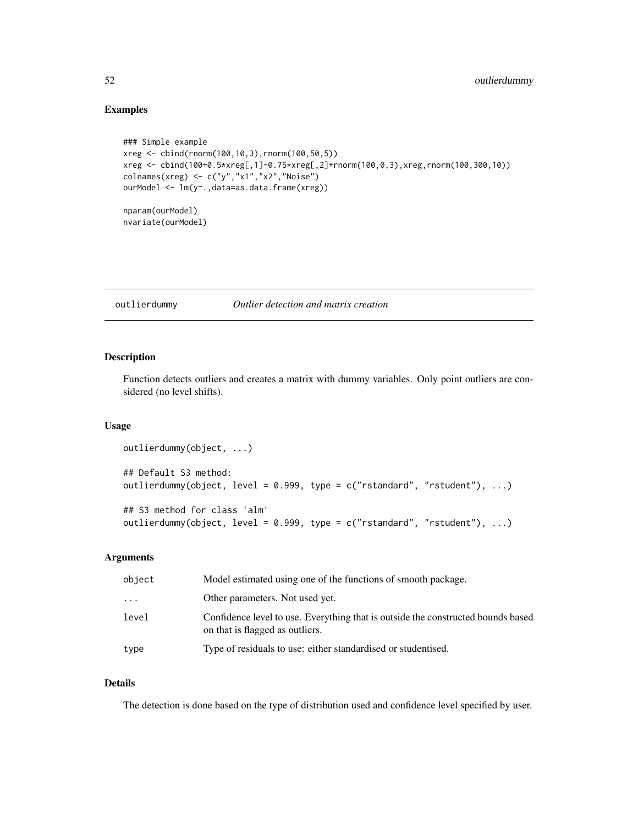# Examples

```
### Simple example
xreg <- cbind(rnorm(100,10,3),rnorm(100,50,5))
xreg <- cbind(100+0.5*xreg[,1]-0.75*xreg[,2]+rnorm(100,0,3),xreg,rnorm(100,300,10))
colnames(xreg) <- c("y","x1","x2","Noise")
ourModel <- lm(y~.,data=as.data.frame(xreg))
nparam(ourModel)
nvariate(ourModel)
```
outlierdummy *Outlier detection and matrix creation*

# Description

Function detects outliers and creates a matrix with dummy variables. Only point outliers are considered (no level shifts).

### Usage

```
outlierdummy(object, ...)
## Default S3 method:
outlierdummy(object, level = 0.999, type = c("rstandard", "rstudent"), ...)
## S3 method for class 'alm'
outlierdummy(object, level = 0.999, type = c("rstandard", "rstudent"), ...)
```
### Arguments

| object  | Model estimated using one of the functions of smooth package.                                                       |  |
|---------|---------------------------------------------------------------------------------------------------------------------|--|
| $\cdot$ | Other parameters. Not used yet.                                                                                     |  |
| level   | Confidence level to use. Everything that is outside the constructed bounds based<br>on that is flagged as outliers. |  |
| type    | Type of residuals to use: either standardised or studentised.                                                       |  |

# Details

The detection is done based on the type of distribution used and confidence level specified by user.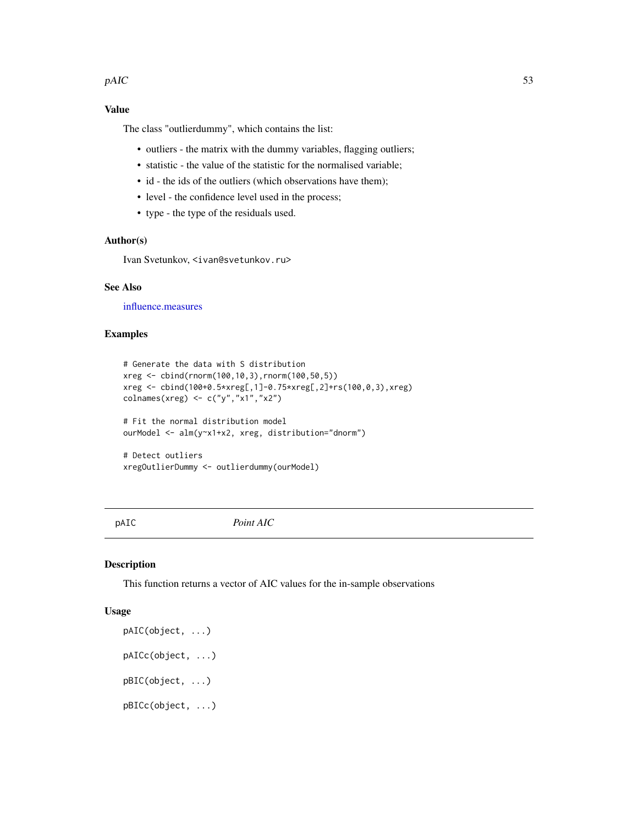#### $pAIC$  53

# Value

The class "outlierdummy", which contains the list:

- outliers the matrix with the dummy variables, flagging outliers;
- statistic the value of the statistic for the normalised variable;
- id the ids of the outliers (which observations have them);
- level the confidence level used in the process;
- type the type of the residuals used.

# Author(s)

Ivan Svetunkov, <ivan@svetunkov.ru>

# See Also

[influence.measures](#page-0-0)

# Examples

```
# Generate the data with S distribution
xreg <- cbind(rnorm(100,10,3),rnorm(100,50,5))
xreg <- cbind(100+0.5*xreg[,1]-0.75*xreg[,2]+rs(100,0,3),xreg)
colnames(xreg) <- c("y","x1","x2")
# Fit the normal distribution model
ourModel <- alm(y~x1+x2, xreg, distribution="dnorm")
```

```
# Detect outliers
xregOutlierDummy <- outlierdummy(ourModel)
```
pAIC *Point AIC*

# Description

This function returns a vector of AIC values for the in-sample observations

```
pAIC(object, ...)
pAICc(object, ...)
pBIC(object, ...)
pBICc(object, ...)
```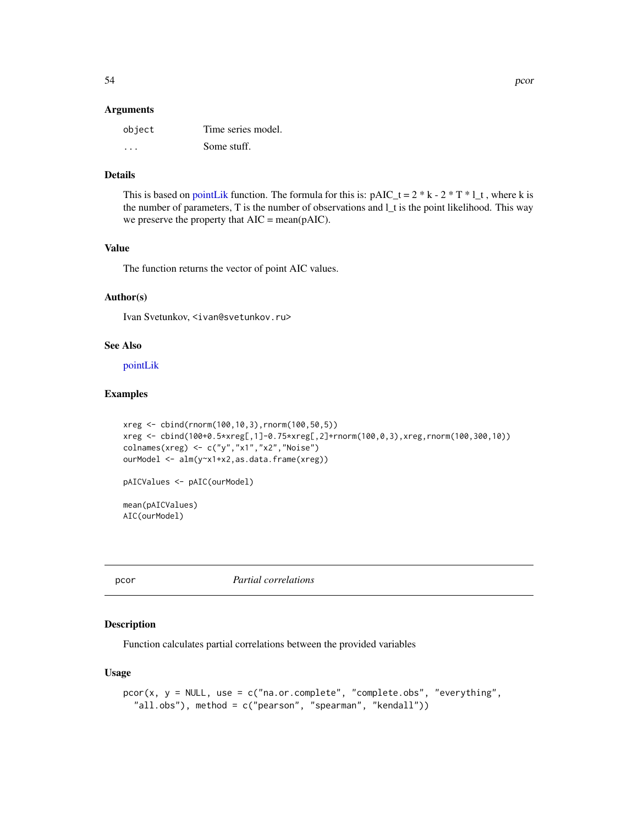### **Arguments**

| object  | Time series model. |
|---------|--------------------|
| $\cdot$ | Some stuff.        |

# Details

This is based on [pointLik](#page-58-0) function. The formula for this is:  $pAIC_t = 2 * k - 2 * T * l_t$ , where k is the number of parameters, T is the number of observations and l\_t is the point likelihood. This way we preserve the property that AIC = mean(pAIC).

# Value

The function returns the vector of point AIC values.

# Author(s)

Ivan Svetunkov, <ivan@svetunkov.ru>

#### See Also

[pointLik](#page-58-0)

# Examples

```
xreg <- cbind(rnorm(100,10,3),rnorm(100,50,5))
xreg <- cbind(100+0.5*xreg[,1]-0.75*xreg[,2]+rnorm(100,0,3),xreg,rnorm(100,300,10))
colnames(xreg) <- c("y","x1","x2","Noise")
ourModel <- alm(y~x1+x2,as.data.frame(xreg))
pAICValues <- pAIC(ourModel)
```
mean(pAICValues) AIC(ourModel)

pcor *Partial correlations*

# Description

Function calculates partial correlations between the provided variables

```
pcor(x, y = NULL, use = c("na.or.complete", "complete.obs", "everything",
  "all.obs"), method = c("pearson", "spearman", "kendall"))
```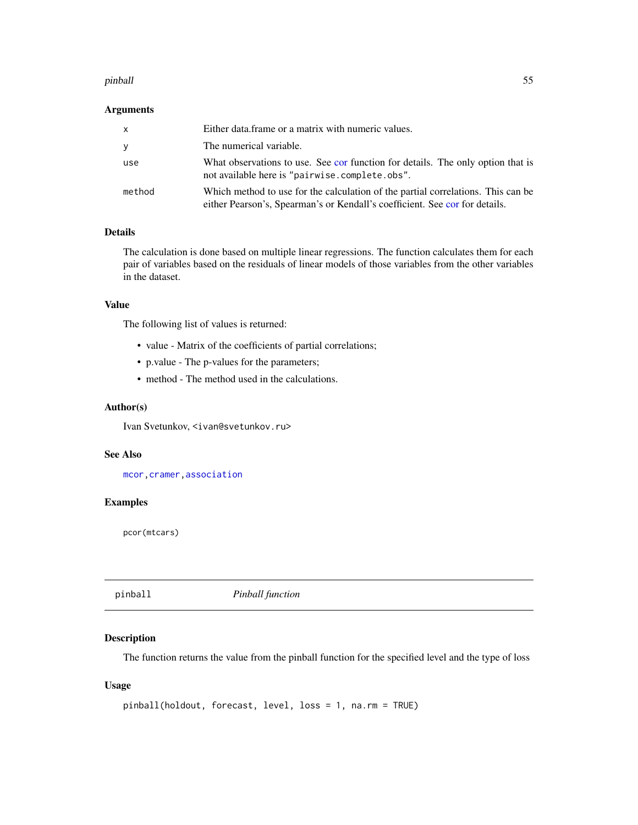#### pinball 55

# Arguments

| $\mathsf{x}$ | Either data frame or a matrix with numeric values.                                                                                                              |
|--------------|-----------------------------------------------------------------------------------------------------------------------------------------------------------------|
| y            | The numerical variable.                                                                                                                                         |
| use          | What observations to use. See cor function for details. The only option that is<br>not available here is "pairwise.complete.obs".                               |
| method       | Which method to use for the calculation of the partial correlations. This can be<br>either Pearson's, Spearman's or Kendall's coefficient. See cor for details. |

# Details

The calculation is done based on multiple linear regressions. The function calculates them for each pair of variables based on the residuals of linear models of those variables from the other variables in the dataset.

# Value

The following list of values is returned:

- value Matrix of the coefficients of partial correlations;
- p.value The p-values for the parameters;
- method The method used in the calculations.

# Author(s)

Ivan Svetunkov, <ivan@svetunkov.ru>

# See Also

[mcor](#page-43-0)[,cramer](#page-14-0)[,association](#page-10-0)

# Examples

pcor(mtcars)

<span id="page-54-0"></span>pinball *Pinball function*

# Description

The function returns the value from the pinball function for the specified level and the type of loss

```
pinball(holdout, forecast, level, loss = 1, na.rm = TRUE)
```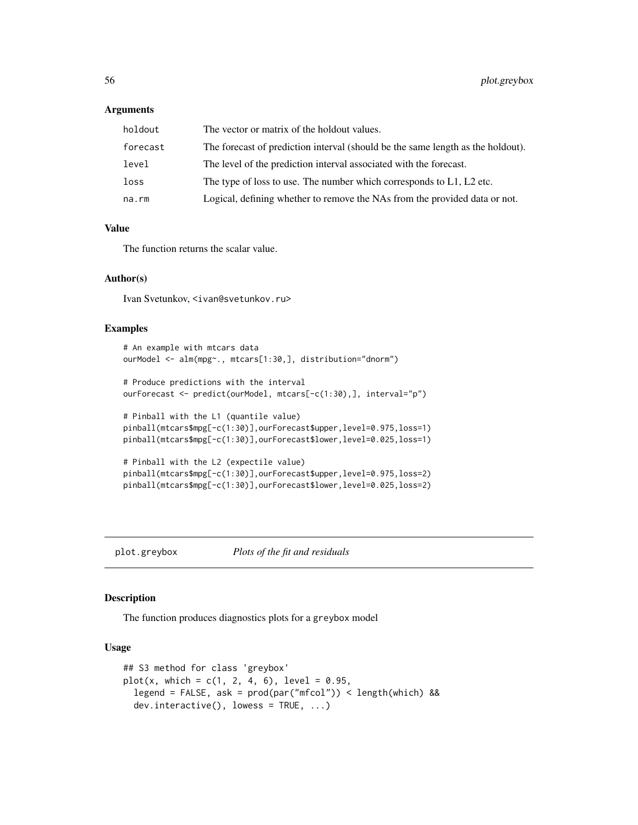### **Arguments**

| holdout  | The vector or matrix of the holdout values.                                     |
|----------|---------------------------------------------------------------------------------|
| forecast | The forecast of prediction interval (should be the same length as the holdout). |
| level    | The level of the prediction interval associated with the forecast.              |
| loss     | The type of loss to use. The number which corresponds to $L_1$ , $L_2$ etc.     |
| na.rm    | Logical, defining whether to remove the NAs from the provided data or not.      |

# Value

The function returns the scalar value.

### Author(s)

Ivan Svetunkov, <ivan@svetunkov.ru>

### Examples

```
# An example with mtcars data
ourModel <- alm(mpg~., mtcars[1:30,], distribution="dnorm")
# Produce predictions with the interval
ourForecast <- predict(ourModel, mtcars[-c(1:30),], interval="p")
# Pinball with the L1 (quantile value)
pinball(mtcars$mpg[-c(1:30)],ourForecast$upper,level=0.975,loss=1)
pinball(mtcars$mpg[-c(1:30)],ourForecast$lower,level=0.025,loss=1)
# Pinball with the L2 (expectile value)
pinball(mtcars$mpg[-c(1:30)],ourForecast$upper,level=0.975,loss=2)
pinball(mtcars$mpg[-c(1:30)],ourForecast$lower,level=0.025,loss=2)
```
plot.greybox *Plots of the fit and residuals*

### Description

The function produces diagnostics plots for a greybox model

```
## S3 method for class 'greybox'
plot(x, which = c(1, 2, 4, 6), level = 0.95,legend = FALSE, ask = prod(par("mfcol")) < length(which) &&
  dev.interactive(), lowess = TRUE, ...)
```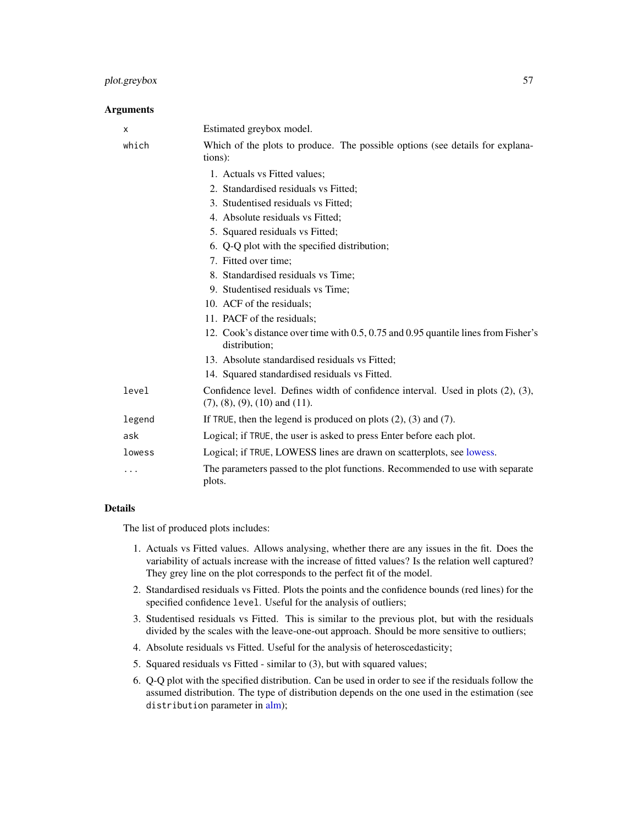# plot.greybox 57

# Arguments

| х      | Estimated greybox model.                                                                                                       |
|--------|--------------------------------------------------------------------------------------------------------------------------------|
| which  | Which of the plots to produce. The possible options (see details for explana-<br>tions):                                       |
|        | 1. Actuals vs Fitted values;                                                                                                   |
|        | 2. Standardised residuals vs Fitted:                                                                                           |
|        | 3. Studentised residuals vs Fitted;                                                                                            |
|        | 4. Absolute residuals vs Fitted;                                                                                               |
|        | 5. Squared residuals vs Fitted;                                                                                                |
|        | 6. Q-Q plot with the specified distribution;                                                                                   |
|        | 7. Fitted over time;                                                                                                           |
|        | 8. Standardised residuals vs Time;                                                                                             |
|        | 9. Studentised residuals vs Time;                                                                                              |
|        | 10. ACF of the residuals;                                                                                                      |
|        | 11. PACF of the residuals;                                                                                                     |
|        | 12. Cook's distance over time with 0.5, 0.75 and 0.95 quantile lines from Fisher's<br>distribution;                            |
|        | 13. Absolute standardised residuals vs Fitted;                                                                                 |
|        | 14. Squared standardised residuals vs Fitted.                                                                                  |
| level  | Confidence level. Defines width of confidence interval. Used in plots (2), (3),<br>$(7)$ , $(8)$ , $(9)$ , $(10)$ and $(11)$ . |
| legend | If TRUE, then the legend is produced on plots $(2)$ , $(3)$ and $(7)$ .                                                        |
| ask    | Logical; if TRUE, the user is asked to press Enter before each plot.                                                           |
| lowess | Logical; if TRUE, LOWESS lines are drawn on scatterplots, see lowess.                                                          |
| .      | The parameters passed to the plot functions. Recommended to use with separate<br>plots.                                        |

### Details

The list of produced plots includes:

- 1. Actuals vs Fitted values. Allows analysing, whether there are any issues in the fit. Does the variability of actuals increase with the increase of fitted values? Is the relation well captured? They grey line on the plot corresponds to the perfect fit of the model.
- 2. Standardised residuals vs Fitted. Plots the points and the confidence bounds (red lines) for the specified confidence level. Useful for the analysis of outliers;
- 3. Studentised residuals vs Fitted. This is similar to the previous plot, but with the residuals divided by the scales with the leave-one-out approach. Should be more sensitive to outliers;
- 4. Absolute residuals vs Fitted. Useful for the analysis of heteroscedasticity;
- 5. Squared residuals vs Fitted similar to (3), but with squared values;
- 6. Q-Q plot with the specified distribution. Can be used in order to see if the residuals follow the assumed distribution. The type of distribution depends on the one used in the estimation (see distribution parameter in [alm\)](#page-4-0);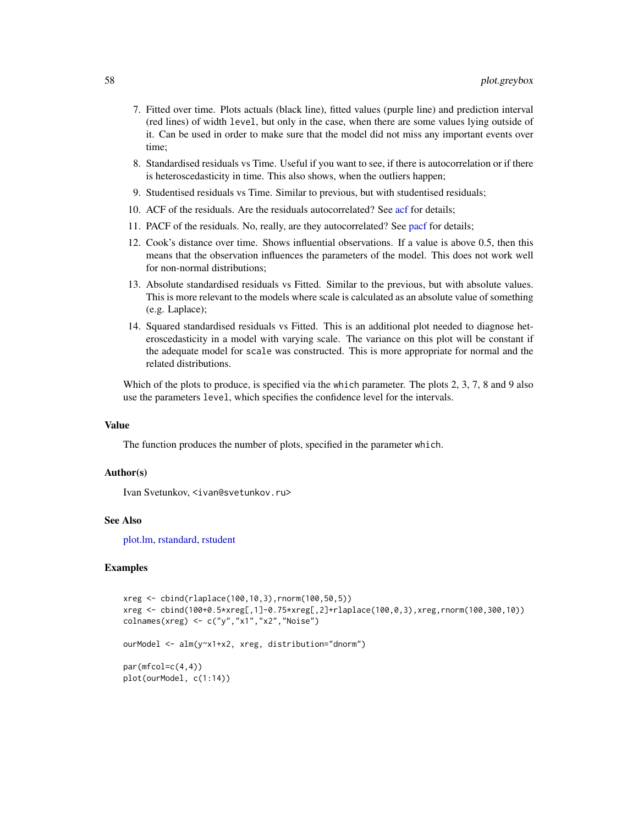- 7. Fitted over time. Plots actuals (black line), fitted values (purple line) and prediction interval (red lines) of width level, but only in the case, when there are some values lying outside of it. Can be used in order to make sure that the model did not miss any important events over time;
- 8. Standardised residuals vs Time. Useful if you want to see, if there is autocorrelation or if there is heteroscedasticity in time. This also shows, when the outliers happen;
- 9. Studentised residuals vs Time. Similar to previous, but with studentised residuals;
- 10. ACF of the residuals. Are the residuals autocorrelated? See [acf](#page-0-0) for details;
- 11. PACF of the residuals. No, really, are they autocorrelated? See [pacf](#page-0-0) for details;
- 12. Cook's distance over time. Shows influential observations. If a value is above 0.5, then this means that the observation influences the parameters of the model. This does not work well for non-normal distributions;
- 13. Absolute standardised residuals vs Fitted. Similar to the previous, but with absolute values. This is more relevant to the models where scale is calculated as an absolute value of something (e.g. Laplace);
- 14. Squared standardised residuals vs Fitted. This is an additional plot needed to diagnose heteroscedasticity in a model with varying scale. The variance on this plot will be constant if the adequate model for scale was constructed. This is more appropriate for normal and the related distributions.

Which of the plots to produce, is specified via the which parameter. The plots 2, 3, 7, 8 and 9 also use the parameters level, which specifies the confidence level for the intervals.

#### Value

The function produces the number of plots, specified in the parameter which.

# Author(s)

Ivan Svetunkov, <ivan@svetunkov.ru>

### See Also

[plot.lm,](#page-0-0) [rstandard,](#page-0-0) [rstudent](#page-0-0)

### Examples

```
xreg <- cbind(rlaplace(100,10,3),rnorm(100,50,5))
xreg <- cbind(100+0.5*xreg[,1]-0.75*xreg[,2]+rlaplace(100,0,3),xreg,rnorm(100,300,10))
colnames(xreg) <- c("y","x1","x2","Noise")
ourModel <- alm(y~x1+x2, xreg, distribution="dnorm")
```
 $par(mfcol=c(4,4))$ plot(ourModel, c(1:14))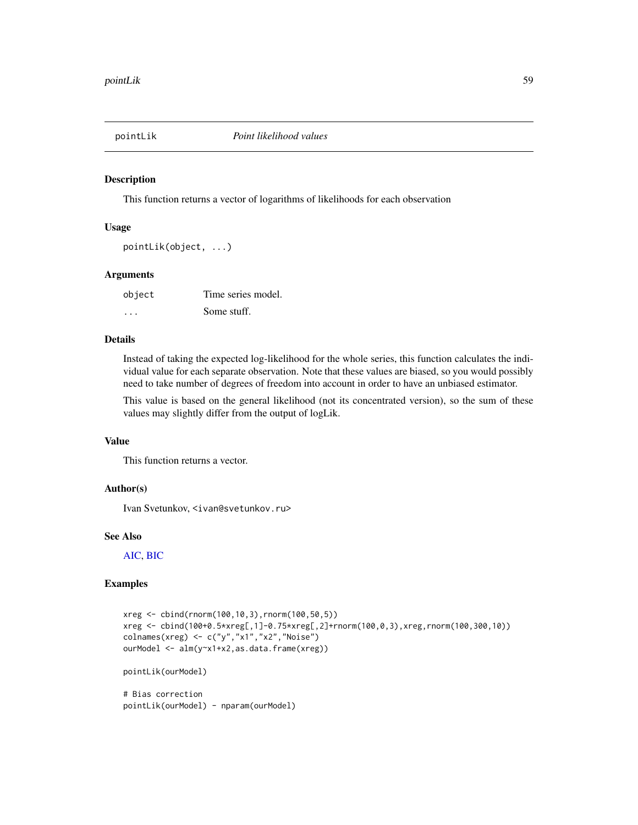<span id="page-58-0"></span>

### Description

This function returns a vector of logarithms of likelihoods for each observation

### Usage

```
pointLik(object, ...)
```
### Arguments

| object | Time series model. |
|--------|--------------------|
| .      | Some stuff.        |

# Details

Instead of taking the expected log-likelihood for the whole series, this function calculates the individual value for each separate observation. Note that these values are biased, so you would possibly need to take number of degrees of freedom into account in order to have an unbiased estimator.

This value is based on the general likelihood (not its concentrated version), so the sum of these values may slightly differ from the output of logLik.

# Value

This function returns a vector.

# Author(s)

Ivan Svetunkov, <ivan@svetunkov.ru>

#### See Also

[AIC,](#page-0-0) [BIC](#page-0-0)

# Examples

```
xreg <- cbind(rnorm(100,10,3),rnorm(100,50,5))
xreg <- cbind(100+0.5*xreg[,1]-0.75*xreg[,2]+rnorm(100,0,3),xreg,rnorm(100,300,10))
colnames(xreg) <- c("y","x1","x2","Noise")
ourModel <- alm(y~x1+x2,as.data.frame(xreg))
pointLik(ourModel)
# Bias correction
```
pointLik(ourModel) - nparam(ourModel)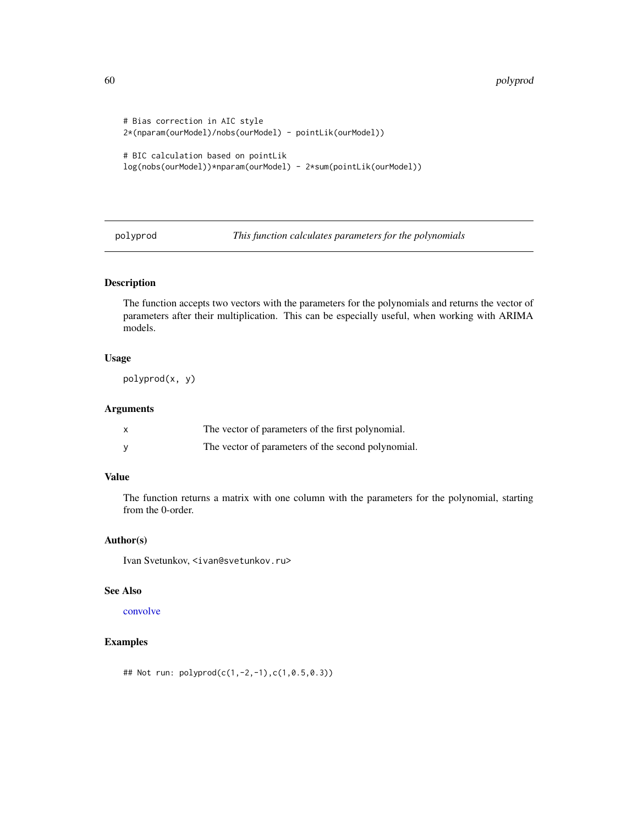```
# Bias correction in AIC style
2*(nparam(ourModel)/nobs(ourModel) - pointLik(ourModel))
# BIC calculation based on pointLik
log(nobs(ourModel))*nparam(ourModel) - 2*sum(pointLik(ourModel))
```
polyprod *This function calculates parameters for the polynomials*

# Description

The function accepts two vectors with the parameters for the polynomials and returns the vector of parameters after their multiplication. This can be especially useful, when working with ARIMA models.

# Usage

polyprod(x, y)

### Arguments

| The vector of parameters of the first polynomial.  |
|----------------------------------------------------|
| The vector of parameters of the second polynomial. |

# Value

The function returns a matrix with one column with the parameters for the polynomial, starting from the 0-order.

# Author(s)

Ivan Svetunkov, <ivan@svetunkov.ru>

# See Also

### [convolve](#page-0-0)

# Examples

## Not run: polyprod(c(1,-2,-1),c(1,0.5,0.3))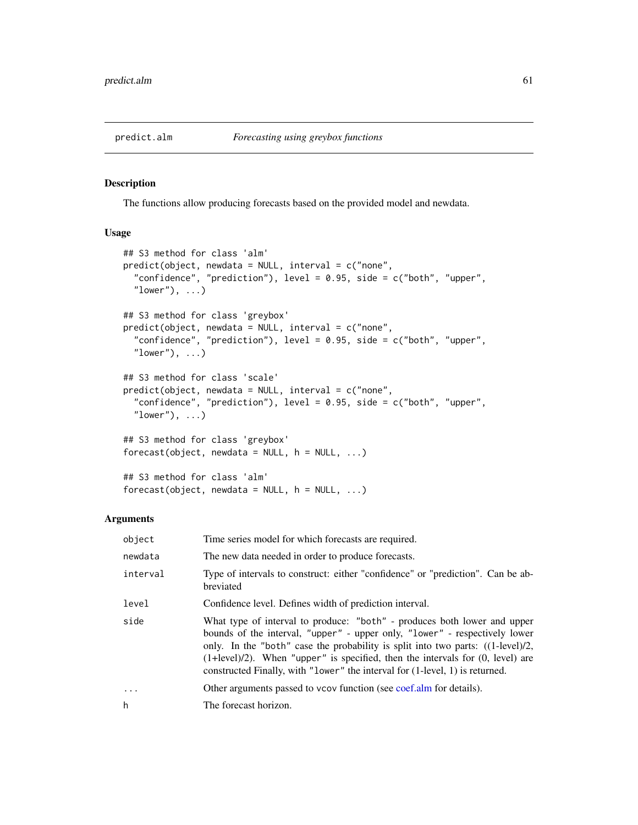# Description

The functions allow producing forecasts based on the provided model and newdata.

### Usage

```
## S3 method for class 'alm'
predict(object, new data = NULL, interval = c("none","confidence", "prediction"), level = 0.95, side = c("both", "upper",
  "lower"), \dots)
## S3 method for class 'greybox'
predict(object, newdata = NULL, interval = c("none",
  "confidence", "prediction"), level = 0.95, side = c("both", "upper",
  "lower"), \ldots)
## S3 method for class 'scale'
predict(object, newdata = NULL, interval = c("none","confidence", "prediction"), level = 0.95, side = c("both", "upper","lower", \ldots)## S3 method for class 'greybox'
forecast(object, newdata = NULL, h = NULL, ...)
## S3 method for class 'alm'
```
forecast(object, newdata = NULL,  $h = NULL$ , ...)

#### Arguments

| object   | Time series model for which forecasts are required.                                                                                                                                                                                                                                                                                                                                                                       |
|----------|---------------------------------------------------------------------------------------------------------------------------------------------------------------------------------------------------------------------------------------------------------------------------------------------------------------------------------------------------------------------------------------------------------------------------|
| newdata  | The new data needed in order to produce forecasts.                                                                                                                                                                                                                                                                                                                                                                        |
| interval | Type of intervals to construct: either "confidence" or "prediction". Can be ab-<br>breviated                                                                                                                                                                                                                                                                                                                              |
| level    | Confidence level. Defines width of prediction interval.                                                                                                                                                                                                                                                                                                                                                                   |
| side     | What type of interval to produce: "both" - produces both lower and upper<br>bounds of the interval, "upper" - upper only, "lower" - respectively lower<br>only. In the "both" case the probability is split into two parts: $((1-\text{level})/2,$<br>$(1+level)/2$ ). When "upper" is specified, then the intervals for $(0, level)$ are<br>constructed Finally, with "lower" the interval for (1-level, 1) is returned. |
| $\cdot$  | Other arguments passed to vcov function (see coef.alm for details).                                                                                                                                                                                                                                                                                                                                                       |
| h        | The forecast horizon.                                                                                                                                                                                                                                                                                                                                                                                                     |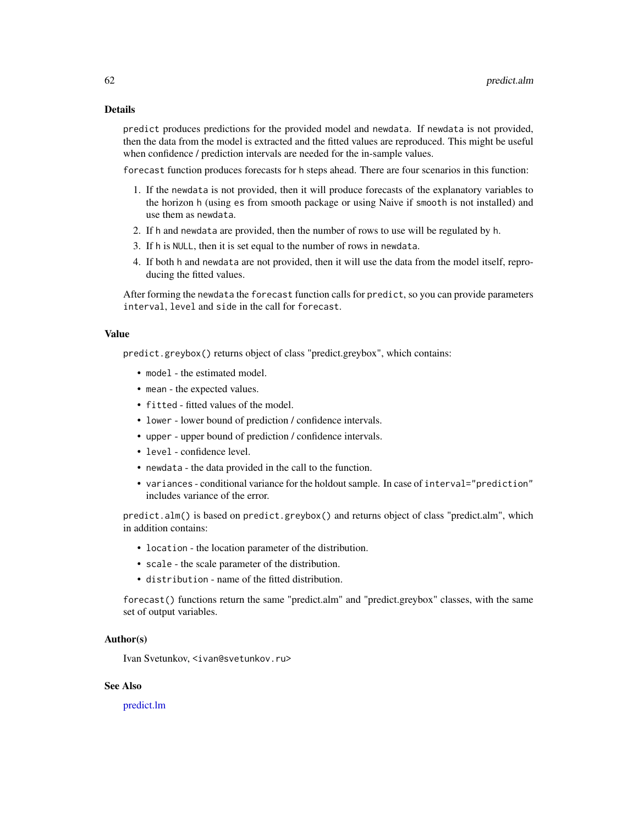# Details

predict produces predictions for the provided model and newdata. If newdata is not provided, then the data from the model is extracted and the fitted values are reproduced. This might be useful when confidence / prediction intervals are needed for the in-sample values.

forecast function produces forecasts for h steps ahead. There are four scenarios in this function:

- 1. If the newdata is not provided, then it will produce forecasts of the explanatory variables to the horizon h (using es from smooth package or using Naive if smooth is not installed) and use them as newdata.
- 2. If h and newdata are provided, then the number of rows to use will be regulated by h.
- 3. If h is NULL, then it is set equal to the number of rows in newdata.
- 4. If both h and newdata are not provided, then it will use the data from the model itself, reproducing the fitted values.

After forming the newdata the forecast function calls for predict, so you can provide parameters interval, level and side in the call for forecast.

### Value

predict.greybox() returns object of class "predict.greybox", which contains:

- model the estimated model.
- mean the expected values.
- fitted fitted values of the model.
- lower lower bound of prediction / confidence intervals.
- upper upper bound of prediction / confidence intervals.
- level confidence level.
- newdata the data provided in the call to the function.
- variances conditional variance for the holdout sample. In case of interval="prediction" includes variance of the error.

predict.alm() is based on predict.greybox() and returns object of class "predict.alm", which in addition contains:

- location the location parameter of the distribution.
- scale the scale parameter of the distribution.
- distribution name of the fitted distribution.

forecast() functions return the same "predict.alm" and "predict.greybox" classes, with the same set of output variables.

# Author(s)

Ivan Svetunkov, <ivan@svetunkov.ru>

# See Also

[predict.lm](#page-0-0)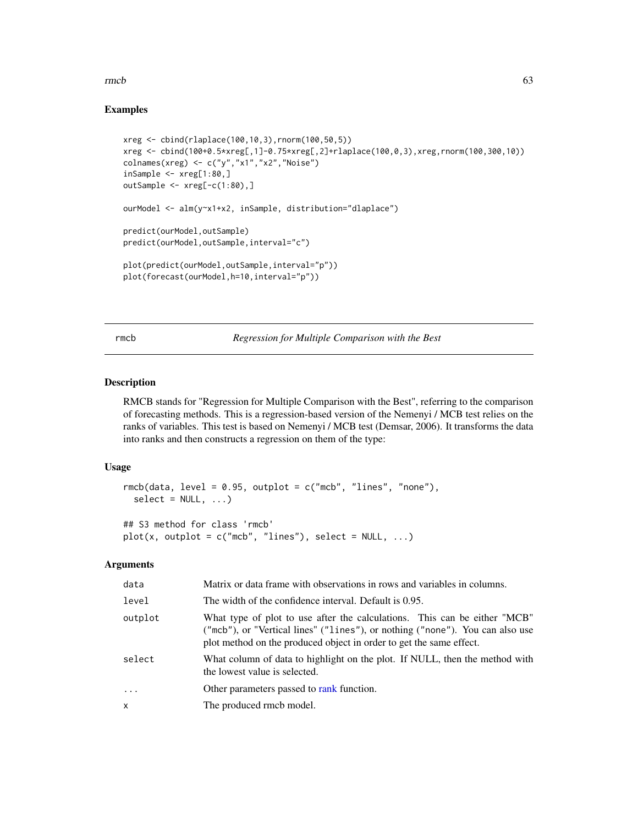#### $\mathsf{rm}$  63

# Examples

```
xreg <- cbind(rlaplace(100,10,3),rnorm(100,50,5))
xreg <- cbind(100+0.5*xreg[,1]-0.75*xreg[,2]+rlaplace(100,0,3),xreg,rnorm(100,300,10))
colnames(xreg) <- c("y","x1","x2","Noise")
insample < -xreg[1:80,]outSample <- xreg[-c(1:80),]
ourModel <- alm(y~x1+x2, inSample, distribution="dlaplace")
predict(ourModel,outSample)
predict(ourModel,outSample,interval="c")
plot(predict(ourModel,outSample,interval="p"))
plot(forecast(ourModel,h=10,interval="p"))
```
rmcb *Regression for Multiple Comparison with the Best*

### Description

RMCB stands for "Regression for Multiple Comparison with the Best", referring to the comparison of forecasting methods. This is a regression-based version of the Nemenyi / MCB test relies on the ranks of variables. This test is based on Nemenyi / MCB test (Demsar, 2006). It transforms the data into ranks and then constructs a regression on them of the type:

# Usage

```
rmcb(data, level = 0.95, output = c("mcb", "lines", "none"),select = NULL, ...)## S3 method for class 'rmcb'
plot(x, outputot = c("mcb", "lines"), select = NULL, ...)
```
# Arguments

| data      | Matrix or data frame with observations in rows and variables in columns.                                                                                                                                                          |
|-----------|-----------------------------------------------------------------------------------------------------------------------------------------------------------------------------------------------------------------------------------|
| level     | The width of the confidence interval. Default is 0.95.                                                                                                                                                                            |
| outplot   | What type of plot to use after the calculations. This can be either "MCB"<br>("mcb"), or "Vertical lines" ("lines"), or nothing ("none"). You can also use<br>plot method on the produced object in order to get the same effect. |
| select    | What column of data to highlight on the plot. If NULL, then the method with<br>the lowest value is selected.                                                                                                                      |
| $\ddotsc$ | Other parameters passed to rank function.                                                                                                                                                                                         |
| x         | The produced rmcb model.                                                                                                                                                                                                          |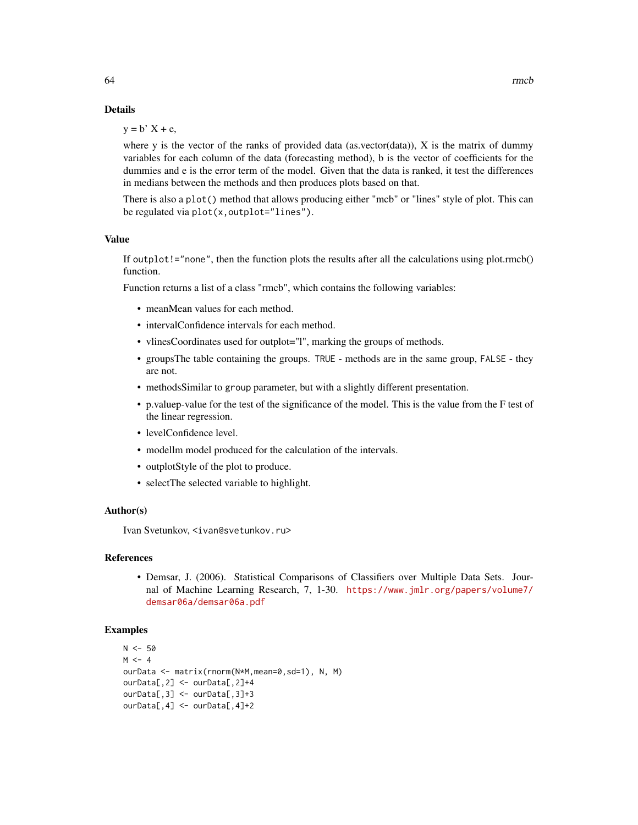# Details

 $y = b'$   $X + e$ ,

where y is the vector of the ranks of provided data (as.vector(data)),  $X$  is the matrix of dummy variables for each column of the data (forecasting method), b is the vector of coefficients for the dummies and e is the error term of the model. Given that the data is ranked, it test the differences in medians between the methods and then produces plots based on that.

There is also a plot() method that allows producing either "mcb" or "lines" style of plot. This can be regulated via plot(x,outplot="lines").

# Value

If outplot!="none", then the function plots the results after all the calculations using plot.rmcb() function.

Function returns a list of a class "rmcb", which contains the following variables:

- meanMean values for each method.
- intervalConfidence intervals for each method.
- vlinesCoordinates used for outplot="l", marking the groups of methods.
- groupsThe table containing the groups. TRUE methods are in the same group, FALSE they are not.
- methodsSimilar to group parameter, but with a slightly different presentation.
- p.valuep-value for the test of the significance of the model. This is the value from the F test of the linear regression.
- levelConfidence level.
- modellm model produced for the calculation of the intervals.
- outplotStyle of the plot to produce.
- selectThe selected variable to highlight.

#### Author(s)

Ivan Svetunkov, <ivan@svetunkov.ru>

### References

• Demsar, J. (2006). Statistical Comparisons of Classifiers over Multiple Data Sets. Journal of Machine Learning Research, 7, 1-30. [https://www.jmlr.org/papers/volume7/](https://www.jmlr.org/papers/volume7/demsar06a/demsar06a.pdf) [demsar06a/demsar06a.pdf](https://www.jmlr.org/papers/volume7/demsar06a/demsar06a.pdf)

#### Examples

```
N < -50M < -4ourData <- matrix(rnorm(N*M,mean=0,sd=1), N, M)
ourData[,2] <- ourData[,2]+4
ourData[,3] <- ourData[,3]+3
ourData[,4] <- ourData[,4]+2
```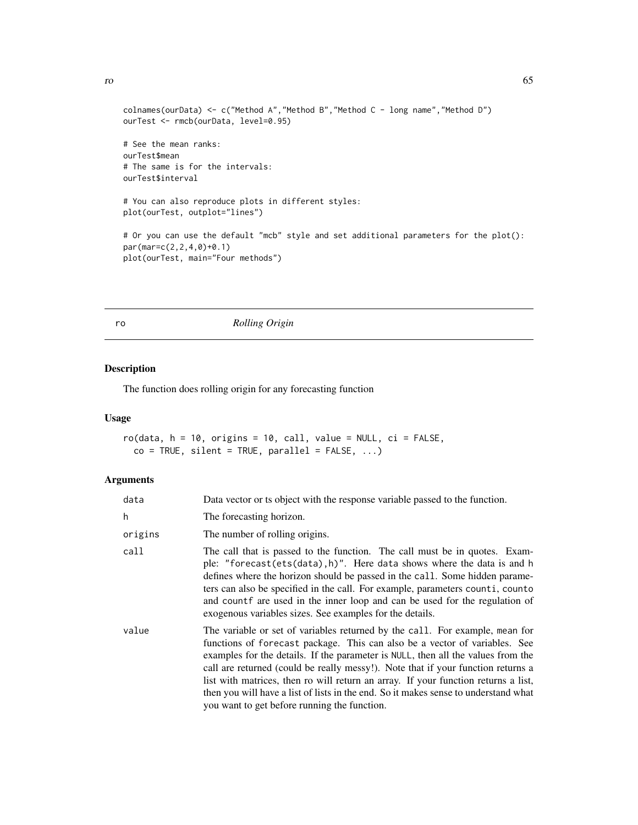```
colnames(ourData) <- c("Method A","Method B","Method C - long name","Method D")
ourTest <- rmcb(ourData, level=0.95)
# See the mean ranks:
ourTest$mean
# The same is for the intervals:
ourTest$interval
# You can also reproduce plots in different styles:
plot(ourTest, outplot="lines")
# Or you can use the default "mcb" style and set additional parameters for the plot():
par(mar=c(2,2,4,0)+0.1)
plot(ourTest, main="Four methods")
```
### ro *Rolling Origin*

# Description

The function does rolling origin for any forecasting function

# Usage

```
ro(data, h = 10, origins = 10, call, value = NULL, ci = FALSE,co = TRUE, silent = TRUE, parallel = FALSE, ...)
```
### Arguments

| data    | Data vector or ts object with the response variable passed to the function.                                                                                                                                                                                                                                                                                                                                                                                                                                                                                     |
|---------|-----------------------------------------------------------------------------------------------------------------------------------------------------------------------------------------------------------------------------------------------------------------------------------------------------------------------------------------------------------------------------------------------------------------------------------------------------------------------------------------------------------------------------------------------------------------|
| h       | The forecasting horizon.                                                                                                                                                                                                                                                                                                                                                                                                                                                                                                                                        |
| origins | The number of rolling origins.                                                                                                                                                                                                                                                                                                                                                                                                                                                                                                                                  |
| call    | The call that is passed to the function. The call must be in quotes. Exam-<br>ple: "forecast(ets(data), h)". Here data shows where the data is and h<br>defines where the horizon should be passed in the call. Some hidden parame-<br>ters can also be specified in the call. For example, parameters counti, counto<br>and count f are used in the inner loop and can be used for the regulation of<br>exogenous variables sizes. See examples for the details.                                                                                               |
| value   | The variable or set of variables returned by the call. For example, mean for<br>functions of forecast package. This can also be a vector of variables. See<br>examples for the details. If the parameter is NULL, then all the values from the<br>call are returned (could be really messy!). Note that if your function returns a<br>list with matrices, then ro will return an array. If your function returns a list,<br>then you will have a list of lists in the end. So it makes sense to understand what<br>you want to get before running the function. |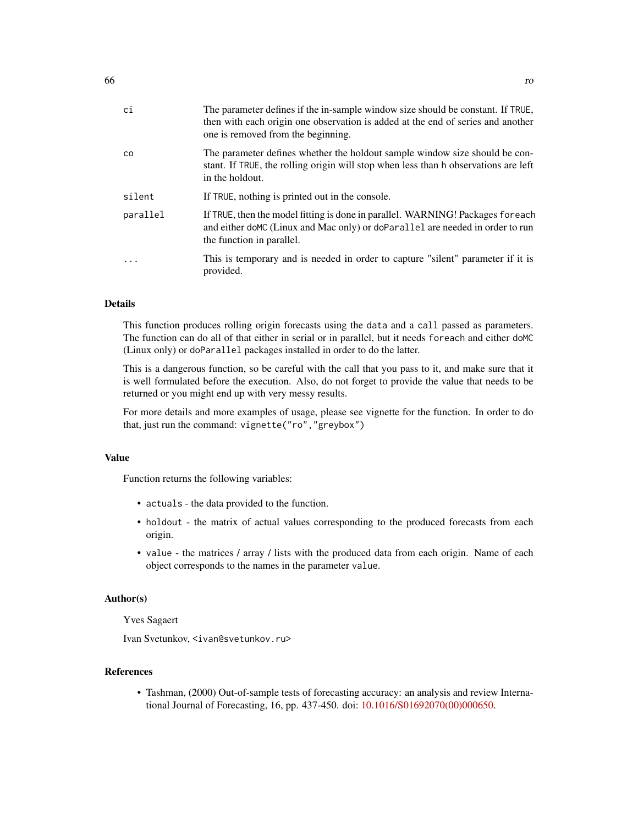| ci        | The parameter defines if the in-sample window size should be constant. If TRUE,<br>then with each origin one observation is added at the end of series and another<br>one is removed from the beginning. |
|-----------|----------------------------------------------------------------------------------------------------------------------------------------------------------------------------------------------------------|
| <b>CO</b> | The parameter defines whether the holdout sample window size should be con-<br>stant. If TRUE, the rolling origin will stop when less than h observations are left<br>in the holdout.                    |
| silent    | If TRUE, nothing is printed out in the console.                                                                                                                                                          |
| parallel  | If TRUE, then the model fitting is done in parallel. WARNING! Packages foreach<br>and either doMC (Linux and Mac only) or doParallel are needed in order to run<br>the function in parallel.             |
| .         | This is temporary and is needed in order to capture "silent" parameter if it is<br>provided.                                                                                                             |

# Details

This function produces rolling origin forecasts using the data and a call passed as parameters. The function can do all of that either in serial or in parallel, but it needs foreach and either doMC (Linux only) or doParallel packages installed in order to do the latter.

This is a dangerous function, so be careful with the call that you pass to it, and make sure that it is well formulated before the execution. Also, do not forget to provide the value that needs to be returned or you might end up with very messy results.

For more details and more examples of usage, please see vignette for the function. In order to do that, just run the command: vignette("ro","greybox")

# Value

Function returns the following variables:

- actuals the data provided to the function.
- holdout the matrix of actual values corresponding to the produced forecasts from each origin.
- value the matrices / array / lists with the produced data from each origin. Name of each object corresponds to the names in the parameter value.

#### Author(s)

Yves Sagaert

Ivan Svetunkov, <ivan@svetunkov.ru>

# References

• Tashman, (2000) Out-of-sample tests of forecasting accuracy: an analysis and review International Journal of Forecasting, 16, pp. 437-450. doi: [10.1016/S01692070\(00\)000650.](https://doi.org/10.1016/S0169-2070(00)00065-0)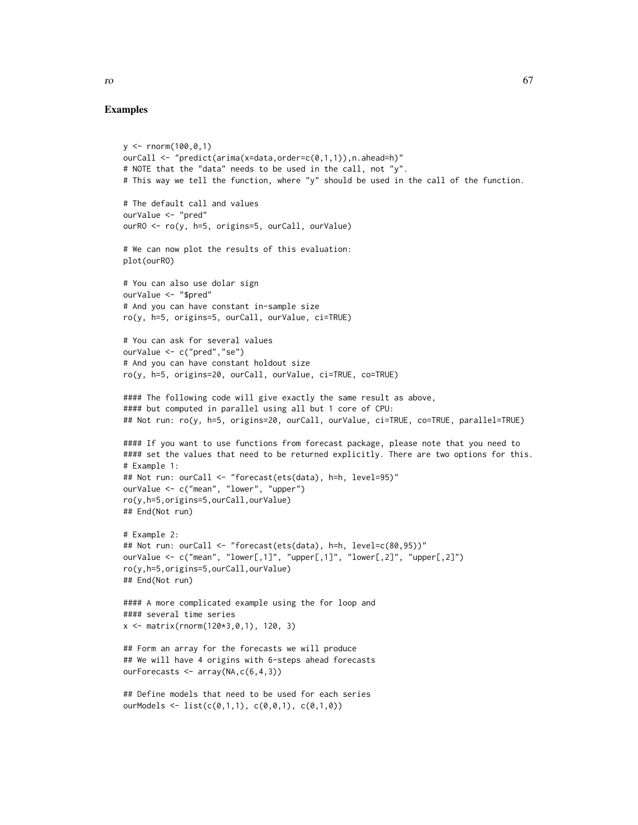#### Examples

```
y \le - rnorm(100,0,1)
ourCall <- "predict(arima(x=data,order=c(0,1,1)),n.ahead=h)"
# NOTE that the "data" needs to be used in the call, not "y".
# This way we tell the function, where "y" should be used in the call of the function.
# The default call and values
ourValue <- "pred"
ourRO <- ro(y, h=5, origins=5, ourCall, ourValue)
# We can now plot the results of this evaluation:
plot(ourRO)
# You can also use dolar sign
ourValue <- "$pred"
# And you can have constant in-sample size
ro(y, h=5, origins=5, ourCall, ourValue, ci=TRUE)
# You can ask for several values
ourValue <- c("pred","se")
# And you can have constant holdout size
ro(y, h=5, origins=20, ourCall, ourValue, ci=TRUE, co=TRUE)
#### The following code will give exactly the same result as above,
#### but computed in parallel using all but 1 core of CPU:
## Not run: ro(y, h=5, origins=20, ourCall, ourValue, ci=TRUE, co=TRUE, parallel=TRUE)
#### If you want to use functions from forecast package, please note that you need to
#### set the values that need to be returned explicitly. There are two options for this.
# Example 1:
## Not run: ourCall <- "forecast(ets(data), h=h, level=95)"
ourValue <- c("mean", "lower", "upper")
ro(y,h=5,origins=5,ourCall,ourValue)
## End(Not run)
# Example 2:
## Not run: ourCall <- "forecast(ets(data), h=h, level=c(80,95))"
ourValue <- c("mean", "lower[,1]", "upper[,1]", "lower[,2]", "upper[,2]")
ro(y,h=5,origins=5,ourCall,ourValue)
## End(Not run)
#### A more complicated example using the for loop and
#### several time series
x <- matrix(rnorm(120*3,0,1), 120, 3)
## Form an array for the forecasts we will produce
## We will have 4 origins with 6-steps ahead forecasts
ourForecasts <- array(NA,c(6,4,3))
## Define models that need to be used for each series
```
ourModels <- list( $c(0,1,1)$ ,  $c(0,0,1)$ ,  $c(0,1,0)$ )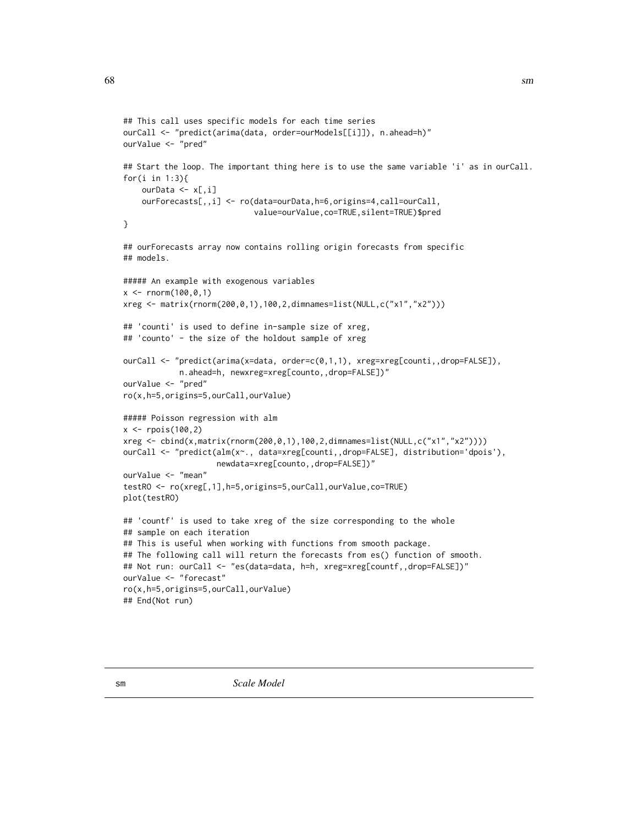```
## This call uses specific models for each time series
ourCall <- "predict(arima(data, order=ourModels[[i]]), n.ahead=h)"
ourValue <- "pred"
## Start the loop. The important thing here is to use the same variable 'i' as in ourCall.
for(i in 1:3){
    ourData <- x[,i]
    ourForecasts[,,i] <- ro(data=ourData,h=6,origins=4,call=ourCall,
                            value=ourValue,co=TRUE,silent=TRUE)$pred
}
## ourForecasts array now contains rolling origin forecasts from specific
## models.
##### An example with exogenous variables
x \le - rnorm(100,0,1)
xreg <- matrix(rnorm(200,0,1),100,2,dimnames=list(NULL,c("x1","x2")))
## 'counti' is used to define in-sample size of xreg,
## 'counto' - the size of the holdout sample of xreg
ourCall <- "predict(arima(x=data, order=c(0,1,1), xreg=xreg[counti,,drop=FALSE]),
            n.ahead=h, newxreg=xreg[counto,,drop=FALSE])"
ourValue <- "pred"
ro(x,h=5,origins=5,ourCall,ourValue)
##### Poisson regression with alm
x < - rpois(100,2)
xreg <- cbind(x,matrix(rnorm(200,0,1),100,2,dimnames=list(NULL,c("x1","x2"))))
ourCall <- "predict(alm(x~., data=xreg[counti,,drop=FALSE], distribution='dpois'),
                    newdata=xreg[counto,,drop=FALSE])"
ourValue <- "mean"
testRO <- ro(xreg[,1],h=5,origins=5,ourCall,ourValue,co=TRUE)
plot(testRO)
## 'countf' is used to take xreg of the size corresponding to the whole
## sample on each iteration
## This is useful when working with functions from smooth package.
## The following call will return the forecasts from es() function of smooth.
## Not run: ourCall <- "es(data=data, h=h, xreg=xreg[countf,,drop=FALSE])"
ourValue <- "forecast"
ro(x,h=5,origins=5,ourCall,ourValue)
## End(Not run)
```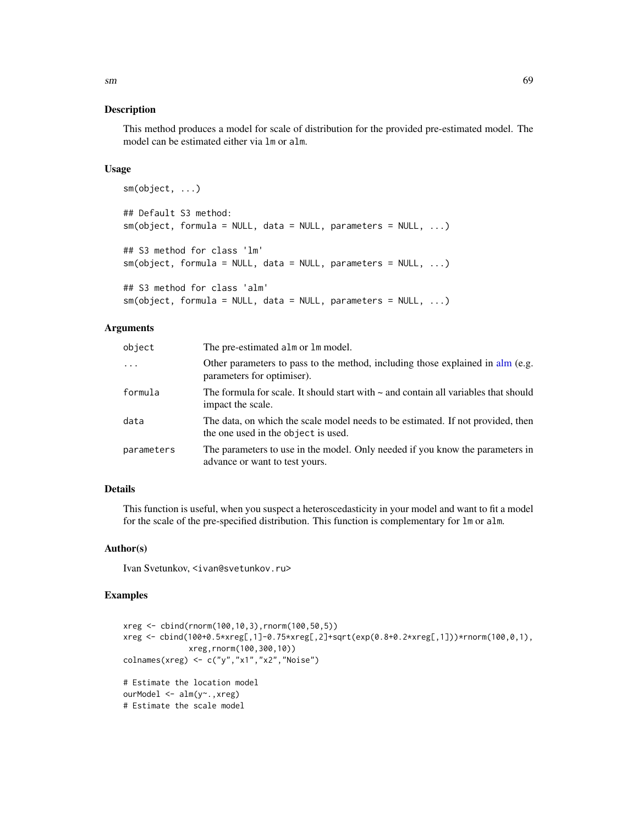This method produces a model for scale of distribution for the provided pre-estimated model. The model can be estimated either via lm or alm.

### Usage

```
sm(object, ...)
## Default S3 method:
sm(object, formula = NULL, data = NULL, parameters = NULL, ...)## S3 method for class 'lm'
sm(object, formula = NULL, data = NULL, parameters = NULL, ...)
## S3 method for class 'alm'
sm(object, formula = NULL, data = NULL, parameters = NULL, ...)
```
# Arguments

| object     | The pre-estimated alm or lm model.                                                                                     |
|------------|------------------------------------------------------------------------------------------------------------------------|
| .          | Other parameters to pass to the method, including those explained in alm (e.g.<br>parameters for optimiser).           |
| formula    | The formula for scale. It should start with $\sim$ and contain all variables that should<br>impact the scale.          |
| data       | The data, on which the scale model needs to be estimated. If not provided, then<br>the one used in the object is used. |
| parameters | The parameters to use in the model. Only needed if you know the parameters in<br>advance or want to test yours.        |

# Details

This function is useful, when you suspect a heteroscedasticity in your model and want to fit a model for the scale of the pre-specified distribution. This function is complementary for lm or alm.

### Author(s)

Ivan Svetunkov, <ivan@svetunkov.ru>

### Examples

```
xreg <- cbind(rnorm(100,10,3),rnorm(100,50,5))
xreg <- cbind(100+0.5*xreg[,1]-0.75*xreg[,2]+sqrt(exp(0.8+0.2*xreg[,1]))*rnorm(100,0,1),
              xreg,rnorm(100,300,10))
colnames(xreg) <- c("y","x1","x2","Noise")
# Estimate the location model
ourModel <- alm(y~.,xreg)
# Estimate the scale model
```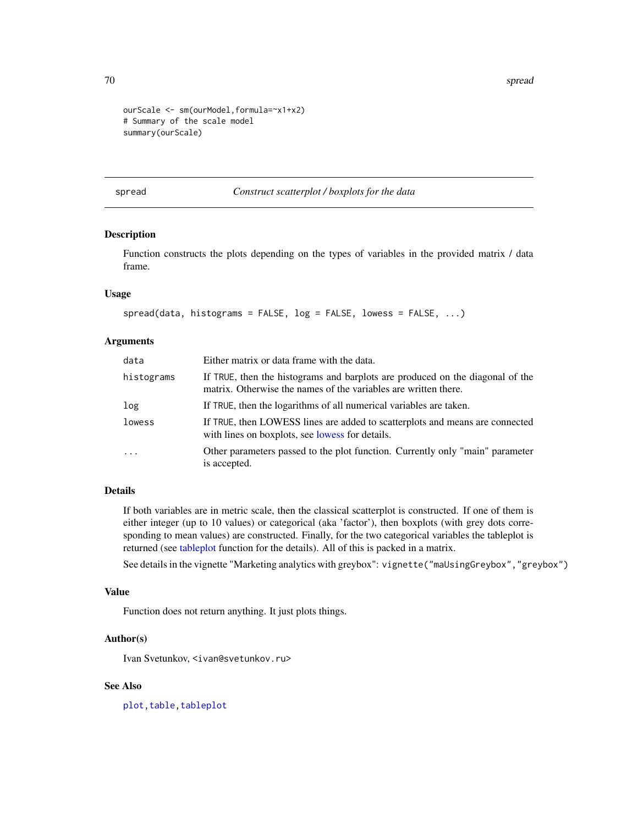70 spread to the contract of the contract of the contract of the contract of the contract of the contract of the contract of the contract of the contract of the contract of the contract of the contract of the contract of t

```
ourScale <- sm(ourModel,formula=~x1+x2)
# Summary of the scale model
summary(ourScale)
```
<span id="page-69-0"></span>spread *Construct scatterplot / boxplots for the data*

# Description

Function constructs the plots depending on the types of variables in the provided matrix / data frame.

### Usage

```
spread(data, histograms = FALSE, log = FALSE, lowess = FALSE, ...)
```
### Arguments

| data       | Either matrix or data frame with the data.                                                                                                       |
|------------|--------------------------------------------------------------------------------------------------------------------------------------------------|
| histograms | If TRUE, then the histograms and barplots are produced on the diagonal of the<br>matrix. Otherwise the names of the variables are written there. |
| log        | If TRUE, then the logarithms of all numerical variables are taken.                                                                               |
| lowess     | If TRUE, then LOWESS lines are added to scatterplots and means are connected<br>with lines on boxplots, see lowess for details.                  |
| $\cdot$    | Other parameters passed to the plot function. Currently only "main" parameter<br>is accepted.                                                    |

# Details

If both variables are in metric scale, then the classical scatterplot is constructed. If one of them is either integer (up to 10 values) or categorical (aka 'factor'), then boxplots (with grey dots corresponding to mean values) are constructed. Finally, for the two categorical variables the tableplot is returned (see [tableplot](#page-72-0) function for the details). All of this is packed in a matrix.

See details in the vignette "Marketing analytics with greybox": vignette("maUsingGreybox","greybox")

# Value

Function does not return anything. It just plots things.

### Author(s)

Ivan Svetunkov, <ivan@svetunkov.ru>

# See Also

plot, table, tableplot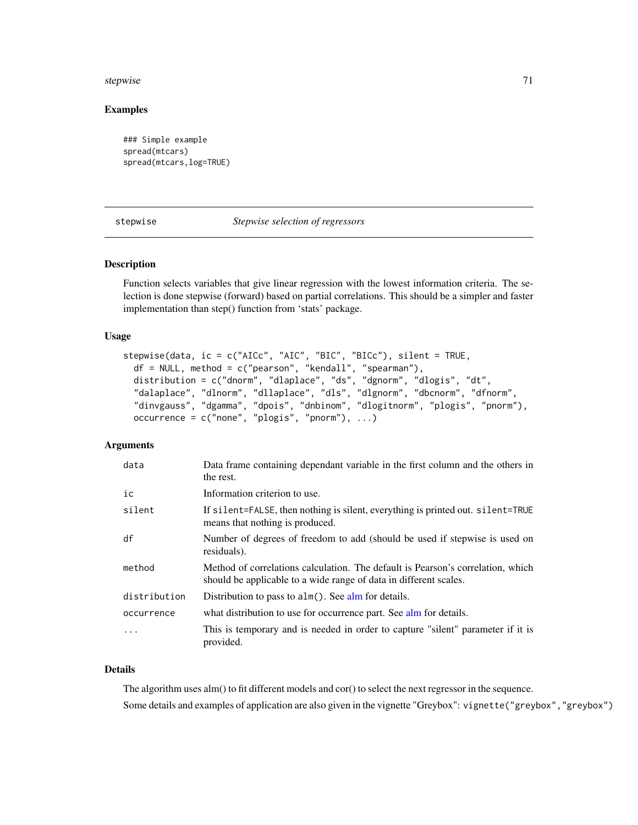#### stepwise 71

# Examples

```
### Simple example
spread(mtcars)
spread(mtcars,log=TRUE)
```
<span id="page-70-0"></span>stepwise *Stepwise selection of regressors*

# Description

Function selects variables that give linear regression with the lowest information criteria. The selection is done stepwise (forward) based on partial correlations. This should be a simpler and faster implementation than step() function from 'stats' package.

### Usage

```
stepwise(data, ic = c("AICc", "AIC", "BIC", "BICc"), silent = TRUE,
 df = NULL, method = c("pearson", "kendall", "spearman"),
  distribution = c("dnorm", "dlaplace", "ds", "dgnorm", "dlogis", "dt",
  "dalaplace", "dlnorm", "dllaplace", "dls", "dlgnorm", "dbcnorm", "dfnorm",
  "dinvgauss", "dgamma", "dpois", "dnbinom", "dlogitnorm", "plogis", "pnorm"),
 occurrence = c("none", "plogis", "pnorm"), ...
```
### Arguments

| data         | Data frame containing dependant variable in the first column and the others in<br>the rest.                                                          |
|--------------|------------------------------------------------------------------------------------------------------------------------------------------------------|
| ic           | Information criterion to use.                                                                                                                        |
| silent       | If silent=FALSE, then nothing is silent, everything is printed out. silent=TRUE<br>means that nothing is produced.                                   |
| df           | Number of degrees of freedom to add (should be used if stepwise is used on<br>residuals).                                                            |
| method       | Method of correlations calculation. The default is Pearson's correlation, which<br>should be applicable to a wide range of data in different scales. |
| distribution | Distribution to pass to $\alpha$ lm(). See $\alpha$ lm for details.                                                                                  |
| occurrence   | what distribution to use for occurrence part. See alm for details.                                                                                   |
| $\ddotsc$    | This is temporary and is needed in order to capture "silent" parameter if it is<br>provided.                                                         |

# Details

The algorithm uses alm() to fit different models and cor() to select the next regressor in the sequence. Some details and examples of application are also given in the vignette "Greybox": vignette("greybox","greybox")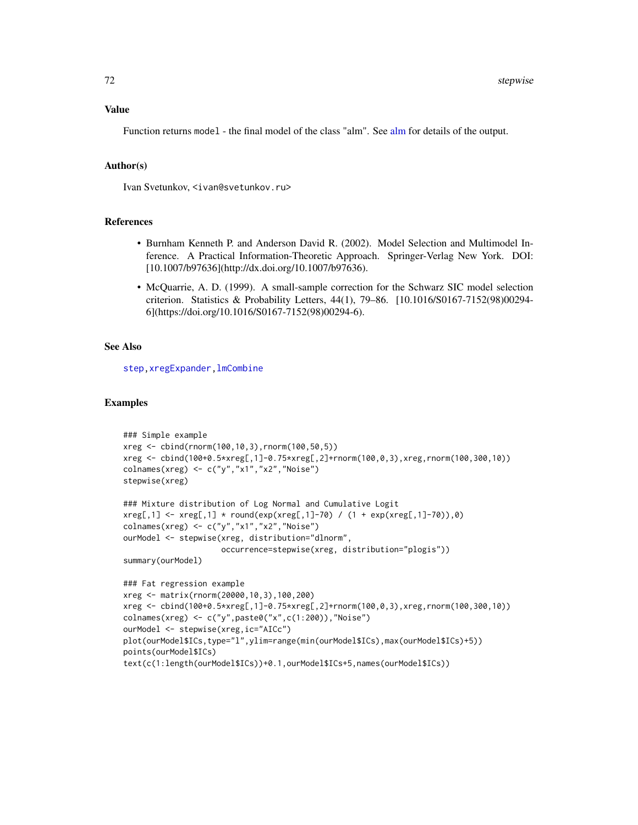#### Value

Function returns model - the final model of the class "alm". See [alm](#page-4-0) for details of the output.

# Author(s)

Ivan Svetunkov, <ivan@svetunkov.ru>

#### References

- Burnham Kenneth P. and Anderson David R. (2002). Model Selection and Multimodel Inference. A Practical Information-Theoretic Approach. Springer-Verlag New York. DOI: [10.1007/b97636](http://dx.doi.org/10.1007/b97636).
- McQuarrie, A. D. (1999). A small-sample correction for the Schwarz SIC model selection criterion. Statistics & Probability Letters, 44(1), 79–86. [10.1016/S0167-7152(98)00294- 6](https://doi.org/10.1016/S0167-7152(98)00294-6).

### See Also

[step](#page-0-0), xregExpander, lmCombine

### Examples

```
### Simple example
xreg <- cbind(rnorm(100,10,3),rnorm(100,50,5))
xreg <- cbind(100+0.5*xreg[,1]-0.75*xreg[,2]+rnorm(100,0,3),xreg,rnorm(100,300,10))
colnames(xreg) <- c("y","x1","x2","Noise")
stepwise(xreg)
### Mixture distribution of Log Normal and Cumulative Logit
xreg[,1] \leftarrow xreg[,1] * round(exp(xreg[,1] - 70) / (1 + exp(xreg[,1] - 70)),0)colnames(xreg) <- c("y","x1","x2","Noise")
ourModel <- stepwise(xreg, distribution="dlnorm",
                     occurrence=stepwise(xreg, distribution="plogis"))
summary(ourModel)
### Fat regression example
xreg <- matrix(rnorm(20000,10,3),100,200)
xreg <- cbind(100+0.5*xreg[,1]-0.75*xreg[,2]+rnorm(100,0,3),xreg,rnorm(100,300,10))
colnames(xreg) <- c("y",paste0("x",c(1:200)),"Noise")
ourModel <- stepwise(xreg,ic="AICc")
plot(ourModel$ICs,type="l",ylim=range(min(ourModel$ICs),max(ourModel$ICs)+5))
points(ourModel$ICs)
text(c(1:length(ourModel$ICs))+0.1,ourModel$ICs+5,names(ourModel$ICs))
```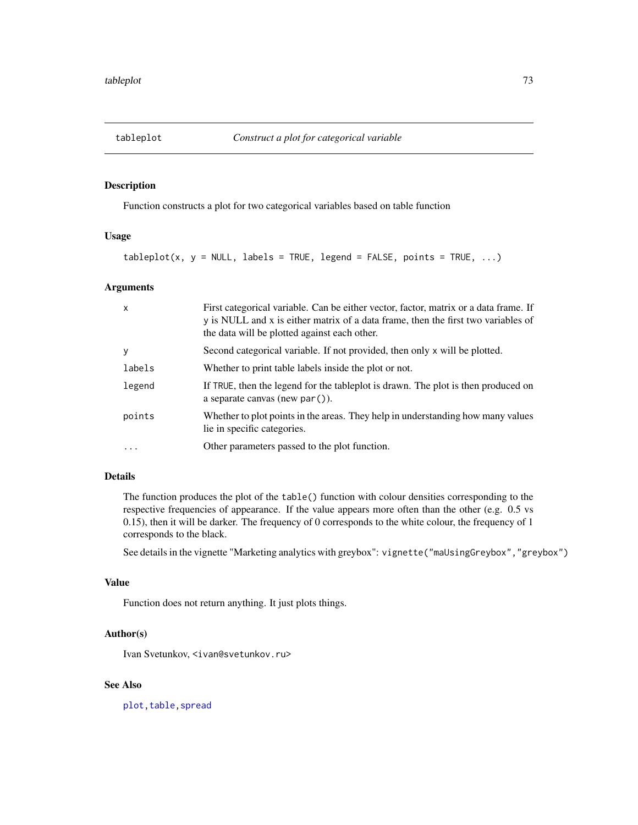<span id="page-72-0"></span>

# Description

Function constructs a plot for two categorical variables based on table function

## Usage

 $tableplot(x, y = NULL, labels = TRUE, legend = FALSE, points = TRUE, ...)$ 

# Arguments

| $\mathsf{x}$ | First categorical variable. Can be either vector, factor, matrix or a data frame. If<br>y is NULL and x is either matrix of a data frame, then the first two variables of<br>the data will be plotted against each other. |
|--------------|---------------------------------------------------------------------------------------------------------------------------------------------------------------------------------------------------------------------------|
| У            | Second categorical variable. If not provided, then only x will be plotted.                                                                                                                                                |
| labels       | Whether to print table labels inside the plot or not.                                                                                                                                                                     |
| legend       | If TRUE, then the legend for the tableplot is drawn. The plot is then produced on<br>a separate canvas (new par $()$ ).                                                                                                   |
| points       | Whether to plot points in the areas. They help in understanding how many values<br>lie in specific categories.                                                                                                            |
| $\ddots$     | Other parameters passed to the plot function.                                                                                                                                                                             |

# Details

The function produces the plot of the table() function with colour densities corresponding to the respective frequencies of appearance. If the value appears more often than the other (e.g. 0.5 vs 0.15), then it will be darker. The frequency of 0 corresponds to the white colour, the frequency of 1 corresponds to the black.

See details in the vignette "Marketing analytics with greybox": vignette("maUsingGreybox","greybox")

#### Value

Function does not return anything. It just plots things.

#### Author(s)

Ivan Svetunkov, <ivan@svetunkov.ru>

## See Also

plot, table, spread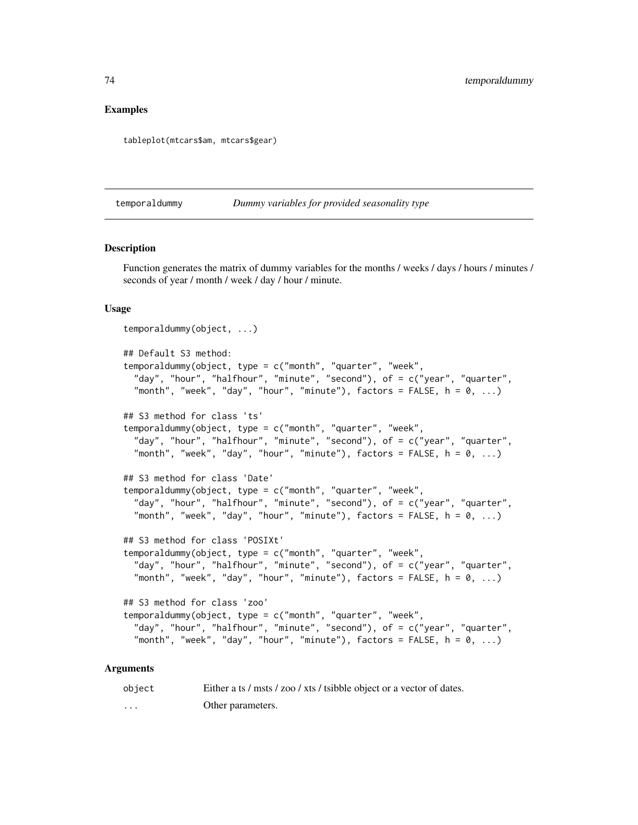# <span id="page-73-0"></span>Examples

tableplot(mtcars\$am, mtcars\$gear)

temporaldummy *Dummy variables for provided seasonality type*

#### **Description**

Function generates the matrix of dummy variables for the months / weeks / days / hours / minutes / seconds of year / month / week / day / hour / minute.

## Usage

```
temporaldummy(object, ...)
## Default S3 method:
temporaldummy(object, type = c("month", "quarter", "week",
 "day", "hour", "halfhour", "minute", "second"), of = c("year", "quarter",
 "month", "week", "day", "hour", "minute"), factors = FALSE, h = 0, ...## S3 method for class 'ts'
temporaldummy(object, type = c("month", "quarter", "week",
 "day", "hour", "halfhour", "minute", "second"), of = c("year", "quarter",
 "month", "week", "day", "hour", "minute"), factors = FALSE, h = 0, ...## S3 method for class 'Date'
temporaldummy(object, type = c("month", "quarter", "week",
 "day", "hour", "halfhour", "minute", "second"), of = c("year", "quarter",
 "month", "week", "day", "hour", "minute"), factors = FALSE, h = 0, ...## S3 method for class 'POSIXt'
temporaldummy(object, type = c("month", "quarter", "week",
 "day", "hour", "halfhour", "minute", "second"), of = c("year", "quarter",
 "month", "week", "day", "hour", "minute"), factors = FALSE, h = 0, ...## S3 method for class 'zoo'
temporaldummy(object, type = c("month", "quarter", "week",
 "day", "hour", "halfhour", "minute", "second"), of = c("year", "quarter",
 "month", "week", "day", "hour", "minute"), factors = FALSE, h = 0, ...
```
#### **Arguments**

| object | Either a ts / msts / zoo / xts / tsibble object or a vector of dates. |
|--------|-----------------------------------------------------------------------|
| .      | Other parameters.                                                     |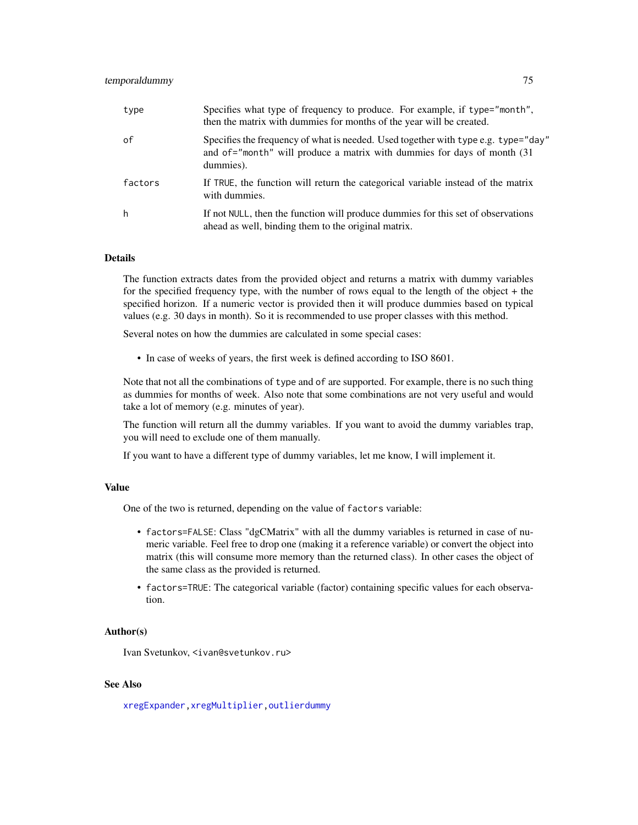## <span id="page-74-0"></span>temporaldummy 75

| type    | Specifies what type of frequency to produce. For example, if type="month",<br>then the matrix with dummies for months of the year will be created.                          |
|---------|-----------------------------------------------------------------------------------------------------------------------------------------------------------------------------|
| of      | Specifies the frequency of what is needed. Used together with type e.g. type="day"<br>and of="month" will produce a matrix with dummies for days of month (31)<br>dummies). |
| factors | If TRUE, the function will return the categorical variable instead of the matrix<br>with dummies.                                                                           |
| h       | If not NULL, then the function will produce dummies for this set of observations<br>ahead as well, binding them to the original matrix.                                     |

#### Details

The function extracts dates from the provided object and returns a matrix with dummy variables for the specified frequency type, with the number of rows equal to the length of the object + the specified horizon. If a numeric vector is provided then it will produce dummies based on typical values (e.g. 30 days in month). So it is recommended to use proper classes with this method.

Several notes on how the dummies are calculated in some special cases:

• In case of weeks of years, the first week is defined according to ISO 8601.

Note that not all the combinations of type and of are supported. For example, there is no such thing as dummies for months of week. Also note that some combinations are not very useful and would take a lot of memory (e.g. minutes of year).

The function will return all the dummy variables. If you want to avoid the dummy variables trap, you will need to exclude one of them manually.

If you want to have a different type of dummy variables, let me know, I will implement it.

# Value

One of the two is returned, depending on the value of factors variable:

- factors=FALSE: Class "dgCMatrix" with all the dummy variables is returned in case of numeric variable. Feel free to drop one (making it a reference variable) or convert the object into matrix (this will consume more memory than the returned class). In other cases the object of the same class as the provided is returned.
- factors=TRUE: The categorical variable (factor) containing specific values for each observation.

#### Author(s)

Ivan Svetunkov, <ivan@svetunkov.ru>

## See Also

[xregExpander](#page-75-0)[,xregMultiplier,](#page-76-0)[outlierdummy](#page-51-0)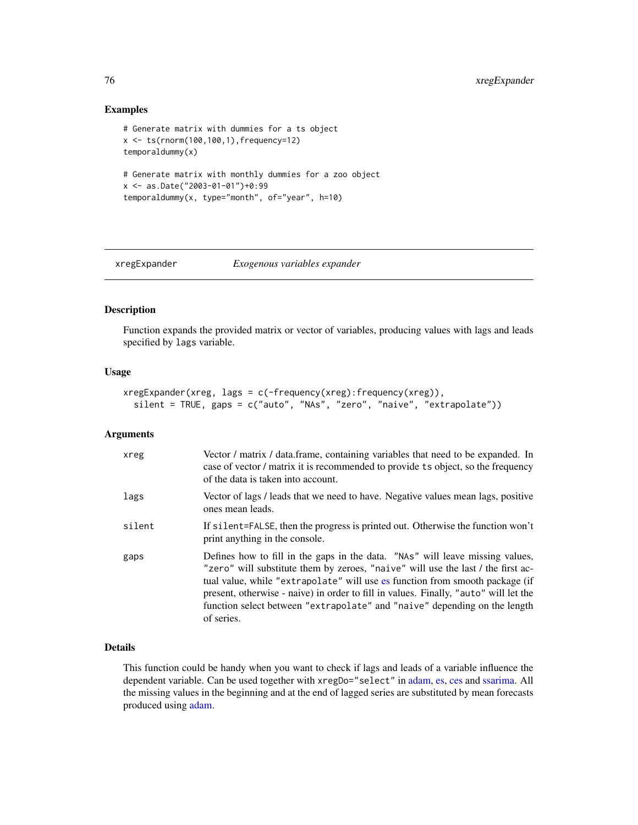## Examples

```
# Generate matrix with dummies for a ts object
x <- ts(rnorm(100,100,1),frequency=12)
temporaldummy(x)
# Generate matrix with monthly dummies for a zoo object
x <- as.Date("2003-01-01")+0:99
temporaldummy(x, type="month", of="year", h=10)
```
<span id="page-75-0"></span>xregExpander *Exogenous variables expander*

# Description

Function expands the provided matrix or vector of variables, producing values with lags and leads specified by lags variable.

# Usage

```
xregExpander(xreg, lags = c(-frequency(xreg):frequency(xreg)),
  silent = TRUE, gaps = c("auto", "NAs", "zero", "naive", "extrapolate"))
```
# Arguments

| xreg   | Vector / matrix / data.frame, containing variables that need to be expanded. In<br>case of vector / matrix it is recommended to provide ts object, so the frequency<br>of the data is taken into account.                                                                                                                                                                                                                            |
|--------|--------------------------------------------------------------------------------------------------------------------------------------------------------------------------------------------------------------------------------------------------------------------------------------------------------------------------------------------------------------------------------------------------------------------------------------|
| lags   | Vector of lags / leads that we need to have. Negative values mean lags, positive<br>ones mean leads.                                                                                                                                                                                                                                                                                                                                 |
| silent | If silent=FALSE, then the progress is printed out. Otherwise the function won't<br>print anything in the console.                                                                                                                                                                                                                                                                                                                    |
| gaps   | Defines how to fill in the gaps in the data. "NAs" will leave missing values,<br>"zero" will substitute them by zeroes, "naive" will use the last / the first ac-<br>tual value, while "extrapolate" will use es function from smooth package (if<br>present, otherwise - naive) in order to fill in values. Finally, "auto" will let the<br>function select between "extrapolate" and "naive" depending on the length<br>of series. |

# Details

This function could be handy when you want to check if lags and leads of a variable influence the dependent variable. Can be used together with xregDo="select" in [adam,](#page-0-0) [es,](#page-0-0) [ces](#page-0-0) and [ssarima.](#page-0-0) All the missing values in the beginning and at the end of lagged series are substituted by mean forecasts produced using [adam.](#page-0-0)

<span id="page-75-1"></span>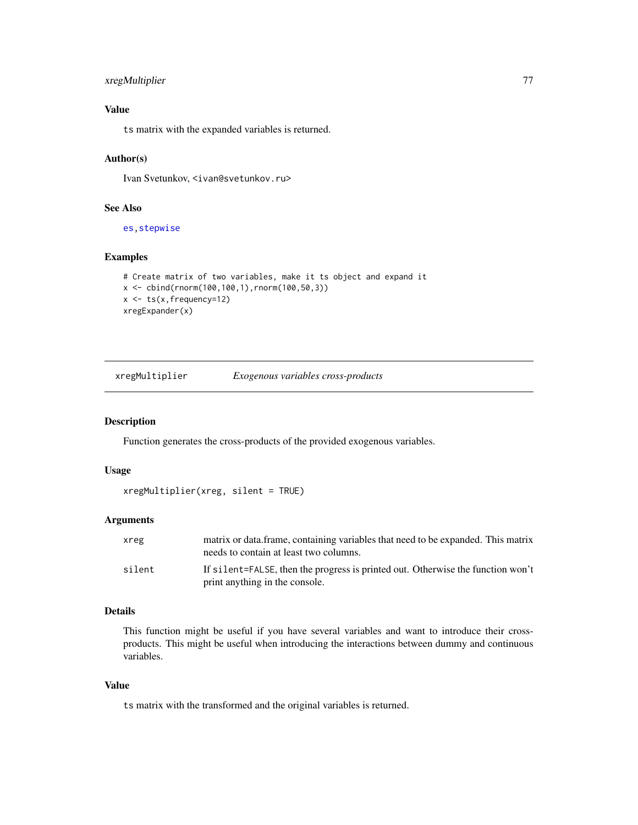# <span id="page-76-1"></span>xregMultiplier 77

# Value

ts matrix with the expanded variables is returned.

## Author(s)

Ivan Svetunkov, <ivan@svetunkov.ru>

# See Also

[es](#page-0-0)[,stepwise](#page-70-0)

# Examples

```
# Create matrix of two variables, make it ts object and expand it
x \le - \text{cbind}(rnorm(100, 100, 1), rnorm(100, 50, 3))x \le -ts(x, frequency=12)xregExpander(x)
```
<span id="page-76-0"></span>xregMultiplier *Exogenous variables cross-products*

## Description

Function generates the cross-products of the provided exogenous variables.

# Usage

```
xregMultiplier(xreg, silent = TRUE)
```
#### Arguments

| xreg   | matrix or data frame, containing variables that need to be expanded. This matrix<br>needs to contain at least two columns. |
|--------|----------------------------------------------------------------------------------------------------------------------------|
| silent | If silent=FALSE, then the progress is printed out. Otherwise the function won't<br>print anything in the console.          |

# Details

This function might be useful if you have several variables and want to introduce their crossproducts. This might be useful when introducing the interactions between dummy and continuous variables.

#### Value

ts matrix with the transformed and the original variables is returned.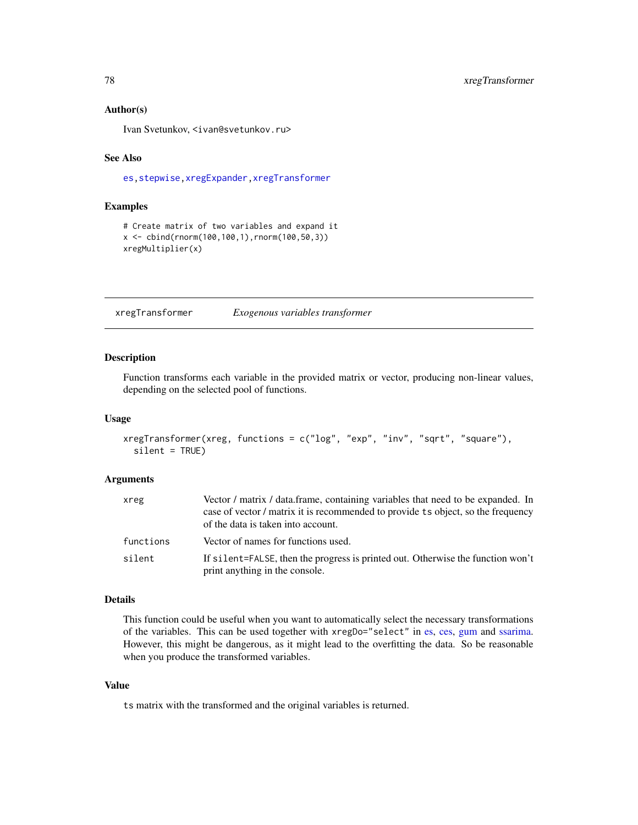## <span id="page-77-1"></span>Author(s)

Ivan Svetunkov, <ivan@svetunkov.ru>

# See Also

[es](#page-0-0)[,stepwise](#page-70-0)[,xregExpander,](#page-75-0)[xregTransformer](#page-77-0)

# Examples

```
# Create matrix of two variables and expand it
x <- cbind(rnorm(100,100,1),rnorm(100,50,3))
xregMultiplier(x)
```
<span id="page-77-0"></span>xregTransformer *Exogenous variables transformer*

#### Description

Function transforms each variable in the provided matrix or vector, producing non-linear values, depending on the selected pool of functions.

# Usage

```
xregTransformer(xreg, functions = c("log", "exp", "inv", "sqrt", "square"),
  silent = TRUE)
```
#### Arguments

| xreg      | Vector / matrix / data.frame, containing variables that need to be expanded. In<br>case of vector / matrix it is recommended to provide ts object, so the frequency |
|-----------|---------------------------------------------------------------------------------------------------------------------------------------------------------------------|
|           | of the data is taken into account.                                                                                                                                  |
| functions | Vector of names for functions used.                                                                                                                                 |
| silent    | If silent=FALSE, then the progress is printed out. Otherwise the function won't<br>print anything in the console.                                                   |

#### Details

This function could be useful when you want to automatically select the necessary transformations of the variables. This can be used together with xregDo="select" in [es,](#page-0-0) [ces,](#page-0-0) [gum](#page-0-0) and [ssarima.](#page-0-0) However, this might be dangerous, as it might lead to the overfitting the data. So be reasonable when you produce the transformed variables.

# Value

ts matrix with the transformed and the original variables is returned.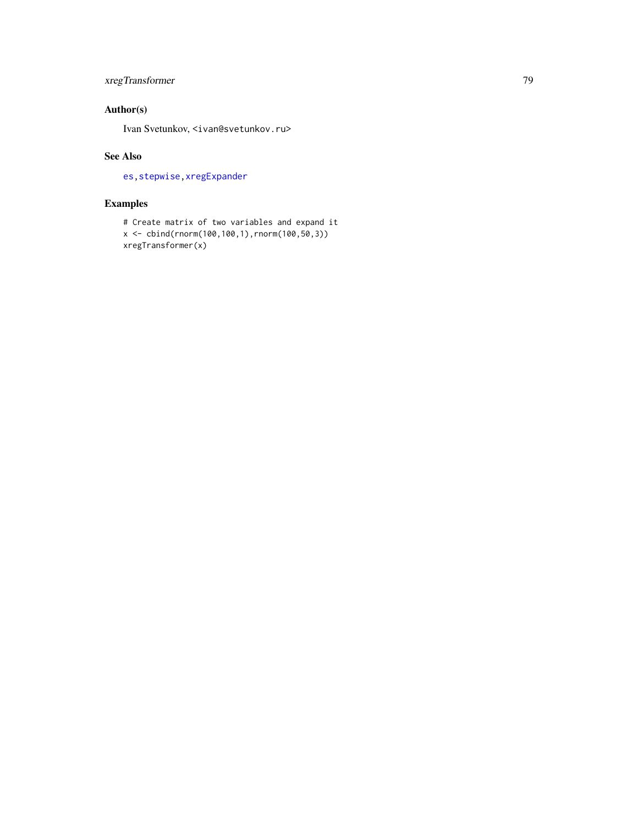# <span id="page-78-0"></span>xregTransformer 79

# Author(s)

Ivan Svetunkov, <ivan@svetunkov.ru>

# See Also

[es](#page-0-0)[,stepwise](#page-70-0)[,xregExpander](#page-75-0)

# Examples

```
# Create matrix of two variables and expand it
x <- cbind(rnorm(100,100,1),rnorm(100,50,3))
xregTransformer(x)
```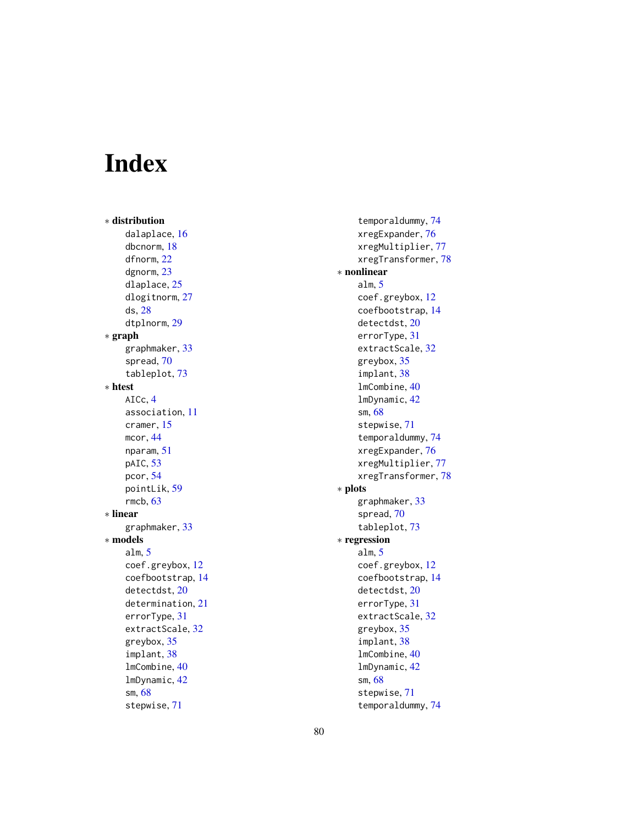# Index

∗ distribution dalaplace , [16](#page-15-0) dbcnorm , [18](#page-17-0) dfnorm , [22](#page-21-0) dgnorm , [23](#page-22-0) dlaplace , [25](#page-24-0) dlogitnorm , [27](#page-26-0) ds , [28](#page-27-0) dtplnorm , [29](#page-28-0) ∗ graph graphmaker , [33](#page-32-0) spread , [70](#page-69-1) tableplot , [73](#page-72-0) ∗ htest AICc , [4](#page-3-0) association , [11](#page-10-0) cramer , [15](#page-14-0) mcor , [44](#page-43-0) nparam , [51](#page-50-0) pAIC, [53](#page-52-0) pcor , [54](#page-53-0) pointLik , [59](#page-58-0) rmcb , [63](#page-62-0) ∗ linear graphmaker , [33](#page-32-0) ∗ models alm , [5](#page-4-0) coef.greybox , [12](#page-11-0) coefbootstrap , [14](#page-13-0) detectdst , [20](#page-19-0) determination , [21](#page-20-0) errorType , [31](#page-30-0) extractScale, [32](#page-31-0) greybox , [35](#page-34-0) implant , [38](#page-37-0) lmCombine , [40](#page-39-0) lmDynamic , [42](#page-41-0) sm , [68](#page-67-0) stepwise , [71](#page-70-1)

temporaldummy , [74](#page-73-0) xregExpander , [76](#page-75-1) xregMultiplier , [77](#page-76-1) xregTransformer , [78](#page-77-1) ∗ nonlinear alm , [5](#page-4-0) coef.greybox , [12](#page-11-0) coefbootstrap , [14](#page-13-0) detectdst , [20](#page-19-0) errorType , [31](#page-30-0) extractScale, [32](#page-31-0) greybox , [35](#page-34-0) implant , [38](#page-37-0) lmCombine , [40](#page-39-0) lmDynamic , [42](#page-41-0) sm , [68](#page-67-0) stepwise , [71](#page-70-1) temporaldummy , [74](#page-73-0) xregExpander , [76](#page-75-1) xregMultiplier , [77](#page-76-1) xregTransformer , [78](#page-77-1) ∗ plots graphmaker , [33](#page-32-0) spread , [70](#page-69-1) tableplot , [73](#page-72-0) ∗ regression alm , [5](#page-4-0) coef.greybox , [12](#page-11-0) coefbootstrap , [14](#page-13-0) detectdst , [20](#page-19-0) errorType , [31](#page-30-0) extractScale, [32](#page-31-0) greybox , [35](#page-34-0) implant , [38](#page-37-0) lmCombine , [40](#page-39-0) lmDynamic , [42](#page-41-0) sm , [68](#page-67-0) stepwise , [71](#page-70-1) temporaldummy , [74](#page-73-0)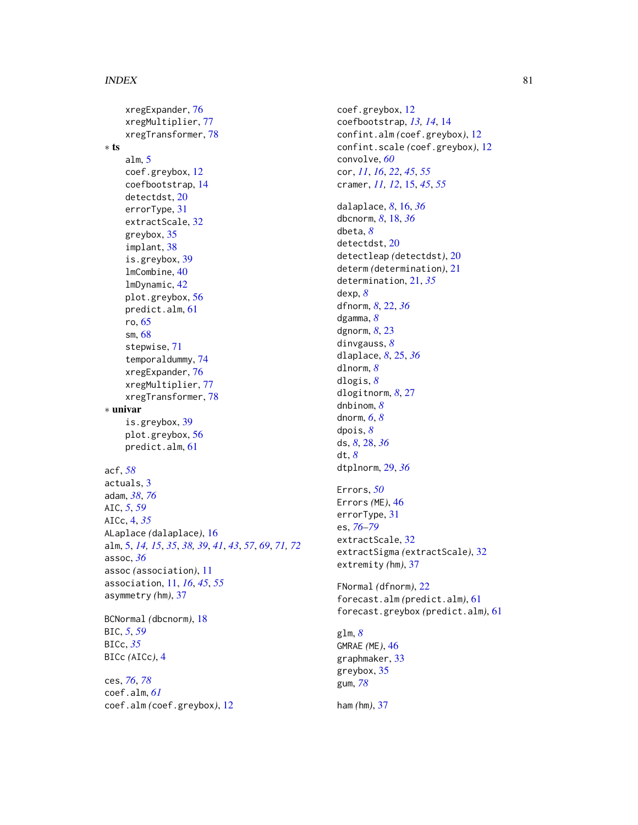## INDEX  $81$

xregExpander, [76](#page-75-1) xregMultiplier, [77](#page-76-1) xregTransformer, [78](#page-77-1) ∗ ts alm, [5](#page-4-0) coef.greybox, [12](#page-11-0) coefbootstrap, [14](#page-13-0) detectdst, [20](#page-19-0) errorType, [31](#page-30-0) extractScale, [32](#page-31-0) greybox, [35](#page-34-0) implant, [38](#page-37-0) is.greybox, [39](#page-38-0) lmCombine, [40](#page-39-0) lmDynamic, [42](#page-41-0) plot.greybox, [56](#page-55-0) predict.alm, [61](#page-60-0) ro, [65](#page-64-0) sm, [68](#page-67-0) stepwise, [71](#page-70-1) temporaldummy, [74](#page-73-0) xregExpander, [76](#page-75-1) xregMultiplier, [77](#page-76-1) xregTransformer, [78](#page-77-1) ∗ univar is.greybox, [39](#page-38-0) plot.greybox, [56](#page-55-0) predict.alm, [61](#page-60-0) acf, *[58](#page-57-0)* actuals, [3](#page-2-0) adam, *[38](#page-37-0)*, *[76](#page-75-1)* AIC, *[5](#page-4-0)*, *[59](#page-58-0)* AICc, [4,](#page-3-0) *[35](#page-34-0)* ALaplace *(*dalaplace*)*, [16](#page-15-0) alm, [5,](#page-4-0) *[14,](#page-13-0) [15](#page-14-0)*, *[35](#page-34-0)*, *[38,](#page-37-0) [39](#page-38-0)*, *[41](#page-40-0)*, *[43](#page-42-0)*, *[57](#page-56-0)*, *[69](#page-68-0)*, *[71,](#page-70-1) [72](#page-71-0)* assoc, *[36](#page-35-0)* assoc *(*association*)*, [11](#page-10-0) association, [11,](#page-10-0) *[16](#page-15-0)*, *[45](#page-44-0)*, *[55](#page-54-0)* asymmetry *(*hm*)*, [37](#page-36-0) BCNormal *(*dbcnorm*)*, [18](#page-17-0) BIC, *[5](#page-4-0)*, *[59](#page-58-0)* BICc, *[35](#page-34-0)* BICc *(*AICc*)*, [4](#page-3-0) ces, *[76](#page-75-1)*, *[78](#page-77-1)*

coef.alm, *[61](#page-60-0)* coef.alm *(*coef.greybox*)*, [12](#page-11-0) coef.greybox, [12](#page-11-0) coefbootstrap, *[13,](#page-12-0) [14](#page-13-0)*, [14](#page-13-0) confint.alm *(*coef.greybox*)*, [12](#page-11-0) confint.scale *(*coef.greybox*)*, [12](#page-11-0) convolve, *[60](#page-59-0)* cor, *[11](#page-10-0)*, *[16](#page-15-0)*, *[22](#page-21-0)*, *[45](#page-44-0)*, *[55](#page-54-0)* cramer, *[11,](#page-10-0) [12](#page-11-0)*, [15,](#page-14-0) *[45](#page-44-0)*, *[55](#page-54-0)* dalaplace, *[8](#page-7-0)*, [16,](#page-15-0) *[36](#page-35-0)* dbcnorm, *[8](#page-7-0)*, [18,](#page-17-0) *[36](#page-35-0)* dbeta, *[8](#page-7-0)* detectdst, [20](#page-19-0) detectleap *(*detectdst*)*, [20](#page-19-0) determ *(*determination*)*, [21](#page-20-0) determination, [21,](#page-20-0) *[35](#page-34-0)* dexp, *[8](#page-7-0)* dfnorm, *[8](#page-7-0)*, [22,](#page-21-0) *[36](#page-35-0)* dgamma, *[8](#page-7-0)* dgnorm, *[8](#page-7-0)*, [23](#page-22-0) dinvgauss, *[8](#page-7-0)* dlaplace, *[8](#page-7-0)*, [25,](#page-24-0) *[36](#page-35-0)* dlnorm, *[8](#page-7-0)* dlogis, *[8](#page-7-0)* dlogitnorm, *[8](#page-7-0)*, [27](#page-26-0) dnbinom, *[8](#page-7-0)* dnorm, *[6](#page-5-0)*, *[8](#page-7-0)* dpois, *[8](#page-7-0)* ds, *[8](#page-7-0)*, [28,](#page-27-0) *[36](#page-35-0)* dt, *[8](#page-7-0)* dtplnorm, [29,](#page-28-0) *[36](#page-35-0)* Errors, *[50](#page-49-0)* Errors *(*ME*)*, [46](#page-45-0) errorType, [31](#page-30-0) es, *[76–](#page-75-1)[79](#page-78-0)* extractScale, [32](#page-31-0) extractSigma *(*extractScale*)*, [32](#page-31-0) extremity *(*hm*)*, [37](#page-36-0) FNormal *(*dfnorm*)*, [22](#page-21-0) forecast.alm *(*predict.alm*)*, [61](#page-60-0) forecast.greybox *(*predict.alm*)*, [61](#page-60-0) glm, *[8](#page-7-0)* GMRAE *(*ME*)*, [46](#page-45-0) graphmaker, [33](#page-32-0) greybox, [35](#page-34-0) gum, *[78](#page-77-1)* ham *(*hm*)*, [37](#page-36-0)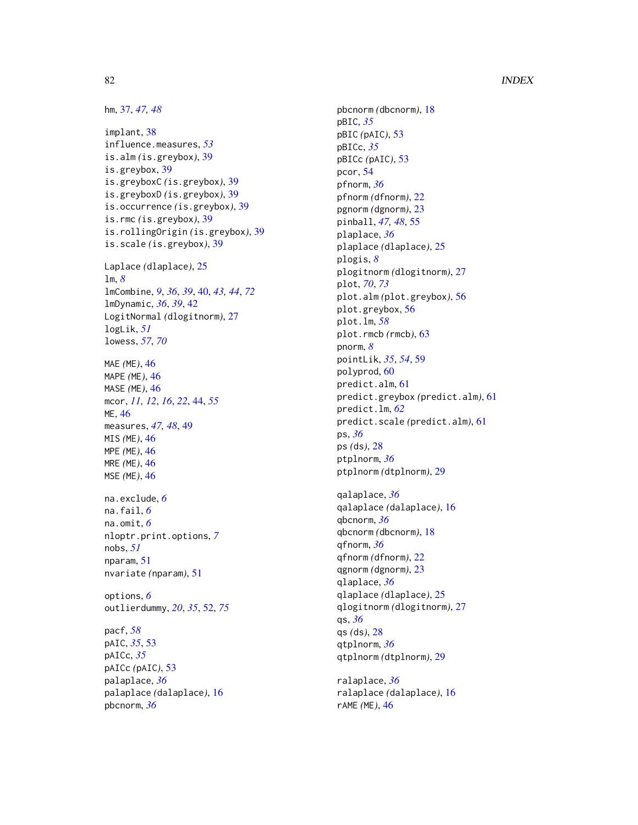## 82 INDEX

hm, [37,](#page-36-0) *[47,](#page-46-0) [48](#page-47-0)*

implant, [38](#page-37-0) influence.measures, *[53](#page-52-0)* is.alm *(*is.greybox*)*, [39](#page-38-0) is.greybox, [39](#page-38-0) is.greyboxC *(*is.greybox*)*, [39](#page-38-0) is.greyboxD *(*is.greybox*)*, [39](#page-38-0) is.occurrence *(*is.greybox*)*, [39](#page-38-0) is.rmc *(*is.greybox*)*, [39](#page-38-0) is.rollingOrigin *(*is.greybox*)*, [39](#page-38-0) is.scale *(*is.greybox*)*, [39](#page-38-0) Laplace *(*dlaplace*)*, [25](#page-24-0) lm, *[8](#page-7-0)* lmCombine, *[9](#page-8-0)*, *[36](#page-35-0)*, *[39](#page-38-0)*, [40,](#page-39-0) *[43,](#page-42-0) [44](#page-43-0)*, *[72](#page-71-0)* lmDynamic, *[36](#page-35-0)*, *[39](#page-38-0)*, [42](#page-41-0) LogitNormal *(*dlogitnorm*)*, [27](#page-26-0) logLik, *[51](#page-50-0)* lowess, *[57](#page-56-0)*, *[70](#page-69-1)* MAE *(*ME*)*, [46](#page-45-0) MAPE *(*ME*)*, [46](#page-45-0) MASE *(*ME*)*, [46](#page-45-0) mcor, *[11,](#page-10-0) [12](#page-11-0)*, *[16](#page-15-0)*, *[22](#page-21-0)*, [44,](#page-43-0) *[55](#page-54-0)* ME, [46](#page-45-0) measures, *[47,](#page-46-0) [48](#page-47-0)*, [49](#page-48-0) MIS *(*ME*)*, [46](#page-45-0) MPE *(*ME*)*, [46](#page-45-0) MRE *(*ME*)*, [46](#page-45-0) MSE *(*ME*)*, [46](#page-45-0) na.exclude, *[6](#page-5-0)* na.fail, *[6](#page-5-0)* na.omit, *[6](#page-5-0)* nloptr.print.options, *[7](#page-6-0)* nobs, *[51](#page-50-0)* nparam, [51](#page-50-0) nvariate *(*nparam*)*, [51](#page-50-0) options, *[6](#page-5-0)* outlierdummy, *[20](#page-19-0)*, *[35](#page-34-0)*, [52,](#page-51-1) *[75](#page-74-0)* pacf, *[58](#page-57-0)* pAIC, *[35](#page-34-0)*, [53](#page-52-0) pAICc, *[35](#page-34-0)* pAICc *(*pAIC*)*, [53](#page-52-0) palaplace, *[36](#page-35-0)* palaplace *(*dalaplace*)*, [16](#page-15-0)

pbcnorm, *[36](#page-35-0)*

pbcnorm *(*dbcnorm*)*, [18](#page-17-0) pBIC, *[35](#page-34-0)* pBIC *(*pAIC*)*, [53](#page-52-0) pBICc, *[35](#page-34-0)* pBICc *(*pAIC*)*, [53](#page-52-0) pcor, [54](#page-53-0) pfnorm, *[36](#page-35-0)* pfnorm *(*dfnorm*)*, [22](#page-21-0) pgnorm *(*dgnorm*)*, [23](#page-22-0) pinball, *[47,](#page-46-0) [48](#page-47-0)*, [55](#page-54-0) plaplace, *[36](#page-35-0)* plaplace *(*dlaplace*)*, [25](#page-24-0) plogis, *[8](#page-7-0)* plogitnorm *(*dlogitnorm*)*, [27](#page-26-0) plot, *[70](#page-69-1)*, *[73](#page-72-0)* plot.alm *(*plot.greybox*)*, [56](#page-55-0) plot.greybox, [56](#page-55-0) plot.lm, *[58](#page-57-0)* plot.rmcb *(*rmcb*)*, [63](#page-62-0) pnorm, *[8](#page-7-0)* pointLik, *[35](#page-34-0)*, *[54](#page-53-0)*, [59](#page-58-0) polyprod, [60](#page-59-0) predict.alm, [61](#page-60-0) predict.greybox *(*predict.alm*)*, [61](#page-60-0) predict.lm, *[62](#page-61-0)* predict.scale *(*predict.alm*)*, [61](#page-60-0) ps, *[36](#page-35-0)* ps *(*ds*)*, [28](#page-27-0) ptplnorm, *[36](#page-35-0)* ptplnorm *(*dtplnorm*)*, [29](#page-28-0) qalaplace, *[36](#page-35-0)* qalaplace *(*dalaplace*)*, [16](#page-15-0) qbcnorm, *[36](#page-35-0)* qbcnorm *(*dbcnorm*)*, [18](#page-17-0) qfnorm, *[36](#page-35-0)* qfnorm *(*dfnorm*)*, [22](#page-21-0) qgnorm *(*dgnorm*)*, [23](#page-22-0)

qlaplace, *[36](#page-35-0)* qlaplace *(*dlaplace*)*, [25](#page-24-0) qlogitnorm *(*dlogitnorm*)*, [27](#page-26-0) qs, *[36](#page-35-0)* qs *(*ds*)*, [28](#page-27-0) qtplnorm, *[36](#page-35-0)* qtplnorm *(*dtplnorm*)*, [29](#page-28-0)

ralaplace, *[36](#page-35-0)* ralaplace *(*dalaplace*)*, [16](#page-15-0) rAME *(*ME*)*, [46](#page-45-0)